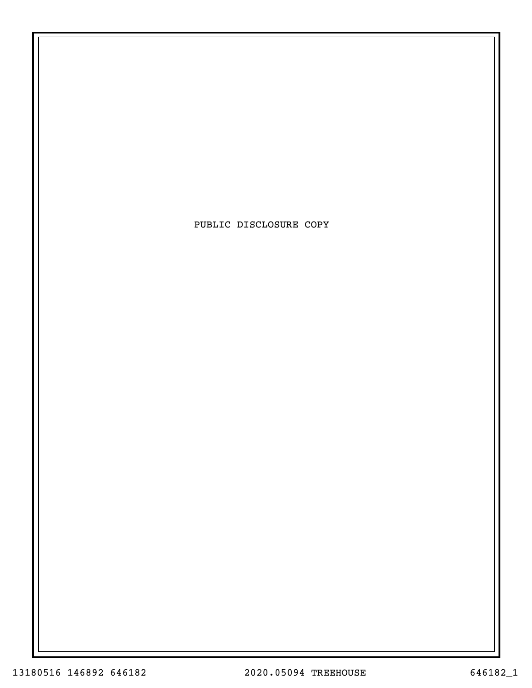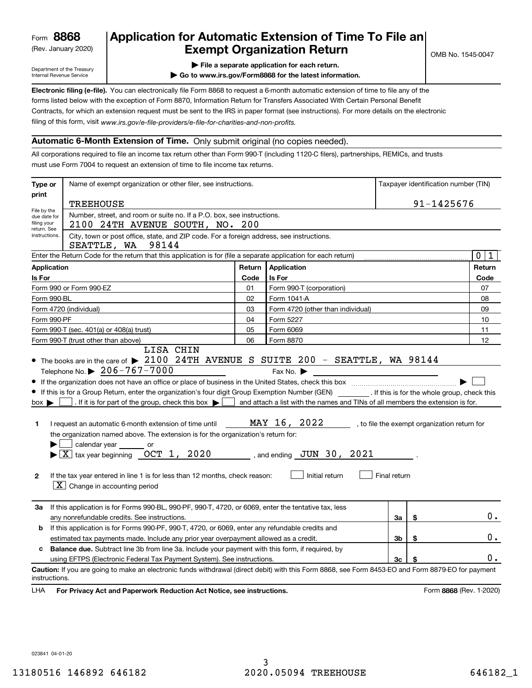(Rev. January 2020)

### **Application for Automatic Extension of Time To File an Exempt Organization Return**

Department of the Treasury Internal Revenue Service

- **| File a separate application for each return.**
- **| Go to www.irs.gov/Form8868 for the latest information.**

**Electronic filing (e-file).**  You can electronically file Form 8868 to request a 6-month automatic extension of time to file any of the filing of this form, visit www.irs.gov/e-file-providers/e-file-for-charities-and-non-profits. forms listed below with the exception of Form 8870, Information Return for Transfers Associated With Certain Personal Benefit Contracts, for which an extension request must be sent to the IRS in paper format (see instructions). For more details on the electronic

#### **Automatic 6-Month Extension of Time.** Only submit original (no copies needed).

All corporations required to file an income tax return other than Form 990-T (including 1120-C filers), partnerships, REMICs, and trusts must use Form 7004 to request an extension of time to file income tax returns.

| Type or                                                                                                                                                                                         | Name of exempt organization or other filer, see instructions.                                                                                                                                                                                                                                                                                                                                                                                                                                                                                                                                                                                                       |            | Taxpayer identification number (TIN)                                                                             |              |    |                                              |  |  |  |
|-------------------------------------------------------------------------------------------------------------------------------------------------------------------------------------------------|---------------------------------------------------------------------------------------------------------------------------------------------------------------------------------------------------------------------------------------------------------------------------------------------------------------------------------------------------------------------------------------------------------------------------------------------------------------------------------------------------------------------------------------------------------------------------------------------------------------------------------------------------------------------|------------|------------------------------------------------------------------------------------------------------------------|--------------|----|----------------------------------------------|--|--|--|
| print                                                                                                                                                                                           | <b>TREEHOUSE</b>                                                                                                                                                                                                                                                                                                                                                                                                                                                                                                                                                                                                                                                    | 91-1425676 |                                                                                                                  |              |    |                                              |  |  |  |
| File by the<br>due date for<br>filing your<br>return. See<br>instructions.                                                                                                                      | Number, street, and room or suite no. If a P.O. box, see instructions.<br>2100 24TH AVENUE SOUTH, NO. 200<br>City, town or post office, state, and ZIP code. For a foreign address, see instructions.                                                                                                                                                                                                                                                                                                                                                                                                                                                               |            |                                                                                                                  |              |    |                                              |  |  |  |
| SEATTLE, WA<br>98144<br>Enter the Return Code for the return that this application is for (file a separate application for each return)                                                         |                                                                                                                                                                                                                                                                                                                                                                                                                                                                                                                                                                                                                                                                     |            |                                                                                                                  |              |    |                                              |  |  |  |
| Application                                                                                                                                                                                     |                                                                                                                                                                                                                                                                                                                                                                                                                                                                                                                                                                                                                                                                     | Return     | Application                                                                                                      |              |    | $\mathbf 0$<br>1<br>Return                   |  |  |  |
| Is For                                                                                                                                                                                          |                                                                                                                                                                                                                                                                                                                                                                                                                                                                                                                                                                                                                                                                     | Code       | Is For                                                                                                           |              |    | Code                                         |  |  |  |
|                                                                                                                                                                                                 | Form 990 or Form 990-EZ                                                                                                                                                                                                                                                                                                                                                                                                                                                                                                                                                                                                                                             | 01         | Form 990-T (corporation)                                                                                         |              |    | 07                                           |  |  |  |
| Form 990-BL                                                                                                                                                                                     |                                                                                                                                                                                                                                                                                                                                                                                                                                                                                                                                                                                                                                                                     | 02         | Form 1041-A                                                                                                      |              |    | 08                                           |  |  |  |
|                                                                                                                                                                                                 | Form 4720 (individual)                                                                                                                                                                                                                                                                                                                                                                                                                                                                                                                                                                                                                                              | 03         | Form 4720 (other than individual)                                                                                |              |    | 09                                           |  |  |  |
| Form 990-PF                                                                                                                                                                                     |                                                                                                                                                                                                                                                                                                                                                                                                                                                                                                                                                                                                                                                                     | 04         | Form 5227                                                                                                        |              |    | 10                                           |  |  |  |
|                                                                                                                                                                                                 | Form 990-T (sec. 401(a) or 408(a) trust)                                                                                                                                                                                                                                                                                                                                                                                                                                                                                                                                                                                                                            | 05         | Form 6069                                                                                                        |              |    | 11                                           |  |  |  |
|                                                                                                                                                                                                 | Form 990-T (trust other than above)                                                                                                                                                                                                                                                                                                                                                                                                                                                                                                                                                                                                                                 | 06         | Form 8870                                                                                                        |              |    | 12                                           |  |  |  |
| $box \blacktriangleright$<br>1<br>$\mathbf{2}$                                                                                                                                                  | If this is for a Group Return, enter the organization's four digit Group Exemption Number (GEN) _________. If this is for the whole group, check this<br>. If it is for part of the group, check this box $\blacktriangleright$<br>I request an automatic 6-month extension of time until<br>the organization named above. The extension is for the organization's return for:<br>calendar year _______ or<br>$\blacktriangleright$ $\boxed{\text{X}}$ tax year beginning $\boxed{\text{OCT}}$ 1, 2020 , and ending JUN 30, 2021<br>If the tax year entered in line 1 is for less than 12 months, check reason:<br>$\boxed{\textbf{X}}$ Change in accounting period |            | and attach a list with the names and TINs of all members the extension is for.<br>MAY 16, 2022<br>Initial return | Final return |    | , to file the exempt organization return for |  |  |  |
| За                                                                                                                                                                                              | If this application is for Forms 990-BL, 990-PF, 990-T, 4720, or 6069, enter the tentative tax, less<br>any nonrefundable credits. See instructions.                                                                                                                                                                                                                                                                                                                                                                                                                                                                                                                |            |                                                                                                                  | За           | \$ | $0$ .                                        |  |  |  |
| b                                                                                                                                                                                               | If this application is for Forms 990-PF, 990-T, 4720, or 6069, enter any refundable credits and                                                                                                                                                                                                                                                                                                                                                                                                                                                                                                                                                                     |            |                                                                                                                  | 3b           | \$ | 0.                                           |  |  |  |
| estimated tax payments made. Include any prior year overpayment allowed as a credit.<br><b>Balance due.</b> Subtract line 3b from line 3a. Include your payment with this form, if required, by |                                                                                                                                                                                                                                                                                                                                                                                                                                                                                                                                                                                                                                                                     |            |                                                                                                                  |              |    |                                              |  |  |  |
| c                                                                                                                                                                                               | using EFTPS (Electronic Federal Tax Payment System). See instructions.                                                                                                                                                                                                                                                                                                                                                                                                                                                                                                                                                                                              |            |                                                                                                                  | 3c           | \$ | 0.                                           |  |  |  |
| instructions.<br>LHA                                                                                                                                                                            | Caution: If you are going to make an electronic funds withdrawal (direct debit) with this Form 8868, see Form 8453-EO and Form 8879-EO for payment<br>For Privacy Act and Paperwork Reduction Act Notice, see instructions.                                                                                                                                                                                                                                                                                                                                                                                                                                         |            |                                                                                                                  |              |    | Form 8868 (Rev. 1-2020)                      |  |  |  |

023841 04-01-20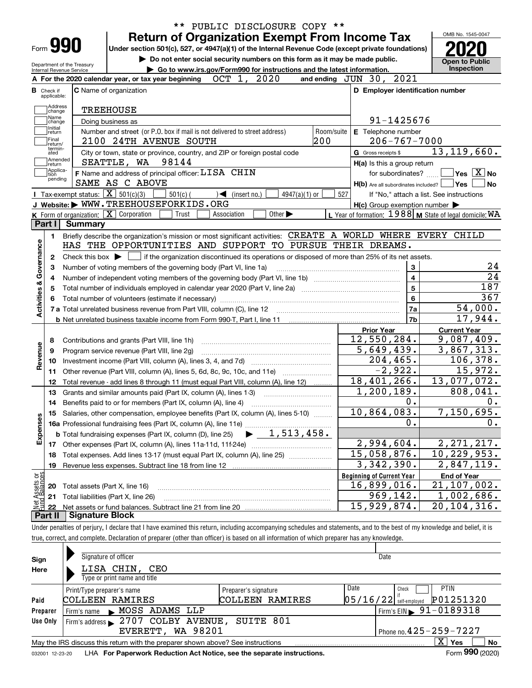|                                                                     |                                                                                                                                                                            |                                                                                                                                                                            |            | Under section 501(c), 527, or 4947(a)(1) of the Internal Revenue Code (except private foundations) |                                                                                                                                                               |  |  |
|---------------------------------------------------------------------|----------------------------------------------------------------------------------------------------------------------------------------------------------------------------|----------------------------------------------------------------------------------------------------------------------------------------------------------------------------|------------|----------------------------------------------------------------------------------------------------|---------------------------------------------------------------------------------------------------------------------------------------------------------------|--|--|
|                                                                     | Department of the Treasury                                                                                                                                                 | Do not enter social security numbers on this form as it may be made public.                                                                                                |            |                                                                                                    | <b>Open to Public</b><br>Inspection                                                                                                                           |  |  |
| Internal Revenue Service                                            | Go to www.irs.gov/Form990 for instructions and the latest information.<br>and ending JUN 30, 2021<br>2020<br>OCT 1,<br>A For the 2020 calendar year, or tax year beginning |                                                                                                                                                                            |            |                                                                                                    |                                                                                                                                                               |  |  |
| <b>B</b> Check if                                                   |                                                                                                                                                                            | <b>C</b> Name of organization                                                                                                                                              |            | D Employer identification number                                                                   |                                                                                                                                                               |  |  |
| applicable:                                                         |                                                                                                                                                                            |                                                                                                                                                                            |            |                                                                                                    |                                                                                                                                                               |  |  |
| Address<br>change                                                   |                                                                                                                                                                            | <b>TREEHOUSE</b>                                                                                                                                                           |            |                                                                                                    |                                                                                                                                                               |  |  |
| Name<br>change                                                      |                                                                                                                                                                            | Doing business as                                                                                                                                                          |            | 91-1425676                                                                                         |                                                                                                                                                               |  |  |
| Initial<br>return                                                   |                                                                                                                                                                            | Number and street (or P.O. box if mail is not delivered to street address)                                                                                                 | Room/suite | E Telephone number                                                                                 |                                                                                                                                                               |  |  |
| Final<br>return/                                                    |                                                                                                                                                                            | 200<br>2100 24TH AVENUE SOUTH                                                                                                                                              |            | $206 - 767 - 7000$                                                                                 |                                                                                                                                                               |  |  |
| termin-<br>ated                                                     |                                                                                                                                                                            | City or town, state or province, country, and ZIP or foreign postal code                                                                                                   |            | G Gross receipts \$                                                                                | 13, 119, 660.                                                                                                                                                 |  |  |
| Amended<br> return                                                  |                                                                                                                                                                            | 98144<br>SEATTLE, WA                                                                                                                                                       |            | H(a) Is this a group return                                                                        |                                                                                                                                                               |  |  |
| Applica-<br>tion                                                    |                                                                                                                                                                            | F Name and address of principal officer: LISA CHIN                                                                                                                         |            | for subordinates?                                                                                  | $\sqrt{}$ Yes $\sqrt{}$ X $\sqrt{}$ No                                                                                                                        |  |  |
| pending                                                             |                                                                                                                                                                            | SAME AS C ABOVE                                                                                                                                                            |            | $H(b)$ Are all subordinates included? $\Box$ Yes                                                   |                                                                                                                                                               |  |  |
|                                                                     | Tax-exempt status: $\boxed{\mathbf{X}}$ 501(c)(3)                                                                                                                          | $501(c)$ (<br>$\sqrt{\frac{1}{1}}$ (insert no.)<br>$4947(a)(1)$ or                                                                                                         | 527        |                                                                                                    | If "No," attach a list. See instructions                                                                                                                      |  |  |
|                                                                     |                                                                                                                                                                            | J Website: WWW.TREEHOUSEFORKIDS.ORG                                                                                                                                        |            | $H(c)$ Group exemption number $\blacktriangleright$                                                |                                                                                                                                                               |  |  |
|                                                                     |                                                                                                                                                                            | K Form of organization: X Corporation<br>Other $\blacktriangleright$<br>Trust<br>Association                                                                               |            | L Year of formation: $1988$ M State of legal domicile: WA                                          |                                                                                                                                                               |  |  |
| Part I                                                              | <b>Summary</b>                                                                                                                                                             |                                                                                                                                                                            |            |                                                                                                    |                                                                                                                                                               |  |  |
| 1.                                                                  |                                                                                                                                                                            | Briefly describe the organization's mission or most significant activities: CREATE A WORLD WHERE EVERY CHILD                                                               |            |                                                                                                    |                                                                                                                                                               |  |  |
|                                                                     |                                                                                                                                                                            | HAS THE OPPORTUNITIES AND SUPPORT TO PURSUE THEIR DREAMS.                                                                                                                  |            |                                                                                                    |                                                                                                                                                               |  |  |
| 2                                                                   |                                                                                                                                                                            | Check this box $\blacktriangleright$ $\Box$ if the organization discontinued its operations or disposed of more than 25% of its net assets.                                |            |                                                                                                    |                                                                                                                                                               |  |  |
| З                                                                   |                                                                                                                                                                            | Number of voting members of the governing body (Part VI, line 1a)                                                                                                          |            | 3                                                                                                  |                                                                                                                                                               |  |  |
| 4                                                                   |                                                                                                                                                                            |                                                                                                                                                                            |            | 4                                                                                                  | 187                                                                                                                                                           |  |  |
| 5                                                                   |                                                                                                                                                                            |                                                                                                                                                                            |            | 5                                                                                                  | 367                                                                                                                                                           |  |  |
| Activities & Governance                                             |                                                                                                                                                                            |                                                                                                                                                                            |            | 6<br>7a                                                                                            | 54,000.                                                                                                                                                       |  |  |
|                                                                     |                                                                                                                                                                            |                                                                                                                                                                            |            | 7 <sub>b</sub>                                                                                     |                                                                                                                                                               |  |  |
|                                                                     |                                                                                                                                                                            |                                                                                                                                                                            |            |                                                                                                    |                                                                                                                                                               |  |  |
|                                                                     |                                                                                                                                                                            |                                                                                                                                                                            |            |                                                                                                    | 17,944.                                                                                                                                                       |  |  |
|                                                                     |                                                                                                                                                                            |                                                                                                                                                                            |            | <b>Prior Year</b>                                                                                  | <b>Current Year</b>                                                                                                                                           |  |  |
| 8                                                                   |                                                                                                                                                                            | Contributions and grants (Part VIII, line 1h)                                                                                                                              |            | $12,550,284$ .                                                                                     |                                                                                                                                                               |  |  |
| 9                                                                   |                                                                                                                                                                            | Program service revenue (Part VIII, line 2g)                                                                                                                               |            | 5,649,439.                                                                                         |                                                                                                                                                               |  |  |
| 10                                                                  |                                                                                                                                                                            |                                                                                                                                                                            |            | 204, 465.                                                                                          |                                                                                                                                                               |  |  |
| 11                                                                  |                                                                                                                                                                            | Other revenue (Part VIII, column (A), lines 5, 6d, 8c, 9c, 10c, and 11e)                                                                                                   |            | $-2,922.$                                                                                          |                                                                                                                                                               |  |  |
| 12                                                                  |                                                                                                                                                                            | Total revenue - add lines 8 through 11 (must equal Part VIII, column (A), line 12)                                                                                         |            | 18,401,266.                                                                                        |                                                                                                                                                               |  |  |
| 13                                                                  |                                                                                                                                                                            | Grants and similar amounts paid (Part IX, column (A), lines 1-3)                                                                                                           |            | 1,200,189.                                                                                         |                                                                                                                                                               |  |  |
| 14                                                                  |                                                                                                                                                                            |                                                                                                                                                                            |            | 0.                                                                                                 |                                                                                                                                                               |  |  |
|                                                                     |                                                                                                                                                                            | 15 Salaries, other compensation, employee benefits (Part IX, column (A), lines 5-10)                                                                                       |            | 10, 864, 083.<br>0.                                                                                |                                                                                                                                                               |  |  |
|                                                                     |                                                                                                                                                                            |                                                                                                                                                                            |            |                                                                                                    |                                                                                                                                                               |  |  |
|                                                                     |                                                                                                                                                                            | $\blacktriangleright$ 1,513,458.<br><b>b</b> Total fundraising expenses (Part IX, column (D), line 25)                                                                     |            |                                                                                                    |                                                                                                                                                               |  |  |
| 17<br>18                                                            |                                                                                                                                                                            | Total expenses. Add lines 13-17 (must equal Part IX, column (A), line 25)                                                                                                  |            | 2,994,604.<br>15,058,876.                                                                          |                                                                                                                                                               |  |  |
| 19                                                                  |                                                                                                                                                                            | Revenue less expenses. Subtract line 18 from line 12                                                                                                                       |            | 3,342,390.                                                                                         |                                                                                                                                                               |  |  |
|                                                                     |                                                                                                                                                                            |                                                                                                                                                                            |            | <b>Beginning of Current Year</b>                                                                   | 9,087,409.<br>3,867,313.<br>106,378.<br>15,972.<br>13,077,072.<br>808,041.<br>7,150,695.<br>2, 271, 217.<br>10, 229, 953.<br>2,847,119.<br><b>End of Year</b> |  |  |
| 20                                                                  |                                                                                                                                                                            | Total assets (Part X, line 16)                                                                                                                                             |            | 16,899,016.                                                                                        | $\overline{21}$ , 107, 002.                                                                                                                                   |  |  |
| 21                                                                  |                                                                                                                                                                            | Total liabilities (Part X, line 26)                                                                                                                                        |            | 969,142.                                                                                           | 1,002,686.                                                                                                                                                    |  |  |
| -22                                                                 |                                                                                                                                                                            |                                                                                                                                                                            |            | 15,929,874.                                                                                        |                                                                                                                                                               |  |  |
|                                                                     | <b>Signature Block</b>                                                                                                                                                     |                                                                                                                                                                            |            |                                                                                                    | 20,104,316.                                                                                                                                                   |  |  |
|                                                                     |                                                                                                                                                                            | Under penalties of perjury, I declare that I have examined this return, including accompanying schedules and statements, and to the best of my knowledge and belief, it is |            |                                                                                                    |                                                                                                                                                               |  |  |
|                                                                     |                                                                                                                                                                            | true, correct, and complete. Declaration of preparer (other than officer) is based on all information of which preparer has any knowledge.                                 |            |                                                                                                    |                                                                                                                                                               |  |  |
|                                                                     |                                                                                                                                                                            |                                                                                                                                                                            |            |                                                                                                    |                                                                                                                                                               |  |  |
| Revenue<br>Expenses<br>t Assets or<br>d Balances<br>Part II<br>Sign | Signature of officer                                                                                                                                                       |                                                                                                                                                                            |            | Date                                                                                               |                                                                                                                                                               |  |  |

|                 | Type or print name and title                                                    |                            |                                              |
|-----------------|---------------------------------------------------------------------------------|----------------------------|----------------------------------------------|
|                 | Print/Type preparer's name                                                      | Preparer's signature       | <b>PTIN</b><br>Date<br>Check                 |
| Paid            | COLLEEN RAMIRES                                                                 | COLLEEN RAMIRES            | P01251320<br>$05/16/22$ self-employed        |
| Preparer        | MOSS ADAMS LLP<br>Firm's name                                                   |                            | $\frac{1}{2}$ Firm's EIN $\geq 91 - 0189318$ |
| <b>Use Only</b> | Firm's address > 2707 COLBY AVENUE, SUITE 801                                   |                            |                                              |
|                 | EVERETT, WA 98201                                                               | Phone no. 425 - 259 - 7227 |                                              |
|                 | May the IRS discuss this return with the preparer shown above? See instructions |                            | X.<br>Yes<br>No                              |
|                 |                                                                                 |                            | $\sim$                                       |

032001 12-23-20 LHA **For Paperwork Reduction Act Notice, see the separate instructions.** Form 990 (2020)

**990**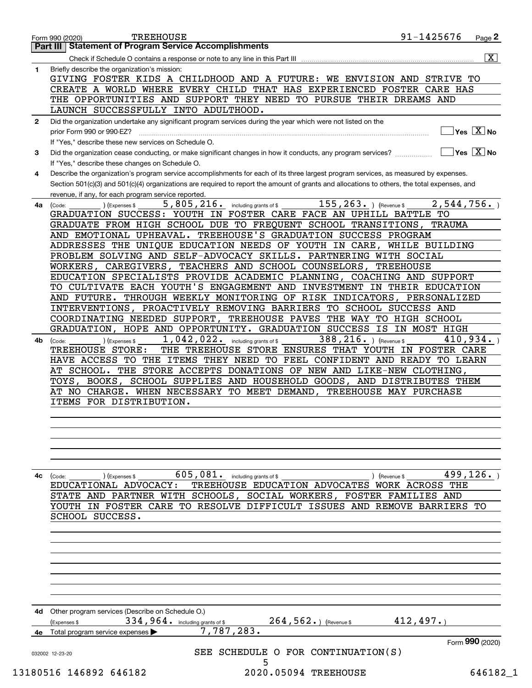|    | $\overline{\mathbf{x}}$                                                                                                                                |
|----|--------------------------------------------------------------------------------------------------------------------------------------------------------|
| 1  | Briefly describe the organization's mission:                                                                                                           |
|    | GIVING FOSTER KIDS A CHILDHOOD AND A FUTURE: WE ENVISION AND STRIVE TO                                                                                 |
|    | CREATE A WORLD WHERE EVERY CHILD THAT HAS EXPERIENCED FOSTER CARE HAS                                                                                  |
|    |                                                                                                                                                        |
|    | THE OPPORTUNITIES AND SUPPORT THEY NEED TO PURSUE THEIR DREAMS AND                                                                                     |
|    | LAUNCH SUCCESSFULLY INTO ADULTHOOD.                                                                                                                    |
| 2  | Did the organization undertake any significant program services during the year which were not listed on the                                           |
|    | $\sqrt{}$ Yes $\sqrt{X}$ No<br>prior Form 990 or 990-EZ?                                                                                               |
|    | If "Yes," describe these new services on Schedule O.                                                                                                   |
| 3  | $\sqrt{}$ Yes $\sqrt{}$ X $\sqrt{}$ No<br>Did the organization cease conducting, or make significant changes in how it conducts, any program services? |
|    | If "Yes," describe these changes on Schedule O.                                                                                                        |
| 4  | Describe the organization's program service accomplishments for each of its three largest program services, as measured by expenses.                   |
|    | Section 501(c)(3) and 501(c)(4) organizations are required to report the amount of grants and allocations to others, the total expenses, and           |
|    | revenue, if any, for each program service reported.                                                                                                    |
| 4a | 155, 263. ) (Revenue \$<br>2,544,756.<br>5,805,216.<br>including grants of \$                                                                          |
|    | (Code:<br>(Expenses \$<br>GRADUATION SUCCESS: YOUTH IN FOSTER CARE FACE AN UPHILL BATTLE TO                                                            |
|    |                                                                                                                                                        |
|    | GRADUATE FROM HIGH SCHOOL DUE TO FREQUENT SCHOOL TRANSITIONS,<br>TRAUMA                                                                                |
|    | AND EMOTIONAL UPHEAVAL. TREEHOUSE'S GRADUATION SUCCESS PROGRAM                                                                                         |
|    | ADDRESSES THE UNIQUE EDUCATION NEEDS OF YOUTH IN CARE, WHILE BUILDING                                                                                  |
|    | PROBLEM SOLVING AND SELF-ADVOCACY SKILLS. PARTNERING WITH SOCIAL                                                                                       |
|    | WORKERS, CAREGIVERS,<br>TEACHERS AND SCHOOL COUNSELORS,<br>TREEHOUSE                                                                                   |
|    | EDUCATION SPECIALISTS PROVIDE ACADEMIC PLANNING, COACHING AND SUPPORT                                                                                  |
|    | TO CULTIVATE EACH YOUTH'S ENGAGEMENT AND INVESTMENT IN THEIR EDUCATION                                                                                 |
|    | THROUGH WEEKLY MONITORING OF RISK INDICATORS, PERSONALIZED<br>AND FUTURE.                                                                              |
|    | INTERVENTIONS, PROACTIVELY REMOVING BARRIERS TO SCHOOL SUCCESS AND                                                                                     |
|    | TREEHOUSE PAVES THE WAY TO HIGH SCHOOL<br>COORDINATING NEEDED SUPPORT,                                                                                 |
|    | GRADUATION, HOPE AND OPPORTUNITY. GRADUATION SUCCESS IS IN MOST HIGH                                                                                   |
| 4b | 1, 042, 022. including grants of \$<br>388, 216. ) (Revenue \$<br>410,934.<br>) (Expenses \$<br>(Code:                                                 |
|    | THE TREEHOUSE STORE ENSURES THAT YOUTH IN FOSTER CARE<br>TREEHOUSE STORE:                                                                              |
|    | HAVE ACCESS TO THE ITEMS THEY NEED TO FEEL CONFIDENT AND READY TO LEARN                                                                                |
|    |                                                                                                                                                        |
|    | THE STORE ACCEPTS DONATIONS OF NEW AND LIKE-NEW CLOTHING,<br>AT SCHOOL.                                                                                |
|    | SCHOOL SUPPLIES AND HOUSEHOLD GOODS, AND DISTRIBUTES THEM<br>TOYS, BOOKS,                                                                              |
|    | AT NO CHARGE. WHEN NECESSARY TO MEET DEMAND, TREEHOUSE MAY PURCHASE                                                                                    |
|    | ITEMS FOR DISTRIBUTION.                                                                                                                                |
|    |                                                                                                                                                        |
|    |                                                                                                                                                        |
|    |                                                                                                                                                        |
|    |                                                                                                                                                        |
|    |                                                                                                                                                        |
|    |                                                                                                                                                        |
| 4с | $\overline{605}$ , $081$ . including grants of \$<br>499,126.<br>) (Expenses \$<br>) (Revenue \$<br>(Code:                                             |
|    | EDUCATIONAL ADVOCACY:<br>TREEHOUSE EDUCATION ADVOCATES WORK ACROSS THE                                                                                 |
|    | STATE AND PARTNER WITH SCHOOLS, SOCIAL WORKERS, FOSTER FAMILIES AND                                                                                    |
|    | YOUTH IN FOSTER CARE TO RESOLVE DIFFICULT ISSUES AND REMOVE BARRIERS TO                                                                                |
|    | SCHOOL SUCCESS.                                                                                                                                        |
|    |                                                                                                                                                        |
|    |                                                                                                                                                        |
|    |                                                                                                                                                        |
|    |                                                                                                                                                        |
|    |                                                                                                                                                        |
|    |                                                                                                                                                        |
|    |                                                                                                                                                        |
|    |                                                                                                                                                        |
|    |                                                                                                                                                        |
| 4d | Other program services (Describe on Schedule O.)                                                                                                       |
|    | 412, 497.<br>334,964. including grants of \$<br>$264, 562.$ (Revenue \$<br>(Expenses \$                                                                |
|    | 7,787,283.<br>4e Total program service expenses                                                                                                        |
|    |                                                                                                                                                        |
|    |                                                                                                                                                        |
|    | Form 990 (2020)                                                                                                                                        |
|    | SEE SCHEDULE O FOR CONTINUATION(S)<br>032002 12-23-20<br>5                                                                                             |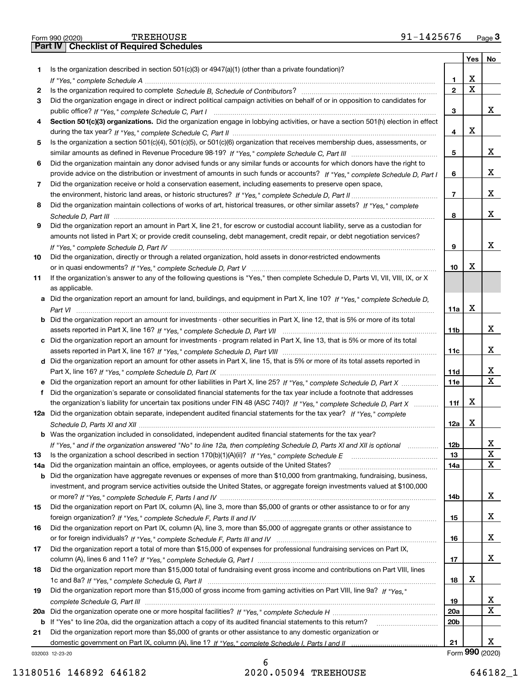|     | <b>TREEHOUSE</b><br>91-1425676<br>Form 990 (2020)                                                                                     |                 |                         | $Page$ <sup>3</sup>     |
|-----|---------------------------------------------------------------------------------------------------------------------------------------|-----------------|-------------------------|-------------------------|
|     | <b>Part IV   Checklist of Required Schedules</b>                                                                                      |                 |                         |                         |
|     |                                                                                                                                       |                 | Yes                     | No                      |
| 1   | Is the organization described in section $501(c)(3)$ or $4947(a)(1)$ (other than a private foundation)?                               |                 |                         |                         |
|     |                                                                                                                                       | 1               | x                       |                         |
| 2   |                                                                                                                                       | $\mathbf{2}$    | $\overline{\textbf{X}}$ |                         |
| 3   | Did the organization engage in direct or indirect political campaign activities on behalf of or in opposition to candidates for       |                 |                         |                         |
|     |                                                                                                                                       | 3               |                         | x                       |
| 4   | Section 501(c)(3) organizations. Did the organization engage in lobbying activities, or have a section 501(h) election in effect      |                 |                         |                         |
|     |                                                                                                                                       | 4               | х                       |                         |
| 5   | Is the organization a section 501(c)(4), 501(c)(5), or 501(c)(6) organization that receives membership dues, assessments, or          |                 |                         |                         |
|     |                                                                                                                                       | 5               |                         | x                       |
| 6   | Did the organization maintain any donor advised funds or any similar funds or accounts for which donors have the right to             |                 |                         |                         |
|     | provide advice on the distribution or investment of amounts in such funds or accounts? If "Yes," complete Schedule D, Part I          | 6               |                         | x                       |
|     |                                                                                                                                       |                 |                         |                         |
| 7   | Did the organization receive or hold a conservation easement, including easements to preserve open space,                             | $\overline{7}$  |                         | X                       |
|     |                                                                                                                                       |                 |                         |                         |
| 8   | Did the organization maintain collections of works of art, historical treasures, or other similar assets? If "Yes," complete          |                 |                         |                         |
|     |                                                                                                                                       | 8               |                         | x                       |
| 9   | Did the organization report an amount in Part X, line 21, for escrow or custodial account liability, serve as a custodian for         |                 |                         |                         |
|     | amounts not listed in Part X; or provide credit counseling, debt management, credit repair, or debt negotiation services?             |                 |                         |                         |
|     |                                                                                                                                       | 9               |                         | X                       |
| 10  | Did the organization, directly or through a related organization, hold assets in donor-restricted endowments                          |                 |                         |                         |
|     |                                                                                                                                       | 10              | х                       |                         |
| 11  | If the organization's answer to any of the following questions is "Yes," then complete Schedule D, Parts VI, VII, VIII, IX, or X      |                 |                         |                         |
|     | as applicable.                                                                                                                        |                 |                         |                         |
|     | a Did the organization report an amount for land, buildings, and equipment in Part X, line 10? If "Yes," complete Schedule D,         |                 |                         |                         |
|     |                                                                                                                                       | 11a             | Х                       |                         |
|     | <b>b</b> Did the organization report an amount for investments - other securities in Part X, line 12, that is 5% or more of its total |                 |                         |                         |
|     |                                                                                                                                       | 11b             |                         | x                       |
|     | c Did the organization report an amount for investments - program related in Part X, line 13, that is 5% or more of its total         |                 |                         |                         |
|     |                                                                                                                                       | 11c             |                         | x                       |
|     | d Did the organization report an amount for other assets in Part X, line 15, that is 5% or more of its total assets reported in       |                 |                         |                         |
|     |                                                                                                                                       | 11d             |                         | x                       |
|     | e Did the organization report an amount for other liabilities in Part X, line 25? If "Yes," complete Schedule D, Part X               | <b>11e</b>      |                         | $\overline{\mathtt{x}}$ |
| f   | Did the organization's separate or consolidated financial statements for the tax year include a footnote that addresses               |                 |                         |                         |
|     | the organization's liability for uncertain tax positions under FIN 48 (ASC 740)? If "Yes," complete Schedule D, Part X                | 11f             | x                       |                         |
|     | 12a Did the organization obtain separate, independent audited financial statements for the tax year? If "Yes," complete               |                 |                         |                         |
|     |                                                                                                                                       | 12a             | X                       |                         |
|     | b Was the organization included in consolidated, independent audited financial statements for the tax year?                           |                 |                         |                         |
|     |                                                                                                                                       |                 |                         | X                       |
| 13  | If "Yes," and if the organization answered "No" to line 12a, then completing Schedule D, Parts XI and XII is optional manum           | 12b<br>13       |                         | $\overline{\textbf{x}}$ |
|     |                                                                                                                                       |                 |                         | X                       |
| 14a | Did the organization maintain an office, employees, or agents outside of the United States?                                           | 14a             |                         |                         |
| b   | Did the organization have aggregate revenues or expenses of more than \$10,000 from grantmaking, fundraising, business,               |                 |                         |                         |
|     | investment, and program service activities outside the United States, or aggregate foreign investments valued at \$100,000            |                 |                         |                         |
|     |                                                                                                                                       | 14b             |                         | x                       |
| 15  | Did the organization report on Part IX, column (A), line 3, more than \$5,000 of grants or other assistance to or for any             |                 |                         |                         |
|     |                                                                                                                                       | 15              |                         | x                       |
| 16  | Did the organization report on Part IX, column (A), line 3, more than \$5,000 of aggregate grants or other assistance to              |                 |                         |                         |
|     |                                                                                                                                       | 16              |                         | x                       |
| 17  | Did the organization report a total of more than \$15,000 of expenses for professional fundraising services on Part IX,               |                 |                         |                         |
|     |                                                                                                                                       | 17              |                         | x                       |
| 18  | Did the organization report more than \$15,000 total of fundraising event gross income and contributions on Part VIII, lines          |                 |                         |                         |
|     |                                                                                                                                       | 18              | x                       |                         |
| 19  | Did the organization report more than \$15,000 of gross income from gaming activities on Part VIII, line 9a? If "Yes."                |                 |                         |                         |
|     |                                                                                                                                       | 19              |                         | X,                      |
|     |                                                                                                                                       | 20a             |                         | $\overline{\mathbf{X}}$ |
|     | b If "Yes" to line 20a, did the organization attach a copy of its audited financial statements to this return?                        | 20 <sub>b</sub> |                         |                         |
| 21  | Did the organization report more than \$5,000 of grants or other assistance to any domestic organization or                           |                 |                         |                         |
|     |                                                                                                                                       | 21              |                         | x                       |
|     | 032003 12-23-20                                                                                                                       |                 |                         | Form 990 (2020)         |

032003 12-23-20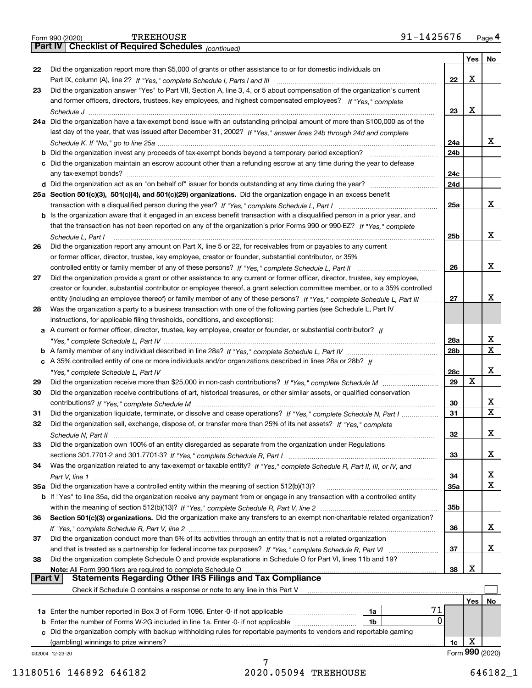|        | 91-1425676<br><b>TREEHOUSE</b><br>Form 990 (2020)                                                                            |                 |     | Page 4                  |
|--------|------------------------------------------------------------------------------------------------------------------------------|-----------------|-----|-------------------------|
|        | Part IV   Checklist of Required Schedules (continued)                                                                        |                 |     |                         |
|        |                                                                                                                              |                 | Yes | No                      |
| 22     | Did the organization report more than \$5,000 of grants or other assistance to or for domestic individuals on                |                 |     |                         |
|        |                                                                                                                              | 22              | х   |                         |
| 23     | Did the organization answer "Yes" to Part VII, Section A, line 3, 4, or 5 about compensation of the organization's current   |                 |     |                         |
|        | and former officers, directors, trustees, key employees, and highest compensated employees? If "Yes," complete               |                 |     |                         |
|        |                                                                                                                              | 23              | Х   |                         |
|        | 24a Did the organization have a tax-exempt bond issue with an outstanding principal amount of more than \$100,000 as of the  |                 |     |                         |
|        | last day of the year, that was issued after December 31, 2002? If "Yes," answer lines 24b through 24d and complete           |                 |     |                         |
|        |                                                                                                                              | 24a             |     | x                       |
|        |                                                                                                                              | 24 <sub>b</sub> |     |                         |
|        | c Did the organization maintain an escrow account other than a refunding escrow at any time during the year to defease       |                 |     |                         |
|        |                                                                                                                              | 24c             |     |                         |
|        |                                                                                                                              | 24d             |     |                         |
|        | 25a Section 501(c)(3), 501(c)(4), and 501(c)(29) organizations. Did the organization engage in an excess benefit             |                 |     |                         |
|        |                                                                                                                              | 25a             |     | X                       |
|        | b Is the organization aware that it engaged in an excess benefit transaction with a disqualified person in a prior year, and |                 |     |                         |
|        | that the transaction has not been reported on any of the organization's prior Forms 990 or 990-EZ? If "Yes," complete        |                 |     |                         |
|        | Schedule L, Part I                                                                                                           | 25b             |     | x                       |
| 26     | Did the organization report any amount on Part X, line 5 or 22, for receivables from or payables to any current              |                 |     |                         |
|        | or former officer, director, trustee, key employee, creator or founder, substantial contributor, or 35%                      |                 |     |                         |
|        |                                                                                                                              | 26              |     | x                       |
| 27     | Did the organization provide a grant or other assistance to any current or former officer, director, trustee, key employee,  |                 |     |                         |
|        | creator or founder, substantial contributor or employee thereof, a grant selection committee member, or to a 35% controlled  |                 |     |                         |
|        | entity (including an employee thereof) or family member of any of these persons? If "Yes," complete Schedule L, Part III     | 27              |     | х                       |
|        | Was the organization a party to a business transaction with one of the following parties (see Schedule L, Part IV            |                 |     |                         |
| 28     |                                                                                                                              |                 |     |                         |
|        | instructions, for applicable filing thresholds, conditions, and exceptions):                                                 |                 |     |                         |
|        | a A current or former officer, director, trustee, key employee, creator or founder, or substantial contributor? If           |                 |     | х                       |
|        |                                                                                                                              | 28a             |     | $\mathbf{x}$            |
|        |                                                                                                                              | 28b             |     |                         |
|        | c A 35% controlled entity of one or more individuals and/or organizations described in lines 28a or 28b? If                  |                 |     |                         |
|        |                                                                                                                              | 28c             |     | x                       |
| 29     |                                                                                                                              | 29              | Х   |                         |
| 30     | Did the organization receive contributions of art, historical treasures, or other similar assets, or qualified conservation  |                 |     |                         |
|        |                                                                                                                              | 30              |     | X                       |
| 31     | Did the organization liquidate, terminate, or dissolve and cease operations? If "Yes," complete Schedule N, Part I           | 31              |     | $\overline{\mathbf{X}}$ |
|        | Did the organization sell, exchange, dispose of, or transfer more than 25% of its net assets? If "Yes," complete             |                 |     |                         |
|        |                                                                                                                              | 32              |     | X                       |
| 33     | Did the organization own 100% of an entity disregarded as separate from the organization under Regulations                   |                 |     |                         |
|        |                                                                                                                              | 33              |     | x                       |
| 34     | Was the organization related to any tax-exempt or taxable entity? If "Yes," complete Schedule R, Part II, III, or IV, and    |                 |     |                         |
|        |                                                                                                                              | 34              |     | x                       |
|        | 35a Did the organization have a controlled entity within the meaning of section 512(b)(13)?                                  | <b>35a</b>      |     | $\overline{\mathbf{X}}$ |
|        | b If "Yes" to line 35a, did the organization receive any payment from or engage in any transaction with a controlled entity  |                 |     |                         |
|        |                                                                                                                              | 35b             |     |                         |
| 36     | Section 501(c)(3) organizations. Did the organization make any transfers to an exempt non-charitable related organization?   |                 |     |                         |
|        |                                                                                                                              | 36              |     | x                       |
| 37     | Did the organization conduct more than 5% of its activities through an entity that is not a related organization             |                 |     |                         |
|        |                                                                                                                              | 37              |     | x                       |
| 38     | Did the organization complete Schedule O and provide explanations in Schedule O for Part VI, lines 11b and 19?               |                 |     |                         |
|        |                                                                                                                              | 38              | х   |                         |
| Part V | <b>Statements Regarding Other IRS Filings and Tax Compliance</b>                                                             |                 |     |                         |
|        | Check if Schedule O contains a response or note to any line in this Part V                                                   |                 |     |                         |
|        |                                                                                                                              |                 | Yes | No                      |
|        | 1a Enter the number reported in Box 3 of Form 1096. Enter -0- if not applicable<br>1a                                        | 71              |     |                         |
|        | <b>b</b> Enter the number of Forms W-2G included in line 1a. Enter -0- if not applicable<br>1b                               | 0               |     |                         |
|        | c Did the organization comply with backup withholding rules for reportable payments to vendors and reportable gaming         |                 |     |                         |
|        |                                                                                                                              | 1c              | х   |                         |
|        | 032004 12-23-20                                                                                                              |                 |     | Form 990 (2020)         |
|        |                                                                                                                              |                 |     |                         |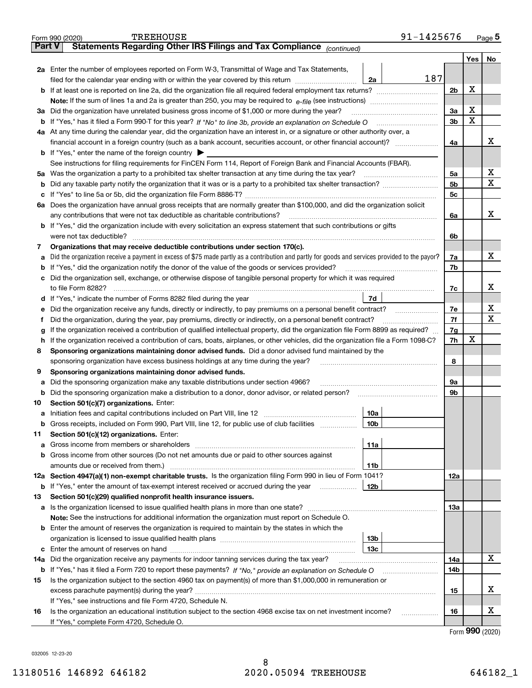|               | 91-1425676<br><b>TREEHOUSE</b><br>Form 990 (2020)                                                                                               |                |     | $Page$ <sup>5</sup> |  |  |  |  |  |  |
|---------------|-------------------------------------------------------------------------------------------------------------------------------------------------|----------------|-----|---------------------|--|--|--|--|--|--|
| <b>Part V</b> | Statements Regarding Other IRS Filings and Tax Compliance (continued)                                                                           |                |     |                     |  |  |  |  |  |  |
|               |                                                                                                                                                 |                | Yes | No                  |  |  |  |  |  |  |
|               | 2a Enter the number of employees reported on Form W-3, Transmittal of Wage and Tax Statements,                                                  |                |     |                     |  |  |  |  |  |  |
|               | 187<br>filed for the calendar year ending with or within the year covered by this return<br>2a                                                  |                |     |                     |  |  |  |  |  |  |
|               | <b>b</b> If at least one is reported on line 2a, did the organization file all required federal employment tax returns?                         |                |     |                     |  |  |  |  |  |  |
|               | <b>Note:</b> If the sum of lines 1a and 2a is greater than 250, you may be required to $e$ -file (see instructions) <i>manimummmmmm</i>         |                |     |                     |  |  |  |  |  |  |
|               | 3a Did the organization have unrelated business gross income of \$1,000 or more during the year?                                                |                |     |                     |  |  |  |  |  |  |
|               |                                                                                                                                                 | 3 <sub>b</sub> | X   |                     |  |  |  |  |  |  |
|               | 4a At any time during the calendar year, did the organization have an interest in, or a signature or other authority over, a                    |                |     |                     |  |  |  |  |  |  |
|               |                                                                                                                                                 | 4a             |     | X                   |  |  |  |  |  |  |
|               | <b>b</b> If "Yes," enter the name of the foreign country $\triangleright$                                                                       |                |     |                     |  |  |  |  |  |  |
|               | See instructions for filing requirements for FinCEN Form 114, Report of Foreign Bank and Financial Accounts (FBAR).                             |                |     |                     |  |  |  |  |  |  |
|               | 5a Was the organization a party to a prohibited tax shelter transaction at any time during the tax year?                                        | 5a             |     | х                   |  |  |  |  |  |  |
|               |                                                                                                                                                 | 5 <sub>b</sub> |     | х                   |  |  |  |  |  |  |
| c             |                                                                                                                                                 | 5 <sub>c</sub> |     |                     |  |  |  |  |  |  |
|               | 6a Does the organization have annual gross receipts that are normally greater than \$100,000, and did the organization solicit                  |                |     |                     |  |  |  |  |  |  |
|               | any contributions that were not tax deductible as charitable contributions?                                                                     | 6a             |     | x                   |  |  |  |  |  |  |
|               | <b>b</b> If "Yes," did the organization include with every solicitation an express statement that such contributions or gifts                   |                |     |                     |  |  |  |  |  |  |
|               | were not tax deductible?                                                                                                                        | 6b             |     |                     |  |  |  |  |  |  |
| 7             | Organizations that may receive deductible contributions under section 170(c).                                                                   |                |     |                     |  |  |  |  |  |  |
| a             | Did the organization receive a payment in excess of \$75 made partly as a contribution and partly for goods and services provided to the payor? | 7a             |     | x                   |  |  |  |  |  |  |
| b             | If "Yes," did the organization notify the donor of the value of the goods or services provided?                                                 | 7b             |     |                     |  |  |  |  |  |  |
|               | c Did the organization sell, exchange, or otherwise dispose of tangible personal property for which it was required                             |                |     |                     |  |  |  |  |  |  |
|               | to file Form 8282?                                                                                                                              | 7c             |     | x                   |  |  |  |  |  |  |
|               | 7d                                                                                                                                              |                |     |                     |  |  |  |  |  |  |
| е             | Did the organization receive any funds, directly or indirectly, to pay premiums on a personal benefit contract?                                 | 7e             |     | х                   |  |  |  |  |  |  |
| Ť.            | Did the organization, during the year, pay premiums, directly or indirectly, on a personal benefit contract?                                    | 7f             |     | X                   |  |  |  |  |  |  |
| g             | If the organization received a contribution of qualified intellectual property, did the organization file Form 8899 as required?                |                |     |                     |  |  |  |  |  |  |
| h.            | If the organization received a contribution of cars, boats, airplanes, or other vehicles, did the organization file a Form 1098-C?              |                |     |                     |  |  |  |  |  |  |
| 8             | Sponsoring organizations maintaining donor advised funds. Did a donor advised fund maintained by the                                            |                |     |                     |  |  |  |  |  |  |
|               | sponsoring organization have excess business holdings at any time during the year?                                                              | 8              |     |                     |  |  |  |  |  |  |
| 9             | Sponsoring organizations maintaining donor advised funds.                                                                                       |                |     |                     |  |  |  |  |  |  |
| а             | Did the sponsoring organization make any taxable distributions under section 4966?                                                              | 9a             |     |                     |  |  |  |  |  |  |
| b             | Did the sponsoring organization make a distribution to a donor, donor advisor, or related person?                                               | 9b             |     |                     |  |  |  |  |  |  |
| 10            | Section 501(c)(7) organizations. Enter:                                                                                                         |                |     |                     |  |  |  |  |  |  |
|               | 10a                                                                                                                                             |                |     |                     |  |  |  |  |  |  |
| b             | Gross receipts, included on Form 990, Part VIII, line 12, for public use of club facilities<br>10b                                              |                |     |                     |  |  |  |  |  |  |
| 11            | Section 501(c)(12) organizations. Enter:                                                                                                        |                |     |                     |  |  |  |  |  |  |
| а             | 11a                                                                                                                                             |                |     |                     |  |  |  |  |  |  |
| b             | Gross income from other sources (Do not net amounts due or paid to other sources against                                                        |                |     |                     |  |  |  |  |  |  |
|               | amounts due or received from them.)<br>11b                                                                                                      |                |     |                     |  |  |  |  |  |  |
|               | 12a Section 4947(a)(1) non-exempt charitable trusts. Is the organization filing Form 990 in lieu of Form 1041?                                  | 12a            |     |                     |  |  |  |  |  |  |
| b             | If "Yes," enter the amount of tax-exempt interest received or accrued during the year<br>12b                                                    |                |     |                     |  |  |  |  |  |  |
| 13            | Section 501(c)(29) qualified nonprofit health insurance issuers.                                                                                |                |     |                     |  |  |  |  |  |  |
|               | <b>a</b> Is the organization licensed to issue qualified health plans in more than one state?                                                   | 13а            |     |                     |  |  |  |  |  |  |
|               | <b>Note:</b> See the instructions for additional information the organization must report on Schedule O.                                        |                |     |                     |  |  |  |  |  |  |
|               | <b>b</b> Enter the amount of reserves the organization is required to maintain by the states in which the                                       |                |     |                     |  |  |  |  |  |  |
|               | 13 <sub>b</sub>                                                                                                                                 |                |     |                     |  |  |  |  |  |  |
|               | 13 <sub>c</sub>                                                                                                                                 |                |     |                     |  |  |  |  |  |  |
| 14a           | Did the organization receive any payments for indoor tanning services during the tax year?                                                      | 14a            |     | x                   |  |  |  |  |  |  |
| b             |                                                                                                                                                 | 14b            |     |                     |  |  |  |  |  |  |
| 15            | Is the organization subject to the section 4960 tax on payment(s) of more than \$1,000,000 in remuneration or                                   |                |     |                     |  |  |  |  |  |  |
|               |                                                                                                                                                 | 15             |     | х                   |  |  |  |  |  |  |
|               | If "Yes," see instructions and file Form 4720, Schedule N.                                                                                      |                |     |                     |  |  |  |  |  |  |
| 16            | Is the organization an educational institution subject to the section 4968 excise tax on net investment income?<br>.                            | 16             |     | х                   |  |  |  |  |  |  |
|               | If "Yes," complete Form 4720, Schedule O.                                                                                                       |                |     |                     |  |  |  |  |  |  |

|  | Form 990 (2020) |
|--|-----------------|
|--|-----------------|

032005 12-23-20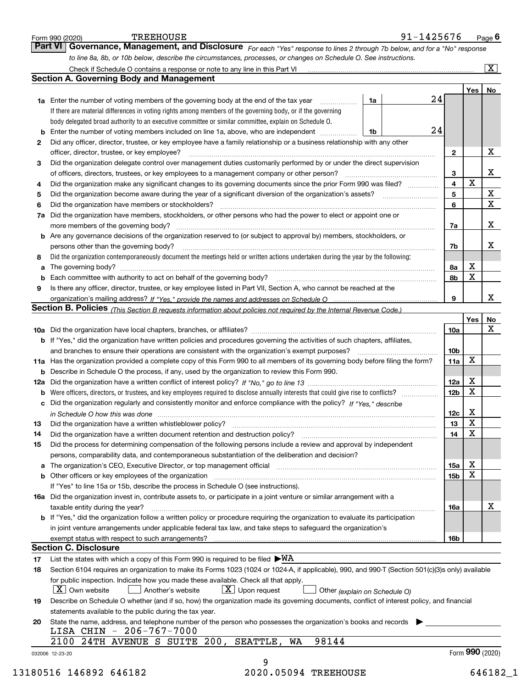|     | <b>TREEHOUSE</b><br>Form 990 (2020)<br>Part VI                                                                                                   | 91-1425676 |                  |                   | Page $6$                   |
|-----|--------------------------------------------------------------------------------------------------------------------------------------------------|------------|------------------|-------------------|----------------------------|
|     | Governance, Management, and Disclosure For each "Yes" response to lines 2 through 7b below, and for a "No" response                              |            |                  |                   |                            |
|     | to line 8a, 8b, or 10b below, describe the circumstances, processes, or changes on Schedule O. See instructions.                                 |            |                  |                   |                            |
|     |                                                                                                                                                  |            |                  |                   | $\boxed{\text{X}}$         |
|     | <b>Section A. Governing Body and Management</b>                                                                                                  |            |                  |                   |                            |
|     |                                                                                                                                                  | 24         |                  | Yes               | No                         |
|     | <b>1a</b> Enter the number of voting members of the governing body at the end of the tax year<br>1a                                              |            |                  |                   |                            |
|     | If there are material differences in voting rights among members of the governing body, or if the governing                                      |            |                  |                   |                            |
|     | body delegated broad authority to an executive committee or similar committee, explain on Schedule O.                                            | 24         |                  |                   |                            |
|     | Enter the number of voting members included on line 1a, above, who are independent<br>1b                                                         |            |                  |                   |                            |
| 2   | Did any officer, director, trustee, or key employee have a family relationship or a business relationship with any other                         |            |                  |                   |                            |
|     | officer, director, trustee, or key employee?                                                                                                     |            | $\mathbf{2}$     |                   | X                          |
| 3   | Did the organization delegate control over management duties customarily performed by or under the direct supervision                            |            |                  |                   |                            |
|     | of officers, directors, trustees, or key employees to a management company or other person?                                                      |            | 3                | X                 | X                          |
| 4   | Did the organization make any significant changes to its governing documents since the prior Form 990 was filed?                                 |            | 4                |                   |                            |
| 5   |                                                                                                                                                  |            | 5                |                   | $\mathbf X$<br>$\mathbf X$ |
| 6   | Did the organization have members or stockholders?                                                                                               |            | 6                |                   |                            |
| 7a  | Did the organization have members, stockholders, or other persons who had the power to elect or appoint one or                                   |            |                  |                   |                            |
|     |                                                                                                                                                  |            | 7a               |                   | X                          |
|     | b Are any governance decisions of the organization reserved to (or subject to approval by) members, stockholders, or                             |            |                  |                   |                            |
|     | persons other than the governing body?                                                                                                           |            | 7b               |                   | х                          |
| 8   | Did the organization contemporaneously document the meetings held or written actions undertaken during the year by the following:                |            |                  |                   |                            |
| a   |                                                                                                                                                  |            | 8а               | х                 |                            |
| b   |                                                                                                                                                  |            | 8b               | X                 |                            |
| 9   | Is there any officer, director, trustee, or key employee listed in Part VII, Section A, who cannot be reached at the                             |            |                  |                   |                            |
|     |                                                                                                                                                  |            | 9                |                   | X                          |
|     | Section B. Policies (This Section B requests information about policies not required by the Internal Revenue Code.)                              |            |                  |                   |                            |
|     |                                                                                                                                                  |            |                  | Yes               | No                         |
|     |                                                                                                                                                  |            | 10a              |                   | X                          |
|     | b If "Yes," did the organization have written policies and procedures governing the activities of such chapters, affiliates,                     |            |                  |                   |                            |
|     |                                                                                                                                                  |            | 10b              |                   |                            |
|     | 11a Has the organization provided a complete copy of this Form 990 to all members of its governing body before filing the form?                  |            | 11a              | x                 |                            |
|     | <b>b</b> Describe in Schedule O the process, if any, used by the organization to review this Form 990.                                           |            |                  |                   |                            |
| 12a |                                                                                                                                                  |            | 12a              | Х                 |                            |
| b   | Were officers, directors, or trustees, and key employees required to disclose annually interests that could give rise to conflicts?              |            | 12 <sub>b</sub>  | X                 |                            |
| c   | Did the organization regularly and consistently monitor and enforce compliance with the policy? If "Yes," describe                               |            |                  |                   |                            |
|     | in Schedule O how this was done <i>maching and a content of the series</i> and the series of the series of the series o                          |            | 12c              | X<br>$\, {\rm X}$ |                            |
|     |                                                                                                                                                  |            | 13 <sup>13</sup> |                   |                            |
| 14  | Did the organization have a written document retention and destruction policy? [11] manufaction: manufaction policy?                             |            | 14               | х                 |                            |
| 15  | Did the process for determining compensation of the following persons include a review and approval by independent                               |            |                  |                   |                            |
|     | persons, comparability data, and contemporaneous substantiation of the deliberation and decision?                                                |            |                  | X                 |                            |
|     |                                                                                                                                                  |            | 15a              | х                 |                            |
|     |                                                                                                                                                  |            | 15b              |                   |                            |
|     | If "Yes" to line 15a or 15b, describe the process in Schedule O (see instructions).                                                              |            |                  |                   |                            |
|     | 16a Did the organization invest in, contribute assets to, or participate in a joint venture or similar arrangement with a                        |            |                  |                   | х                          |
|     | taxable entity during the year?                                                                                                                  |            | 16a              |                   |                            |
|     | b If "Yes," did the organization follow a written policy or procedure requiring the organization to evaluate its participation                   |            |                  |                   |                            |
|     | in joint venture arrangements under applicable federal tax law, and take steps to safeguard the organization's                                   |            |                  |                   |                            |
|     | <b>Section C. Disclosure</b>                                                                                                                     |            | 16b              |                   |                            |
|     |                                                                                                                                                  |            |                  |                   |                            |
| 17  | List the states with which a copy of this Form 990 is required to be filed $\blacktriangleright\text{WA}$                                        |            |                  |                   |                            |
| 18  | Section 6104 requires an organization to make its Forms 1023 (1024 or 1024-A, if applicable), 990, and 990-T (Section 501(c)(3)s only) available |            |                  |                   |                            |
|     | for public inspection. Indicate how you made these available. Check all that apply.                                                              |            |                  |                   |                            |
|     | X   Own website<br>$\lfloor x \rfloor$ Upon request<br>Another's website<br>Other (explain on Schedule O)                                        |            |                  |                   |                            |
| 19  | Describe on Schedule O whether (and if so, how) the organization made its governing documents, conflict of interest policy, and financial        |            |                  |                   |                            |
|     | statements available to the public during the tax year.                                                                                          |            |                  |                   |                            |
| 20  | State the name, address, and telephone number of the person who possesses the organization's books and records                                   |            |                  |                   |                            |
|     | LISA CHIN - 206-767-7000<br>2100 24TH AVENUE S SUITE 200, SEATTLE,<br>98144<br>WA                                                                |            |                  |                   |                            |
|     |                                                                                                                                                  |            |                  |                   |                            |
|     | 032006 12-23-20<br>9                                                                                                                             |            |                  | Form 990 (2020)   |                            |
|     |                                                                                                                                                  |            |                  |                   |                            |
|     | 2020.05094 TREEHOUSE<br>13180516 146892 646182                                                                                                   |            |                  |                   | 646182_1                   |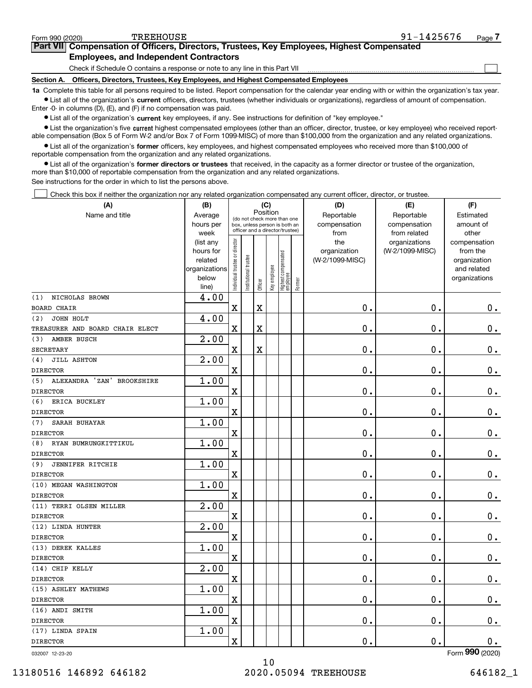$\mathcal{L}^{\text{max}}$ 

| orm 990 (2020) <sup>.</sup> | <b>TREEHOUSE</b>                                                                           | 91-1425676 | Page <i>I</i> |
|-----------------------------|--------------------------------------------------------------------------------------------|------------|---------------|
|                             | Part VII Compensation of Officers, Directors, Trustees, Key Employees, Highest Compensated |            |               |
|                             | <b>Employees, and Independent Contractors</b>                                              |            |               |

Check if Schedule O contains a response or note to any line in this Part VII

**Section A. Officers, Directors, Trustees, Key Employees, and Highest Compensated Employees**

**1a**  Complete this table for all persons required to be listed. Report compensation for the calendar year ending with or within the organization's tax year. **•** List all of the organization's current officers, directors, trustees (whether individuals or organizations), regardless of amount of compensation.

Enter -0- in columns (D), (E), and (F) if no compensation was paid.

 $\bullet$  List all of the organization's  $\,$ current key employees, if any. See instructions for definition of "key employee."

**•** List the organization's five current highest compensated employees (other than an officer, director, trustee, or key employee) who received reportable compensation (Box 5 of Form W-2 and/or Box 7 of Form 1099-MISC) of more than \$100,000 from the organization and any related organizations.

**•** List all of the organization's former officers, key employees, and highest compensated employees who received more than \$100,000 of reportable compensation from the organization and any related organizations.

**former directors or trustees**  ¥ List all of the organization's that received, in the capacity as a former director or trustee of the organization, more than \$10,000 of reportable compensation from the organization and any related organizations.

See instructions for the order in which to list the persons above.

Check this box if neither the organization nor any related organization compensated any current officer, director, or trustee.  $\mathcal{L}^{\text{max}}$ 

| (A)                                         | (B)                      |                                |                       |          | (C)          |                                  |        | (D)             | (E)             | (F)                         |
|---------------------------------------------|--------------------------|--------------------------------|-----------------------|----------|--------------|----------------------------------|--------|-----------------|-----------------|-----------------------------|
| Name and title                              | Average                  |                                |                       | Position |              | (do not check more than one      |        | Reportable      | Reportable      | Estimated                   |
|                                             | hours per                |                                |                       |          |              | box, unless person is both an    |        | compensation    | compensation    | amount of                   |
|                                             | week                     |                                |                       |          |              | officer and a director/trustee)  |        | from            | from related    | other                       |
|                                             | (list any                |                                |                       |          |              |                                  |        | the             | organizations   | compensation                |
|                                             | hours for                |                                |                       |          |              |                                  |        | organization    | (W-2/1099-MISC) | from the                    |
|                                             | related<br>organizations |                                |                       |          |              |                                  |        | (W-2/1099-MISC) |                 | organization<br>and related |
|                                             | below                    |                                |                       |          |              |                                  |        |                 |                 | organizations               |
|                                             | line)                    | Individual trustee or director | Institutional trustee | Officer  | Key employee | Highest compensated<br> employee | Former |                 |                 |                             |
| NICHOLAS BROWN<br>(1)                       | $\overline{4}$ .00       |                                |                       |          |              |                                  |        |                 |                 |                             |
| <b>BOARD CHAIR</b>                          |                          | X                              |                       | X        |              |                                  |        | 0.              | $\mathbf 0$ .   | 0.                          |
| JOHN HOLT<br>(2)                            | 4.00                     |                                |                       |          |              |                                  |        |                 |                 |                             |
| TREASURER AND BOARD CHAIR ELECT             |                          | X                              |                       | X        |              |                                  |        | 0.              | $\mathbf 0$ .   | 0.                          |
| AMBER BUSCH<br>(3)                          | 2.00                     |                                |                       |          |              |                                  |        |                 |                 |                             |
| <b>SECRETARY</b>                            |                          | $\mathbf X$                    |                       | X        |              |                                  |        | 0.              | $\mathbf 0$ .   | $0$ .                       |
| JILL ASHTON<br>(4)                          | $\overline{2.00}$        |                                |                       |          |              |                                  |        |                 |                 |                             |
| <b>DIRECTOR</b>                             |                          | X                              |                       |          |              |                                  |        | 0.              | $\mathbf 0$ .   | $\mathbf 0$ .               |
| ALEXANDRA 'ZAN'<br><b>BROOKSHIRE</b><br>(5) | 1.00                     |                                |                       |          |              |                                  |        |                 |                 |                             |
| <b>DIRECTOR</b>                             |                          | X                              |                       |          |              |                                  |        | 0.              | $\mathbf 0$ .   | $\mathbf 0$ .               |
| ERICA BUCKLEY<br>(6)                        | 1.00                     |                                |                       |          |              |                                  |        |                 |                 |                             |
| <b>DIRECTOR</b>                             |                          | X                              |                       |          |              |                                  |        | 0.              | $\mathbf 0$ .   | $\mathbf 0$ .               |
| <b>SARAH BUHAYAR</b><br>(7)                 | 1.00                     |                                |                       |          |              |                                  |        |                 |                 |                             |
| <b>DIRECTOR</b>                             |                          | X                              |                       |          |              |                                  |        | 0.              | $\mathbf 0$ .   | $\mathbf 0$ .               |
| RYAN BUMRUNGKITTIKUL<br>(8)                 | 1.00                     |                                |                       |          |              |                                  |        |                 |                 |                             |
| <b>DIRECTOR</b>                             |                          | X                              |                       |          |              |                                  |        | 0.              | $\mathbf 0$ .   | $\mathbf 0$ .               |
| <b>JENNIFER RITCHIE</b><br>(9)              | 1.00                     |                                |                       |          |              |                                  |        |                 |                 |                             |
| <b>DIRECTOR</b>                             |                          | X                              |                       |          |              |                                  |        | 0.              | $\mathbf 0$ .   | $\mathbf 0$ .               |
| (10) MEGAN WASHINGTON                       | 1.00                     |                                |                       |          |              |                                  |        |                 |                 |                             |
| <b>DIRECTOR</b>                             |                          | X                              |                       |          |              |                                  |        | 0.              | $\mathbf 0$ .   | $\mathbf 0$ .               |
| (11) TERRI OLSEN MILLER                     | $\overline{2.00}$        |                                |                       |          |              |                                  |        |                 |                 |                             |
| <b>DIRECTOR</b>                             |                          | X                              |                       |          |              |                                  |        | 0.              | $\mathbf 0$ .   | $\mathbf 0$ .               |
| (12) LINDA HUNTER                           | $\overline{2.00}$        |                                |                       |          |              |                                  |        |                 |                 |                             |
| <b>DIRECTOR</b>                             |                          | X                              |                       |          |              |                                  |        | 0.              | 0.              | $\mathbf 0$ .               |
| (13) DEREK KALLES                           | 1.00                     |                                |                       |          |              |                                  |        |                 |                 |                             |
| <b>DIRECTOR</b>                             |                          | X                              |                       |          |              |                                  |        | 0.              | 0.              | 0.                          |
| (14) CHIP KELLY                             | 2.00                     |                                |                       |          |              |                                  |        |                 |                 |                             |
| <b>DIRECTOR</b>                             |                          | X                              |                       |          |              |                                  |        | 0.              | $\mathbf 0$ .   | 0.                          |
| (15) ASHLEY MATHEWS                         | 1.00                     |                                |                       |          |              |                                  |        |                 |                 |                             |
| <b>DIRECTOR</b>                             |                          | x                              |                       |          |              |                                  |        | $\mathbf 0$ .   | $\mathbf 0$ .   | 0.                          |
| (16) ANDI SMITH                             | 1.00                     |                                |                       |          |              |                                  |        |                 |                 |                             |
| <b>DIRECTOR</b>                             |                          | X                              |                       |          |              |                                  |        | $\mathbf 0$ .   | $\mathbf 0$ .   | 0.                          |
| (17) LINDA SPAIN                            | 1.00                     |                                |                       |          |              |                                  |        |                 |                 |                             |
| <b>DIRECTOR</b>                             |                          | x                              |                       |          |              |                                  |        | $\mathbf 0$ .   | $\mathbf 0$ .   | 0.                          |
| 032007 12-23-20                             |                          |                                |                       |          |              |                                  |        |                 |                 | Form 990 (2020)             |

Form (2020) **990**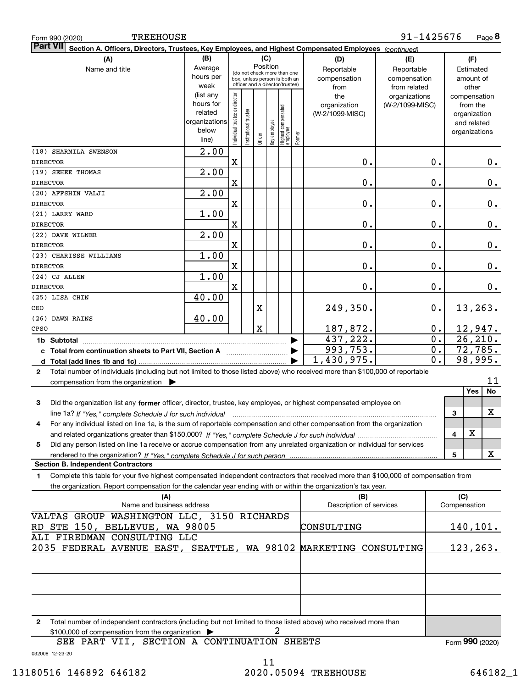| <b>TREEHOUSE</b><br>Form 990 (2020)                                                                                                                                                                                                                         |                    |                                |                                                                  |             |              |                                  |        |                                 | 91-1425676                       |          |              | Page 8                           |
|-------------------------------------------------------------------------------------------------------------------------------------------------------------------------------------------------------------------------------------------------------------|--------------------|--------------------------------|------------------------------------------------------------------|-------------|--------------|----------------------------------|--------|---------------------------------|----------------------------------|----------|--------------|----------------------------------|
| <b>Part VII</b><br>Section A. Officers, Directors, Trustees, Key Employees, and Highest Compensated Employees (continued)                                                                                                                                   |                    |                                |                                                                  |             |              |                                  |        |                                 |                                  |          |              |                                  |
| (A)                                                                                                                                                                                                                                                         | (B)                | (C)                            |                                                                  |             |              |                                  |        | (D)                             | (E)                              |          |              | (F)                              |
| Name and title                                                                                                                                                                                                                                              | Average            |                                | (do not check more than one                                      |             | Position     |                                  |        | Reportable                      | Reportable                       |          |              | Estimated                        |
|                                                                                                                                                                                                                                                             | hours per          |                                | box, unless person is both an<br>officer and a director/trustee) |             |              |                                  |        | compensation                    | compensation                     |          |              | amount of                        |
|                                                                                                                                                                                                                                                             | week<br>(list any  |                                |                                                                  |             |              |                                  |        | from                            | from related                     |          |              | other                            |
|                                                                                                                                                                                                                                                             | hours for          |                                |                                                                  |             |              |                                  |        | the                             | organizations<br>(W-2/1099-MISC) |          |              | compensation<br>from the         |
|                                                                                                                                                                                                                                                             | related            |                                |                                                                  |             |              |                                  |        | organization<br>(W-2/1099-MISC) |                                  |          |              | organization                     |
|                                                                                                                                                                                                                                                             | organizations      |                                |                                                                  |             |              |                                  |        |                                 |                                  |          |              | and related                      |
|                                                                                                                                                                                                                                                             | below              | Individual trustee or director | Institutional trustee                                            |             | Key employee |                                  |        |                                 |                                  |          |              | organizations                    |
|                                                                                                                                                                                                                                                             | line)              |                                |                                                                  | Officer     |              | Highest compensated<br> employee | Former |                                 |                                  |          |              |                                  |
| (18) SHARMILA SWENSON                                                                                                                                                                                                                                       | $\overline{2}$ .00 |                                |                                                                  |             |              |                                  |        |                                 |                                  |          |              |                                  |
| <b>DIRECTOR</b>                                                                                                                                                                                                                                             |                    | X                              |                                                                  |             |              |                                  |        | 0.                              |                                  | 0.       |              | 0.                               |
| (19) SEHEE THOMAS<br><b>DIRECTOR</b>                                                                                                                                                                                                                        | $\overline{2}$ .00 | $\mathbf X$                    |                                                                  |             |              |                                  |        | 0.                              |                                  | 0.       |              | 0.                               |
| (20) AFFSHIN VALJI                                                                                                                                                                                                                                          | $\overline{2}$ .00 |                                |                                                                  |             |              |                                  |        |                                 |                                  |          |              |                                  |
| <b>DIRECTOR</b>                                                                                                                                                                                                                                             |                    | X                              |                                                                  |             |              |                                  |        | 0.                              |                                  | 0.       |              | 0.                               |
| (21) LARRY WARD                                                                                                                                                                                                                                             | 1.00               |                                |                                                                  |             |              |                                  |        |                                 |                                  |          |              |                                  |
| <b>DIRECTOR</b>                                                                                                                                                                                                                                             |                    | X                              |                                                                  |             |              |                                  |        | 0.                              |                                  | 0.       |              | 0.                               |
| (22) DAVE WILNER                                                                                                                                                                                                                                            | $\overline{2}$ .00 |                                |                                                                  |             |              |                                  |        |                                 |                                  |          |              |                                  |
| <b>DIRECTOR</b>                                                                                                                                                                                                                                             |                    | X                              |                                                                  |             |              |                                  |        | 0.                              |                                  | 0.       |              | 0.                               |
| (23) CHARISSE WILLIAMS                                                                                                                                                                                                                                      | 1.00               |                                |                                                                  |             |              |                                  |        |                                 |                                  |          |              |                                  |
| <b>DIRECTOR</b>                                                                                                                                                                                                                                             |                    | X                              |                                                                  |             |              |                                  |        | 0.                              |                                  | 0.       |              | 0.                               |
| (24) CJ ALLEN                                                                                                                                                                                                                                               | 1.00               |                                |                                                                  |             |              |                                  |        |                                 |                                  |          |              |                                  |
| <b>DIRECTOR</b>                                                                                                                                                                                                                                             |                    | X                              |                                                                  |             |              |                                  |        | 0.                              |                                  | 0.       |              | 0.                               |
| (25) LISA CHIN                                                                                                                                                                                                                                              | 40.00              |                                |                                                                  |             |              |                                  |        |                                 |                                  |          |              |                                  |
| CEO                                                                                                                                                                                                                                                         |                    |                                |                                                                  | x           |              |                                  |        | 249,350.                        |                                  | 0.       |              | 13,263.                          |
| (26) DAWN RAINS<br>CPSO                                                                                                                                                                                                                                     | 40.00              |                                |                                                                  | $\mathbf X$ |              |                                  |        |                                 |                                  |          |              |                                  |
|                                                                                                                                                                                                                                                             |                    |                                |                                                                  |             |              |                                  |        | 187,872.<br>437,222.            |                                  | 0.<br>0. |              | 12,947.<br>$\overline{26, 210.}$ |
| 1b Subtotal                                                                                                                                                                                                                                                 |                    |                                |                                                                  |             |              |                                  |        | 993,753.                        |                                  | 0.       |              | 72,785.                          |
|                                                                                                                                                                                                                                                             |                    |                                |                                                                  |             |              |                                  |        | 1,430,975.                      |                                  | 0.       |              | 98,995.                          |
| Total number of individuals (including but not limited to those listed above) who received more than \$100,000 of reportable<br>$\mathbf{2}$                                                                                                                |                    |                                |                                                                  |             |              |                                  |        |                                 |                                  |          |              |                                  |
| compensation from the organization $\blacktriangleright$                                                                                                                                                                                                    |                    |                                |                                                                  |             |              |                                  |        |                                 |                                  |          |              | 11                               |
|                                                                                                                                                                                                                                                             |                    |                                |                                                                  |             |              |                                  |        |                                 |                                  |          |              | Yes<br>No                        |
| Did the organization list any former officer, director, trustee, key employee, or highest compensated employee on<br>3                                                                                                                                      |                    |                                |                                                                  |             |              |                                  |        |                                 |                                  |          |              |                                  |
| line 1a? If "Yes," complete Schedule J for such individual manufactured contained and the 1a? If "Yes," complete Schedule J for such individual                                                                                                             |                    |                                |                                                                  |             |              |                                  |        |                                 |                                  |          | 3            | X                                |
| For any individual listed on line 1a, is the sum of reportable compensation and other compensation from the organization<br>4                                                                                                                               |                    |                                |                                                                  |             |              |                                  |        |                                 |                                  |          |              |                                  |
|                                                                                                                                                                                                                                                             |                    |                                |                                                                  |             |              |                                  |        |                                 |                                  |          | 4            | х                                |
| Did any person listed on line 1a receive or accrue compensation from any unrelated organization or individual for services<br>5                                                                                                                             |                    |                                |                                                                  |             |              |                                  |        |                                 |                                  |          |              |                                  |
|                                                                                                                                                                                                                                                             |                    |                                |                                                                  |             |              |                                  |        |                                 |                                  |          | 5            | x                                |
| <b>Section B. Independent Contractors</b>                                                                                                                                                                                                                   |                    |                                |                                                                  |             |              |                                  |        |                                 |                                  |          |              |                                  |
| Complete this table for your five highest compensated independent contractors that received more than \$100,000 of compensation from<br>1<br>the organization. Report compensation for the calendar year ending with or within the organization's tax year. |                    |                                |                                                                  |             |              |                                  |        |                                 |                                  |          |              |                                  |
| (A)                                                                                                                                                                                                                                                         |                    |                                |                                                                  |             |              |                                  |        | (B)                             |                                  |          | (C)          |                                  |
| Name and business address                                                                                                                                                                                                                                   |                    |                                |                                                                  |             |              |                                  |        | Description of services         |                                  |          | Compensation |                                  |
| VALTAS GROUP WASHINGTON LLC, 3150 RICHARDS                                                                                                                                                                                                                  |                    |                                |                                                                  |             |              |                                  |        |                                 |                                  |          |              |                                  |
| RD STE 150, BELLEVUE, WA 98005                                                                                                                                                                                                                              |                    |                                |                                                                  |             |              |                                  |        | CONSULTING                      |                                  |          |              | <u>140,101.</u>                  |
| ALI FIREDMAN CONSULTING LLC                                                                                                                                                                                                                                 |                    |                                |                                                                  |             |              |                                  |        |                                 |                                  |          |              |                                  |
| 2035 FEDERAL AVENUE EAST, SEATTLE, WA 98102 MARKETING CONSULTING                                                                                                                                                                                            |                    |                                |                                                                  |             |              |                                  |        |                                 |                                  |          |              | 123,263.                         |
|                                                                                                                                                                                                                                                             |                    |                                |                                                                  |             |              |                                  |        |                                 |                                  |          |              |                                  |
|                                                                                                                                                                                                                                                             |                    |                                |                                                                  |             |              |                                  |        |                                 |                                  |          |              |                                  |
|                                                                                                                                                                                                                                                             |                    |                                |                                                                  |             |              |                                  |        |                                 |                                  |          |              |                                  |
|                                                                                                                                                                                                                                                             |                    |                                |                                                                  |             |              |                                  |        |                                 |                                  |          |              |                                  |
|                                                                                                                                                                                                                                                             |                    |                                |                                                                  |             |              |                                  |        |                                 |                                  |          |              |                                  |
| Total number of independent contractors (including but not limited to those listed above) who received more than<br>2                                                                                                                                       |                    |                                |                                                                  |             |              |                                  |        |                                 |                                  |          |              |                                  |
| \$100,000 of compensation from the organization >                                                                                                                                                                                                           |                    |                                |                                                                  |             | 2            |                                  |        |                                 |                                  |          |              |                                  |
| SEE PART VII, SECTION A CONTINUATION SHEETS                                                                                                                                                                                                                 |                    |                                |                                                                  |             |              |                                  |        |                                 |                                  |          |              | Form 990 (2020)                  |

032008 12-23-20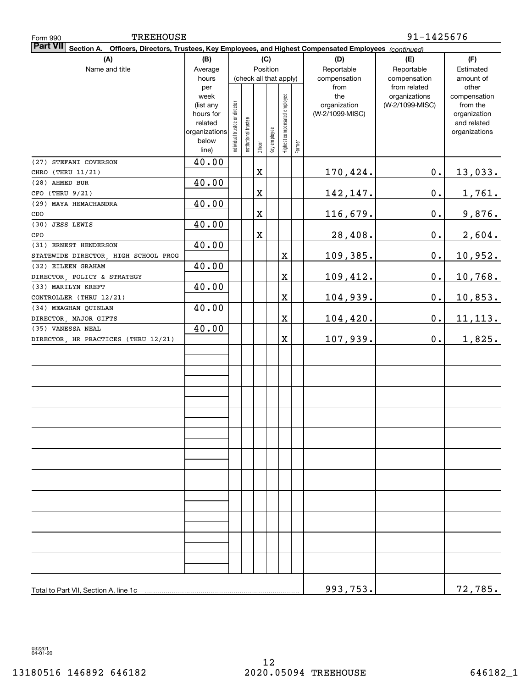| <b>TREEHOUSE</b><br>Form 990                                                                                                 |                   | 91-1425676                     |                       |             |              |                              |        |                     |                                  |                          |
|------------------------------------------------------------------------------------------------------------------------------|-------------------|--------------------------------|-----------------------|-------------|--------------|------------------------------|--------|---------------------|----------------------------------|--------------------------|
| Part VII<br><b>Section A.</b><br>Officers, Directors, Trustees, Key Employees, and Highest Compensated Employees (continued) |                   |                                |                       |             |              |                              |        |                     |                                  |                          |
| (A)                                                                                                                          | (B)               |                                |                       |             | (C)          |                              |        | (D)                 | (E)                              | (F)                      |
| Name and title                                                                                                               | Average           |                                |                       | Position    |              |                              |        | Reportable          | Reportable                       | Estimated                |
|                                                                                                                              | hours             |                                |                       |             |              | (check all that apply)       |        | compensation        | compensation                     | amount of                |
|                                                                                                                              | per               |                                |                       |             |              |                              |        | from                | from related                     | other                    |
|                                                                                                                              | week<br>(list any |                                |                       |             |              |                              |        | the<br>organization | organizations<br>(W-2/1099-MISC) | compensation<br>from the |
|                                                                                                                              | hours for         |                                |                       |             |              |                              |        | (W-2/1099-MISC)     |                                  | organization             |
|                                                                                                                              | related           |                                |                       |             |              |                              |        |                     |                                  | and related              |
|                                                                                                                              | organizations     | Individual trustee or director | Institutional trustee |             |              | Highest compensated employee |        |                     |                                  | organizations            |
|                                                                                                                              | below             |                                |                       | Officer     | Key employee |                              | Former |                     |                                  |                          |
|                                                                                                                              | line)             |                                |                       |             |              |                              |        |                     |                                  |                          |
| (27) STEFANI COVERSON                                                                                                        | 40.00             |                                |                       |             |              |                              |        |                     |                                  |                          |
| CHRO (THRU 11/21)                                                                                                            |                   |                                |                       | $\mathbf X$ |              |                              |        | 170,424.            | $\mathbf 0$ .                    | 13,033.                  |
| (28) AHMED BUR                                                                                                               | 40.00             |                                |                       |             |              |                              |        |                     |                                  |                          |
| CFO (THRU 9/21)                                                                                                              |                   |                                |                       | X           |              |                              |        | 142, 147.           | 0.                               | <u>1,761.</u>            |
| (29) MAYA HEMACHANDRA                                                                                                        | 40.00             |                                |                       |             |              |                              |        |                     |                                  |                          |
| CDO                                                                                                                          |                   |                                |                       | X           |              |                              |        | 116,679.            | 0.                               | 9,876.                   |
| (30) JESS LEWIS                                                                                                              | 40.00             |                                |                       |             |              |                              |        |                     |                                  |                          |
| CPO                                                                                                                          |                   |                                |                       | X           |              |                              |        | 28,408.             | 0.                               | 2,604.                   |
| (31) ERNEST HENDERSON                                                                                                        | 40.00             |                                |                       |             |              |                              |        |                     |                                  |                          |
| STATEWIDE DIRECTOR, HIGH SCHOOL PROG                                                                                         |                   |                                |                       |             |              | X                            |        | 109,385.            | 0.                               | <u>10,952.</u>           |
| (32) EILEEN GRAHAM                                                                                                           | 40.00             |                                |                       |             |              |                              |        |                     |                                  |                          |
| DIRECTOR POLICY & STRATEGY<br>(33) MARILYN KREFT                                                                             |                   |                                |                       |             |              | X                            |        | 109,412.            | 0.                               | 10,768.                  |
| CONTROLLER (THRU 12/21)                                                                                                      | 40.00             |                                |                       |             |              | X                            |        |                     | 0.                               |                          |
| (34) MEAGHAN QUINLAN                                                                                                         | 40.00             |                                |                       |             |              |                              |        | 104,939.            |                                  | <u>10,853.</u>           |
| DIRECTOR, MAJOR GIFTS                                                                                                        |                   |                                |                       |             |              | $\mathbf X$                  |        | 104, 420.           | 0.                               |                          |
| (35) VANESSA NEAL                                                                                                            | 40.00             |                                |                       |             |              |                              |        |                     |                                  | 11, 113.                 |
| DIRECTOR, HR PRACTICES (THRU 12/21)                                                                                          |                   |                                |                       |             |              | $\mathbf X$                  |        | 107,939.            | $\mathbf 0$ .                    | 1,825.                   |
|                                                                                                                              |                   |                                |                       |             |              |                              |        |                     |                                  |                          |
|                                                                                                                              |                   |                                |                       |             |              |                              |        |                     |                                  |                          |
|                                                                                                                              |                   |                                |                       |             |              |                              |        |                     |                                  |                          |
|                                                                                                                              |                   |                                |                       |             |              |                              |        |                     |                                  |                          |
|                                                                                                                              |                   |                                |                       |             |              |                              |        |                     |                                  |                          |
|                                                                                                                              |                   |                                |                       |             |              |                              |        |                     |                                  |                          |
|                                                                                                                              |                   |                                |                       |             |              |                              |        |                     |                                  |                          |
|                                                                                                                              |                   |                                |                       |             |              |                              |        |                     |                                  |                          |
|                                                                                                                              |                   |                                |                       |             |              |                              |        |                     |                                  |                          |
|                                                                                                                              |                   |                                |                       |             |              |                              |        |                     |                                  |                          |
|                                                                                                                              |                   |                                |                       |             |              |                              |        |                     |                                  |                          |
|                                                                                                                              |                   |                                |                       |             |              |                              |        |                     |                                  |                          |
|                                                                                                                              |                   |                                |                       |             |              |                              |        |                     |                                  |                          |
|                                                                                                                              |                   |                                |                       |             |              |                              |        |                     |                                  |                          |
|                                                                                                                              |                   |                                |                       |             |              |                              |        |                     |                                  |                          |
|                                                                                                                              |                   |                                |                       |             |              |                              |        |                     |                                  |                          |
|                                                                                                                              |                   |                                |                       |             |              |                              |        |                     |                                  |                          |
|                                                                                                                              |                   |                                |                       |             |              |                              |        |                     |                                  |                          |
|                                                                                                                              |                   |                                |                       |             |              |                              |        |                     |                                  |                          |
|                                                                                                                              |                   |                                |                       |             |              |                              |        |                     |                                  |                          |
|                                                                                                                              |                   |                                |                       |             |              |                              |        |                     |                                  |                          |
|                                                                                                                              |                   |                                |                       |             |              |                              |        |                     |                                  |                          |
| Total to Part VII, Section A, line 1c                                                                                        |                   |                                |                       |             |              |                              |        | 993,753.            |                                  | 72,785.                  |

032201 04-01-20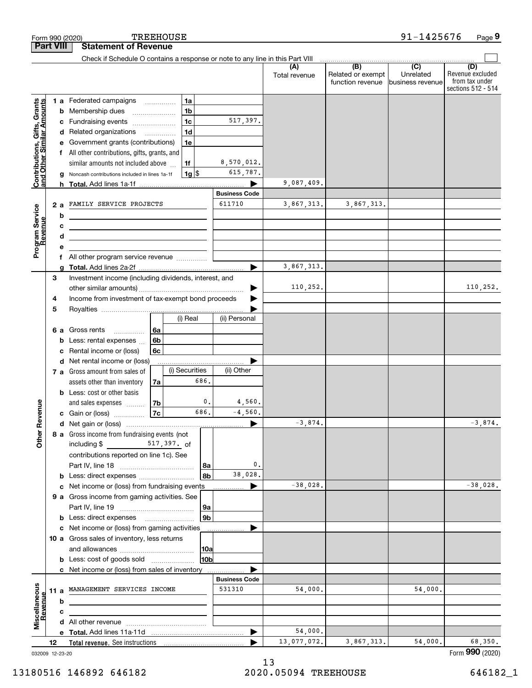|                                                           |                         |                                                    | Form 990 (2020)                                                                                                      |          | <b>TREEHOUSE</b> |                        |                      |                      |                                              | 91-1425676                                        | Page 9                                                          |
|-----------------------------------------------------------|-------------------------|----------------------------------------------------|----------------------------------------------------------------------------------------------------------------------|----------|------------------|------------------------|----------------------|----------------------|----------------------------------------------|---------------------------------------------------|-----------------------------------------------------------------|
|                                                           | <b>Part VIII</b>        |                                                    | <b>Statement of Revenue</b>                                                                                          |          |                  |                        |                      |                      |                                              |                                                   |                                                                 |
|                                                           |                         |                                                    | Check if Schedule O contains a response or note to any line in this Part VIII                                        |          |                  |                        |                      |                      |                                              |                                                   |                                                                 |
|                                                           |                         |                                                    |                                                                                                                      |          |                  |                        |                      | (A)<br>Total revenue | (B)<br>Related or exempt<br>function revenue | $\overline{(C)}$<br>Unrelated<br>business revenue | (D)<br>Revenue excluded<br>from tax under<br>sections 512 - 514 |
|                                                           |                         |                                                    | 1 a Federated campaigns                                                                                              |          | 1a               |                        |                      |                      |                                              |                                                   |                                                                 |
| Contributions, Gifts, Grants<br>and Other Similar Amounts |                         | b                                                  | Membership dues                                                                                                      |          | 1 <sub>b</sub>   |                        |                      |                      |                                              |                                                   |                                                                 |
|                                                           |                         | с                                                  | Fundraising events                                                                                                   |          | 1 <sub>c</sub>   |                        | 517,397.             |                      |                                              |                                                   |                                                                 |
|                                                           |                         | d                                                  | Related organizations                                                                                                |          | 1 <sub>d</sub>   |                        |                      |                      |                                              |                                                   |                                                                 |
|                                                           |                         | е                                                  | Government grants (contributions)                                                                                    |          | 1e               |                        |                      |                      |                                              |                                                   |                                                                 |
|                                                           |                         |                                                    | f All other contributions, gifts, grants, and                                                                        |          |                  |                        |                      |                      |                                              |                                                   |                                                                 |
|                                                           |                         |                                                    | similar amounts not included above                                                                                   |          | 1f               |                        | 8,570,012.           |                      |                                              |                                                   |                                                                 |
|                                                           |                         | g                                                  | Noncash contributions included in lines 1a-1f                                                                        |          | $1g$ \$          |                        | 615,787.             |                      |                                              |                                                   |                                                                 |
|                                                           |                         |                                                    |                                                                                                                      |          |                  |                        |                      | 9,087,409.           |                                              |                                                   |                                                                 |
|                                                           | FAMILY SERVICE PROJECTS |                                                    |                                                                                                                      |          |                  |                        | <b>Business Code</b> |                      |                                              |                                                   |                                                                 |
|                                                           |                         | 2a                                                 |                                                                                                                      |          |                  |                        | 611710               | 3,867,313.           | 3,867,313.                                   |                                                   |                                                                 |
|                                                           |                         | b                                                  | <u> 1980 - Johann Barbara, martxa alemaniar a</u>                                                                    |          |                  |                        |                      |                      |                                              |                                                   |                                                                 |
|                                                           |                         | c<br>d                                             | <u> 1980 - Johann Barn, amerikan bestemannten bestemannten bestemannten bestemannten bestemannten bestemannten b</u> |          |                  |                        |                      |                      |                                              |                                                   |                                                                 |
| Program Service<br>Revenue                                |                         | е                                                  | <u> 1989 - Johann Stein, mars an deus Amerikaansk kommunister (</u>                                                  |          |                  |                        |                      |                      |                                              |                                                   |                                                                 |
|                                                           |                         |                                                    |                                                                                                                      |          |                  |                        |                      |                      |                                              |                                                   |                                                                 |
|                                                           |                         | f All other program service revenue<br>g           |                                                                                                                      |          |                  |                        |                      | 3,867,313.           |                                              |                                                   |                                                                 |
|                                                           | 3                       |                                                    | Investment income (including dividends, interest, and                                                                |          |                  |                        |                      |                      |                                              |                                                   |                                                                 |
|                                                           |                         |                                                    |                                                                                                                      |          |                  |                        |                      | 110,252.             |                                              |                                                   | 110, 252.                                                       |
|                                                           | 4                       | Income from investment of tax-exempt bond proceeds |                                                                                                                      |          |                  |                        |                      |                      |                                              |                                                   |                                                                 |
|                                                           | 5                       |                                                    |                                                                                                                      |          |                  |                        |                      |                      |                                              |                                                   |                                                                 |
|                                                           |                         |                                                    |                                                                                                                      |          | (i) Real         |                        | (ii) Personal        |                      |                                              |                                                   |                                                                 |
|                                                           |                         |                                                    | 6 a Gross rents<br>.                                                                                                 | 6а       |                  |                        |                      |                      |                                              |                                                   |                                                                 |
|                                                           |                         | b                                                  | Less: rental expenses                                                                                                | 6b       |                  |                        |                      |                      |                                              |                                                   |                                                                 |
|                                                           |                         | c                                                  | Rental income or (loss)                                                                                              | 6c       |                  |                        |                      |                      |                                              |                                                   |                                                                 |
|                                                           |                         | d                                                  | Net rental income or (loss)                                                                                          |          |                  |                        |                      |                      |                                              |                                                   |                                                                 |
|                                                           |                         |                                                    | 7 a Gross amount from sales of                                                                                       |          | (i) Securities   | 686.                   | (ii) Other           |                      |                                              |                                                   |                                                                 |
|                                                           |                         |                                                    | assets other than inventory                                                                                          | 7a       |                  |                        |                      |                      |                                              |                                                   |                                                                 |
|                                                           |                         |                                                    | <b>b</b> Less: cost or other basis                                                                                   |          |                  | $\mathbf{0}$ .         | 4,560.               |                      |                                              |                                                   |                                                                 |
| anueve                                                    |                         |                                                    | and sales expenses<br>c Gain or (loss)                                                                               | 7b<br>7c |                  | 686.                   | $-4,560.$            |                      |                                              |                                                   |                                                                 |
|                                                           |                         |                                                    |                                                                                                                      |          |                  |                        |                      | $-3,874.$            |                                              |                                                   | $-3,874.$                                                       |
| Other R                                                   |                         |                                                    | 8 a Gross income from fundraising events (not                                                                        |          |                  |                        |                      |                      |                                              |                                                   |                                                                 |
|                                                           |                         |                                                    | including \$<br>$517,397.$ of                                                                                        |          |                  |                        |                      |                      |                                              |                                                   |                                                                 |
|                                                           |                         |                                                    | contributions reported on line 1c). See                                                                              |          |                  |                        |                      |                      |                                              |                                                   |                                                                 |
|                                                           |                         |                                                    |                                                                                                                      |          |                  | 8a                     | 0.                   |                      |                                              |                                                   |                                                                 |
|                                                           |                         |                                                    |                                                                                                                      |          |                  | 8b                     | 38,028.              |                      |                                              |                                                   |                                                                 |
|                                                           |                         | c                                                  | Net income or (loss) from fundraising events                                                                         |          |                  |                        |                      | $-38,028.$           |                                              |                                                   | $-38,028.$                                                      |
|                                                           |                         |                                                    | 9 a Gross income from gaming activities. See                                                                         |          |                  |                        |                      |                      |                                              |                                                   |                                                                 |
|                                                           |                         |                                                    |                                                                                                                      |          |                  | 9a                     |                      |                      |                                              |                                                   |                                                                 |
|                                                           |                         |                                                    |                                                                                                                      |          |                  | 9 <sub>b</sub>         |                      |                      |                                              |                                                   |                                                                 |
|                                                           |                         |                                                    | c Net income or (loss) from gaming activities                                                                        |          |                  |                        |                      |                      |                                              |                                                   |                                                                 |
|                                                           |                         |                                                    | 10 a Gross sales of inventory, less returns                                                                          |          |                  |                        |                      |                      |                                              |                                                   |                                                                 |
|                                                           |                         |                                                    |                                                                                                                      |          |                  | 10a<br>10 <sub>b</sub> |                      |                      |                                              |                                                   |                                                                 |
|                                                           |                         |                                                    | <b>b</b> Less: cost of goods sold<br>c Net income or (loss) from sales of inventory                                  |          |                  |                        |                      |                      |                                              |                                                   |                                                                 |
|                                                           |                         |                                                    |                                                                                                                      |          |                  |                        | <b>Business Code</b> |                      |                                              |                                                   |                                                                 |
|                                                           | 11 a                    |                                                    | MANAGEMENT SERVICES INCOME                                                                                           |          |                  |                        | 531310               | 54,000.              |                                              | 54,000.                                           |                                                                 |
|                                                           |                         | b                                                  |                                                                                                                      |          |                  |                        |                      |                      |                                              |                                                   |                                                                 |
|                                                           |                         | c                                                  |                                                                                                                      |          |                  |                        |                      |                      |                                              |                                                   |                                                                 |
| Miscellaneous<br>Revenue                                  |                         |                                                    |                                                                                                                      |          |                  |                        |                      |                      |                                              |                                                   |                                                                 |
|                                                           |                         |                                                    |                                                                                                                      |          |                  |                        | ▶                    | 54,000.              |                                              |                                                   |                                                                 |
|                                                           | 12                      |                                                    |                                                                                                                      |          |                  |                        |                      | 13,077,072.          | 3,867,313.                                   | 54,000.                                           | 68,350.                                                         |

032009 12-23-20

Form (2020) **990**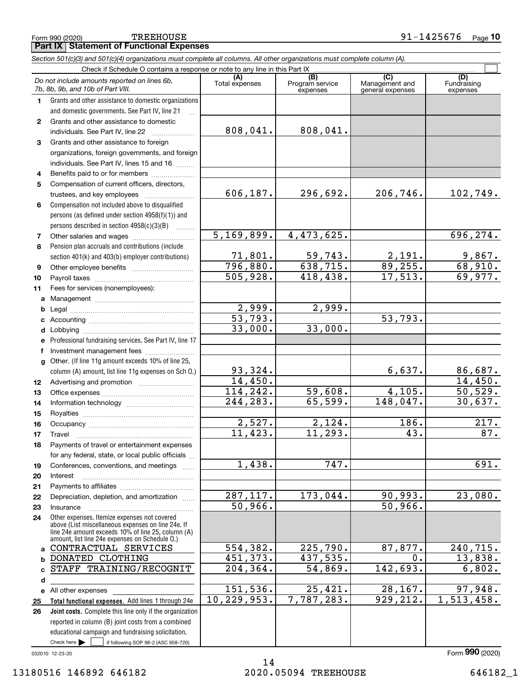| 1  | Grants and other assistance to domestic organizations<br>and domestic governments. See Part IV, line 21  |                            |                          |                        |                          |
|----|----------------------------------------------------------------------------------------------------------|----------------------------|--------------------------|------------------------|--------------------------|
|    |                                                                                                          |                            |                          |                        |                          |
| 2  | Grants and other assistance to domestic<br>individuals. See Part IV, line 22                             | 808,041.                   | 808,041.                 |                        |                          |
| 3  | Grants and other assistance to foreign                                                                   |                            |                          |                        |                          |
|    | organizations, foreign governments, and foreign                                                          |                            |                          |                        |                          |
|    | individuals. See Part IV, lines 15 and 16                                                                |                            |                          |                        |                          |
| 4  | Benefits paid to or for members                                                                          |                            |                          |                        |                          |
| 5  | Compensation of current officers, directors,                                                             |                            |                          |                        |                          |
|    | trustees, and key employees                                                                              | 606,187.                   | 296,692.                 | 206,746.               | 102,749.                 |
| 6  | Compensation not included above to disqualified                                                          |                            |                          |                        |                          |
|    | persons (as defined under section 4958(f)(1)) and                                                        |                            |                          |                        |                          |
|    | persons described in section 4958(c)(3)(B)<br><u>.</u><br>.                                              |                            |                          |                        |                          |
| 7  |                                                                                                          | $\overline{5,169,899.}$    | 4,473,625.               |                        | 696, 274.                |
| 8  | Pension plan accruals and contributions (include                                                         |                            |                          |                        |                          |
|    | section 401(k) and 403(b) employer contributions)                                                        |                            |                          |                        |                          |
| 9  |                                                                                                          | $\frac{71,801}{796,880}$ . | $\frac{59,743}{638,715}$ | $\frac{2,191}{89,255}$ | $\frac{9,867.}{68,910.}$ |
| 10 |                                                                                                          | 505,928.                   | 418, 438.                | 17,513.                | 69,977.                  |
| 11 | Fees for services (nonemployees):                                                                        |                            |                          |                        |                          |
| a  |                                                                                                          |                            |                          |                        |                          |
| b  |                                                                                                          | 2,999.                     | 2,999.                   |                        |                          |
|    |                                                                                                          | 53,793.                    |                          | 53,793.                |                          |
| d  |                                                                                                          | 33,000.                    | 33,000.                  |                        |                          |
| е  | Professional fundraising services. See Part IV, line 17                                                  |                            |                          |                        |                          |
| f  | Investment management fees                                                                               |                            |                          |                        |                          |
| g  | Other. (If line 11g amount exceeds 10% of line 25,                                                       |                            |                          |                        |                          |
|    | column (A) amount, list line 11g expenses on Sch O.)                                                     | 93,324.                    |                          | 6,637.                 | <u>86,687.</u>           |
| 12 |                                                                                                          | 14,450.                    |                          |                        | 14,450.                  |
| 13 |                                                                                                          | 114, 242.                  | 59,608.                  | 4,105.                 | 50,529.                  |
| 14 |                                                                                                          | 244, 283.                  | 65,599.                  | 148,047.               | 30,637.                  |
| 15 |                                                                                                          |                            |                          |                        |                          |
| 16 |                                                                                                          | 2,527.                     | 2,124.                   | 186.                   | $\overline{217}$ .       |
| 17 | Travel                                                                                                   | 11,423.                    | 11, 293.                 | 43.                    | 87.                      |
| 18 | Payments of travel or entertainment expenses                                                             |                            |                          |                        |                          |
|    | for any federal, state, or local public officials                                                        |                            |                          |                        |                          |
| 19 | Conferences, conventions, and meetings                                                                   | 1,438.                     | 747.                     |                        | $\overline{691}$ .       |
| 20 | $Interest$                                                                                               |                            |                          |                        |                          |
| 21 |                                                                                                          |                            |                          |                        |                          |
| 22 | Depreciation, depletion, and amortization                                                                | 287, 117.                  | 173,044.                 | 90,993.                | 23,080.                  |
| 23 | Insurance                                                                                                | 50,966.                    |                          | 50,966.                |                          |
| 24 | Other expenses. Itemize expenses not covered                                                             |                            |                          |                        |                          |
|    | above (List miscellaneous expenses on line 24e. If<br>line 24e amount exceeds 10% of line 25, column (A) |                            |                          |                        |                          |
|    | amount, list line 24e expenses on Schedule O.)                                                           |                            |                          |                        |                          |
| a  | CONTRACTUAL SERVICES                                                                                     | 554,382.                   | 225,790.                 | 87, 877.               | 240, 715.                |
|    | <b>b DONATED CLOTHING</b>                                                                                | 451,373.                   | 437,535.                 | $\mathbf 0$ .          | 13,838.                  |
| c  | STAFF TRAINING/RECOGNIT                                                                                  | 204, 364.                  | 54,869.                  | 142,693.               | 6,802.                   |
| d  |                                                                                                          |                            |                          |                        |                          |
|    | e All other expenses                                                                                     | 151,536.                   | 25,421.                  | 28,167.                | 97,948.                  |
| 25 | Total functional expenses. Add lines 1 through 24e                                                       | 10, 229, 953.              | 7,787,283.               | 929, 212.              | 1,513,458.               |
| 26 | Joint costs. Complete this line only if the organization                                                 |                            |                          |                        |                          |
|    | reported in column (B) joint costs from a combined                                                       |                            |                          |                        |                          |
|    | educational campaign and fundraising solicitation.                                                       |                            |                          |                        |                          |
|    | Check here $\blacktriangleright$<br>if following SOP 98-2 (ASC 958-720)                                  |                            |                          |                        |                          |

**Part IX Statement of Functional Expenses**

*Do not include amounts reported on lines 6b,*

*7b, 8b, 9b, and 10b of Part VIII.*

*Section 501(c)(3) and 501(c)(4) organizations must complete all columns. All other organizations must complete column (A).*

Check if Schedule O contains a response or note to any line in this Part IX

**(A)**<br>Total expenses

Total expenses Program service expenses

032010 12-23-20

Fundraising expenses

 $\mathcal{L}^{\text{max}}$ 

**(C)** (C) (C)<br>
penses Program service Management and Fundrai<br>
expenses general expenses expen

Form (2020) **990**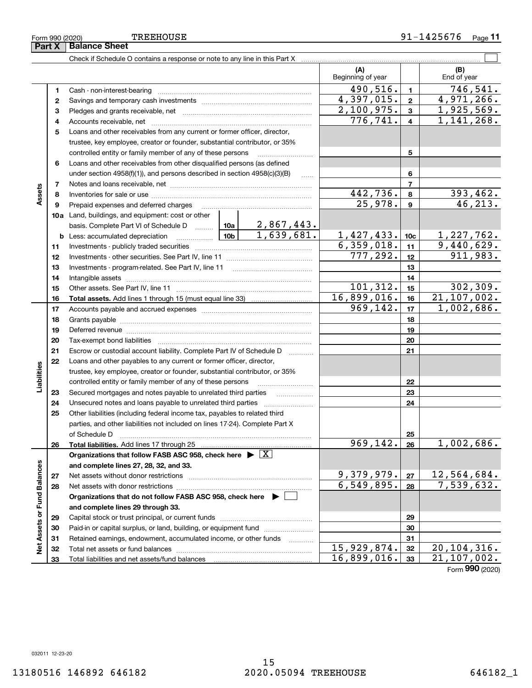**123**

**Part X** | Balance Sheet

Check if Schedule O contains a response or note to any line in this Part X

Cash - non-interest-bearing ~~~~~~~~~~~~~~~~~~~~~~~~~ Savings and temporary cash investments ~~~~~~~~~~~~~~~~~~ Pledges and grants receivable, net ~~~~~~~~~~~~~~~~~~~~~

|                             | 4  |                                                                                            |          |                     | 776,741.    | 4                    | $1,141,268$ .                               |  |
|-----------------------------|----|--------------------------------------------------------------------------------------------|----------|---------------------|-------------|----------------------|---------------------------------------------|--|
|                             | 5  | Loans and other receivables from any current or former officer, director,                  |          |                     |             |                      |                                             |  |
|                             |    | trustee, key employee, creator or founder, substantial contributor, or 35%                 |          |                     |             |                      |                                             |  |
|                             |    | controlled entity or family member of any of these persons                                 |          |                     |             | 5                    |                                             |  |
|                             | 6  | Loans and other receivables from other disqualified persons (as defined                    |          |                     |             |                      |                                             |  |
|                             |    | under section $4958(f)(1)$ , and persons described in section $4958(c)(3)(B)$              |          | $\ldots$            |             | 6                    |                                             |  |
|                             | 7  |                                                                                            |          |                     |             | $\overline{7}$       |                                             |  |
| Assets                      | 8  |                                                                                            |          | 442,736.<br>25,978. | 8           | 393,462.<br>46, 213. |                                             |  |
|                             | 9  | Prepaid expenses and deferred charges                                                      |          |                     |             |                      |                                             |  |
|                             |    | <b>10a</b> Land, buildings, and equipment: cost or other                                   |          |                     |             |                      |                                             |  |
|                             |    |                                                                                            |          | <u>2,867,443.</u>   |             |                      |                                             |  |
|                             |    |                                                                                            |          |                     | 1,427,433.  | 10 <sub>c</sub>      | 1,227,762.                                  |  |
|                             | 11 |                                                                                            |          |                     | 6,359,018.  | 11                   | 9,440,629.                                  |  |
|                             | 12 |                                                                                            |          |                     | 777, 292.   | 12                   | 911,983.                                    |  |
|                             | 13 | Investments - program-related. See Part IV, line 11                                        |          |                     |             | 13                   |                                             |  |
|                             | 14 |                                                                                            |          |                     |             | 14                   |                                             |  |
|                             | 15 |                                                                                            |          |                     | 101, 312.   | 15                   | 302,309.                                    |  |
|                             | 16 |                                                                                            |          |                     | 16,899,016. | 16                   | 21,107,002.                                 |  |
|                             | 17 |                                                                                            |          |                     | 969, 142.   | 17                   | 1,002,686.                                  |  |
|                             | 18 |                                                                                            |          |                     |             | 18                   |                                             |  |
|                             | 19 |                                                                                            |          |                     |             | 19                   |                                             |  |
|                             | 20 |                                                                                            |          |                     |             | 20                   |                                             |  |
|                             | 21 | Escrow or custodial account liability. Complete Part IV of Schedule D                      | $\cdots$ |                     | 21          |                      |                                             |  |
|                             | 22 | Loans and other payables to any current or former officer, director,                       |          |                     |             |                      |                                             |  |
| Liabilities                 |    | trustee, key employee, creator or founder, substantial contributor, or 35%                 |          |                     |             |                      |                                             |  |
|                             |    | controlled entity or family member of any of these persons                                 |          |                     |             | 22                   |                                             |  |
|                             | 23 | Secured mortgages and notes payable to unrelated third parties                             |          |                     |             | 23                   |                                             |  |
|                             | 24 |                                                                                            |          |                     |             | 24                   |                                             |  |
|                             | 25 | Other liabilities (including federal income tax, payables to related third                 |          |                     |             |                      |                                             |  |
|                             |    | parties, and other liabilities not included on lines 17-24). Complete Part X               |          |                     |             |                      |                                             |  |
|                             |    | of Schedule D                                                                              |          |                     |             | 25                   |                                             |  |
|                             | 26 |                                                                                            |          |                     | 969, 142.   | 26                   | 1,002,686.                                  |  |
|                             |    | Organizations that follow FASB ASC 958, check here $\blacktriangleright \lfloor X \rfloor$ |          |                     |             |                      |                                             |  |
|                             |    | and complete lines 27, 28, 32, and 33.                                                     |          |                     |             |                      |                                             |  |
|                             | 27 |                                                                                            |          |                     | 9,379,979.  | 27                   | 12,564,684.                                 |  |
|                             | 28 |                                                                                            |          |                     | 6,549,895.  | 28                   | 7,539,632.                                  |  |
|                             |    | Organizations that do not follow FASB ASC 958, check here $\blacktriangleright$ $\Box$     |          |                     |             |                      |                                             |  |
|                             |    | and complete lines 29 through 33.                                                          |          |                     |             |                      |                                             |  |
| Net Assets or Fund Balances | 29 |                                                                                            |          |                     | 29          |                      |                                             |  |
|                             | 30 | Paid-in or capital surplus, or land, building, or equipment fund                           |          |                     | 30          |                      |                                             |  |
|                             | 31 | Retained earnings, endowment, accumulated income, or other funds                           |          |                     |             | 31                   |                                             |  |
|                             | 32 |                                                                                            |          | 15,929,874.         | 32          | 20, 104, 316.        |                                             |  |
|                             | 33 |                                                                                            |          |                     | 16,899,016. | 33                   | $\overline{21}$ , 107, 002.<br>$\mathbf{a}$ |  |

(B)<br>End of year

 $\mathcal{L}^{\text{max}}$ 

**(A) (B)**

Beginning of year | | End of year

**123**

490,516. 746,541.

 $2,100,975.$   $3 \mid 1,925,569.$ 

 $4,397,015. | 2 | 4,971,266.$ 

Form (2020) **990**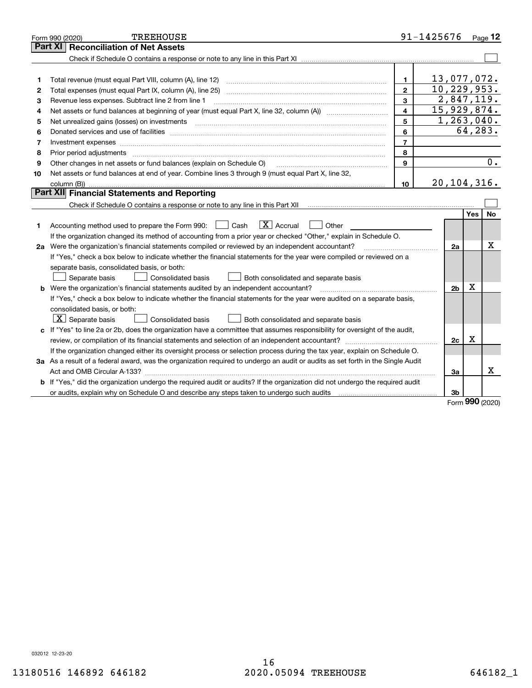|    | <b>TREEHOUSE</b><br>Form 990 (2020)                                                                                                                                                                                            |                         | 91-1425676    |                |     | Page 12    |
|----|--------------------------------------------------------------------------------------------------------------------------------------------------------------------------------------------------------------------------------|-------------------------|---------------|----------------|-----|------------|
|    | <b>Reconciliation of Net Assets</b><br>Part XI                                                                                                                                                                                 |                         |               |                |     |            |
|    |                                                                                                                                                                                                                                |                         |               |                |     |            |
|    |                                                                                                                                                                                                                                |                         |               |                |     |            |
| 1  | Total revenue (must equal Part VIII, column (A), line 12)                                                                                                                                                                      | 1.                      | 13,077,072.   |                |     |            |
| 2  |                                                                                                                                                                                                                                | $\mathbf{2}$            | 10, 229, 953. |                |     |            |
| з  | Revenue less expenses. Subtract line 2 from line 1                                                                                                                                                                             | $\mathbf{a}$            |               |                |     | 2,847,119. |
| 4  |                                                                                                                                                                                                                                | $\overline{\mathbf{4}}$ | 15,929,874.   |                |     |            |
| 5  | Net unrealized gains (losses) on investments [11] matter contracts and the state of the state of the state of the state of the state of the state of the state of the state of the state of the state of the state of the stat | 5                       | 1,263,040.    |                |     |            |
| 6  |                                                                                                                                                                                                                                | 6                       |               |                |     | 64,283.    |
| 7  |                                                                                                                                                                                                                                | $\overline{7}$          |               |                |     |            |
| 8  | Prior period adjustments                                                                                                                                                                                                       | 8                       |               |                |     |            |
| 9  | Other changes in net assets or fund balances (explain on Schedule O)                                                                                                                                                           | 9                       |               |                |     | 0.         |
| 10 | Net assets or fund balances at end of year. Combine lines 3 through 9 (must equal Part X, line 32,                                                                                                                             |                         |               |                |     |            |
|    |                                                                                                                                                                                                                                | 10                      | 20, 104, 316. |                |     |            |
|    | <b>Part XII</b> Financial Statements and Reporting                                                                                                                                                                             |                         |               |                |     |            |
|    |                                                                                                                                                                                                                                |                         |               |                |     |            |
|    |                                                                                                                                                                                                                                |                         |               |                | Yes | <b>No</b>  |
| 1  | $\boxed{\mathbf{X}}$ Accrual<br>Accounting method used to prepare the Form 990: <u>June</u> Cash<br>Other                                                                                                                      |                         |               |                |     |            |
|    | If the organization changed its method of accounting from a prior year or checked "Other," explain in Schedule O.                                                                                                              |                         |               |                |     |            |
|    | 2a Were the organization's financial statements compiled or reviewed by an independent accountant?                                                                                                                             |                         |               | 2a             |     | х          |
|    | If "Yes," check a box below to indicate whether the financial statements for the year were compiled or reviewed on a                                                                                                           |                         |               |                |     |            |
|    | separate basis, consolidated basis, or both:                                                                                                                                                                                   |                         |               |                |     |            |
|    | Separate basis<br>Both consolidated and separate basis<br>Consolidated basis                                                                                                                                                   |                         |               |                |     |            |
|    | <b>b</b> Were the organization's financial statements audited by an independent accountant?                                                                                                                                    |                         |               | 2 <sub>b</sub> | X   |            |
|    | If "Yes," check a box below to indicate whether the financial statements for the year were audited on a separate basis,                                                                                                        |                         |               |                |     |            |
|    | consolidated basis, or both:                                                                                                                                                                                                   |                         |               |                |     |            |
|    | $ \mathbf{X} $ Separate basis<br><b>Consolidated basis</b><br>Both consolidated and separate basis                                                                                                                             |                         |               |                |     |            |
|    | c If "Yes" to line 2a or 2b, does the organization have a committee that assumes responsibility for oversight of the audit,                                                                                                    |                         |               |                |     |            |
|    |                                                                                                                                                                                                                                |                         |               | 2c             | x   |            |
|    | If the organization changed either its oversight process or selection process during the tax year, explain on Schedule O.                                                                                                      |                         |               |                |     |            |
|    | 3a As a result of a federal award, was the organization required to undergo an audit or audits as set forth in the Single Audit                                                                                                |                         |               |                |     |            |
|    |                                                                                                                                                                                                                                |                         |               | 3a             |     | x          |
|    | b If "Yes," did the organization undergo the required audit or audits? If the organization did not undergo the required audit                                                                                                  |                         |               |                |     |            |
|    |                                                                                                                                                                                                                                |                         |               | 3 <sub>b</sub> | 000 |            |

Form (2020) **990**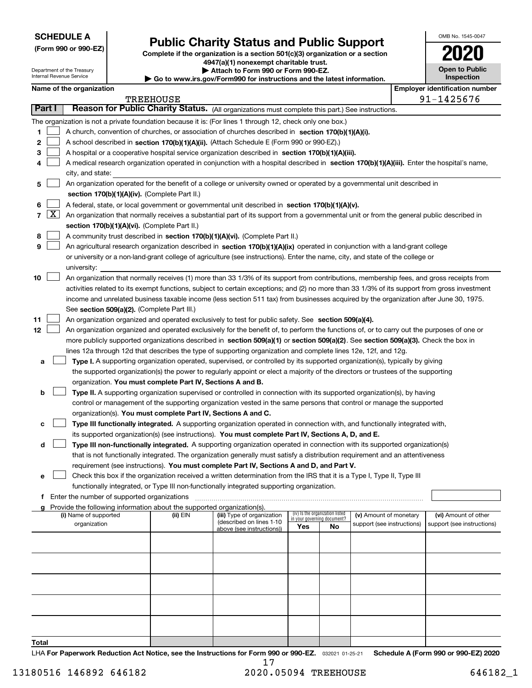| <b>SCHEDULE A</b> |
|-------------------|
|-------------------|

Department of the Treasury

**(Form 990 or 990-EZ)**

# **Public Charity Status and Public Support**

**Complete if the organization is a section 501(c)(3) organization or a section 4947(a)(1) nonexempt charitable trust. | Attach to Form 990 or Form 990-EZ.** 

| OMB No. 1545-0047                   |
|-------------------------------------|
| 2020                                |
| <b>Open to Public</b><br>Inspection |
|                                     |

|    |        | Internal Revenue Service                                                     |  | $\blacktriangleright$ Go to www.irs.gov/Form990 for instructions and the latest information. |                                                                                                                                              | <b>Inspection</b> |                                                                |                            |  |                                       |  |  |
|----|--------|------------------------------------------------------------------------------|--|----------------------------------------------------------------------------------------------|----------------------------------------------------------------------------------------------------------------------------------------------|-------------------|----------------------------------------------------------------|----------------------------|--|---------------------------------------|--|--|
|    |        | Name of the organization                                                     |  |                                                                                              |                                                                                                                                              |                   |                                                                |                            |  | <b>Employer identification number</b> |  |  |
|    |        |                                                                              |  | <b>TREEHOUSE</b>                                                                             |                                                                                                                                              |                   |                                                                |                            |  | 91-1425676                            |  |  |
|    | Part I |                                                                              |  |                                                                                              | Reason for Public Charity Status. (All organizations must complete this part.) See instructions.                                             |                   |                                                                |                            |  |                                       |  |  |
|    |        |                                                                              |  |                                                                                              | The organization is not a private foundation because it is: (For lines 1 through 12, check only one box.)                                    |                   |                                                                |                            |  |                                       |  |  |
| 1  |        |                                                                              |  |                                                                                              | A church, convention of churches, or association of churches described in section 170(b)(1)(A)(i).                                           |                   |                                                                |                            |  |                                       |  |  |
| 2  |        |                                                                              |  |                                                                                              | A school described in section 170(b)(1)(A)(ii). (Attach Schedule E (Form 990 or 990-EZ).)                                                    |                   |                                                                |                            |  |                                       |  |  |
| 3  |        |                                                                              |  |                                                                                              | A hospital or a cooperative hospital service organization described in section 170(b)(1)(A)(iii).                                            |                   |                                                                |                            |  |                                       |  |  |
| 4  |        |                                                                              |  |                                                                                              | A medical research organization operated in conjunction with a hospital described in section 170(b)(1)(A)(iii). Enter the hospital's name,   |                   |                                                                |                            |  |                                       |  |  |
|    |        | city, and state:                                                             |  |                                                                                              |                                                                                                                                              |                   |                                                                |                            |  |                                       |  |  |
| 5  |        |                                                                              |  |                                                                                              | An organization operated for the benefit of a college or university owned or operated by a governmental unit described in                    |                   |                                                                |                            |  |                                       |  |  |
|    |        |                                                                              |  | section 170(b)(1)(A)(iv). (Complete Part II.)                                                |                                                                                                                                              |                   |                                                                |                            |  |                                       |  |  |
| 6  |        |                                                                              |  |                                                                                              | A federal, state, or local government or governmental unit described in section 170(b)(1)(A)(v).                                             |                   |                                                                |                            |  |                                       |  |  |
|    | 7   X  |                                                                              |  |                                                                                              | An organization that normally receives a substantial part of its support from a governmental unit or from the general public described in    |                   |                                                                |                            |  |                                       |  |  |
|    |        | section 170(b)(1)(A)(vi). (Complete Part II.)                                |  |                                                                                              |                                                                                                                                              |                   |                                                                |                            |  |                                       |  |  |
| 8  |        | A community trust described in section 170(b)(1)(A)(vi). (Complete Part II.) |  |                                                                                              |                                                                                                                                              |                   |                                                                |                            |  |                                       |  |  |
| 9  |        |                                                                              |  |                                                                                              | An agricultural research organization described in section 170(b)(1)(A)(ix) operated in conjunction with a land-grant college                |                   |                                                                |                            |  |                                       |  |  |
|    |        |                                                                              |  |                                                                                              | or university or a non-land-grant college of agriculture (see instructions). Enter the name, city, and state of the college or               |                   |                                                                |                            |  |                                       |  |  |
|    |        | university:                                                                  |  |                                                                                              |                                                                                                                                              |                   |                                                                |                            |  |                                       |  |  |
| 10 |        |                                                                              |  |                                                                                              | An organization that normally receives (1) more than 33 1/3% of its support from contributions, membership fees, and gross receipts from     |                   |                                                                |                            |  |                                       |  |  |
|    |        |                                                                              |  |                                                                                              | activities related to its exempt functions, subject to certain exceptions; and (2) no more than 33 1/3% of its support from gross investment |                   |                                                                |                            |  |                                       |  |  |
|    |        |                                                                              |  |                                                                                              | income and unrelated business taxable income (less section 511 tax) from businesses acquired by the organization after June 30, 1975.        |                   |                                                                |                            |  |                                       |  |  |
|    |        |                                                                              |  | See section 509(a)(2). (Complete Part III.)                                                  |                                                                                                                                              |                   |                                                                |                            |  |                                       |  |  |
| 11 |        |                                                                              |  |                                                                                              | An organization organized and operated exclusively to test for public safety. See section 509(a)(4).                                         |                   |                                                                |                            |  |                                       |  |  |
| 12 |        |                                                                              |  |                                                                                              | An organization organized and operated exclusively for the benefit of, to perform the functions of, or to carry out the purposes of one or   |                   |                                                                |                            |  |                                       |  |  |
|    |        |                                                                              |  |                                                                                              | more publicly supported organizations described in section 509(a)(1) or section 509(a)(2). See section 509(a)(3). Check the box in           |                   |                                                                |                            |  |                                       |  |  |
|    |        |                                                                              |  |                                                                                              | lines 12a through 12d that describes the type of supporting organization and complete lines 12e, 12f, and 12g.                               |                   |                                                                |                            |  |                                       |  |  |
| a  |        |                                                                              |  |                                                                                              | Type I. A supporting organization operated, supervised, or controlled by its supported organization(s), typically by giving                  |                   |                                                                |                            |  |                                       |  |  |
|    |        |                                                                              |  |                                                                                              | the supported organization(s) the power to regularly appoint or elect a majority of the directors or trustees of the supporting              |                   |                                                                |                            |  |                                       |  |  |
|    |        |                                                                              |  | organization. You must complete Part IV, Sections A and B.                                   |                                                                                                                                              |                   |                                                                |                            |  |                                       |  |  |
| b  |        |                                                                              |  |                                                                                              | Type II. A supporting organization supervised or controlled in connection with its supported organization(s), by having                      |                   |                                                                |                            |  |                                       |  |  |
|    |        |                                                                              |  |                                                                                              | control or management of the supporting organization vested in the same persons that control or manage the supported                         |                   |                                                                |                            |  |                                       |  |  |
|    |        |                                                                              |  | organization(s). You must complete Part IV, Sections A and C.                                |                                                                                                                                              |                   |                                                                |                            |  |                                       |  |  |
| c  |        |                                                                              |  |                                                                                              | Type III functionally integrated. A supporting organization operated in connection with, and functionally integrated with,                   |                   |                                                                |                            |  |                                       |  |  |
|    |        |                                                                              |  |                                                                                              | its supported organization(s) (see instructions). You must complete Part IV, Sections A, D, and E.                                           |                   |                                                                |                            |  |                                       |  |  |
| d  |        |                                                                              |  |                                                                                              | Type III non-functionally integrated. A supporting organization operated in connection with its supported organization(s)                    |                   |                                                                |                            |  |                                       |  |  |
|    |        |                                                                              |  |                                                                                              | that is not functionally integrated. The organization generally must satisfy a distribution requirement and an attentiveness                 |                   |                                                                |                            |  |                                       |  |  |
|    |        |                                                                              |  |                                                                                              | requirement (see instructions). You must complete Part IV, Sections A and D, and Part V.                                                     |                   |                                                                |                            |  |                                       |  |  |
| е  |        |                                                                              |  |                                                                                              | Check this box if the organization received a written determination from the IRS that it is a Type I, Type II, Type III                      |                   |                                                                |                            |  |                                       |  |  |
|    |        |                                                                              |  |                                                                                              | functionally integrated, or Type III non-functionally integrated supporting organization.                                                    |                   |                                                                |                            |  |                                       |  |  |
| f  |        | Enter the number of supported organizations                                  |  |                                                                                              |                                                                                                                                              |                   |                                                                |                            |  |                                       |  |  |
|    |        |                                                                              |  | Provide the following information about the supported organization(s).                       |                                                                                                                                              |                   |                                                                |                            |  |                                       |  |  |
|    |        | (i) Name of supported                                                        |  | (ii) EIN                                                                                     | (iii) Type of organization                                                                                                                   |                   | (iv) Is the organization listed<br>in your governing document? | (v) Amount of monetary     |  | (vi) Amount of other                  |  |  |
|    |        | organization                                                                 |  |                                                                                              | (described on lines 1-10<br>above (see instructions))                                                                                        | Yes               | No                                                             | support (see instructions) |  | support (see instructions)            |  |  |
|    |        |                                                                              |  |                                                                                              |                                                                                                                                              |                   |                                                                |                            |  |                                       |  |  |
|    |        |                                                                              |  |                                                                                              |                                                                                                                                              |                   |                                                                |                            |  |                                       |  |  |
|    |        |                                                                              |  |                                                                                              |                                                                                                                                              |                   |                                                                |                            |  |                                       |  |  |
|    |        |                                                                              |  |                                                                                              |                                                                                                                                              |                   |                                                                |                            |  |                                       |  |  |
|    |        |                                                                              |  |                                                                                              |                                                                                                                                              |                   |                                                                |                            |  |                                       |  |  |
|    |        |                                                                              |  |                                                                                              |                                                                                                                                              |                   |                                                                |                            |  |                                       |  |  |
|    |        |                                                                              |  |                                                                                              |                                                                                                                                              |                   |                                                                |                            |  |                                       |  |  |
|    |        |                                                                              |  |                                                                                              |                                                                                                                                              |                   |                                                                |                            |  |                                       |  |  |
|    |        |                                                                              |  |                                                                                              |                                                                                                                                              |                   |                                                                |                            |  |                                       |  |  |
|    |        |                                                                              |  |                                                                                              |                                                                                                                                              |                   |                                                                |                            |  |                                       |  |  |
|    |        |                                                                              |  |                                                                                              |                                                                                                                                              |                   |                                                                |                            |  |                                       |  |  |

**Total**

LHA For Paperwork Reduction Act Notice, see the Instructions for Form 990 or 990-EZ. <sub>032021</sub> o1-25-21 Schedule A (Form 990 or 990-EZ) 2020 17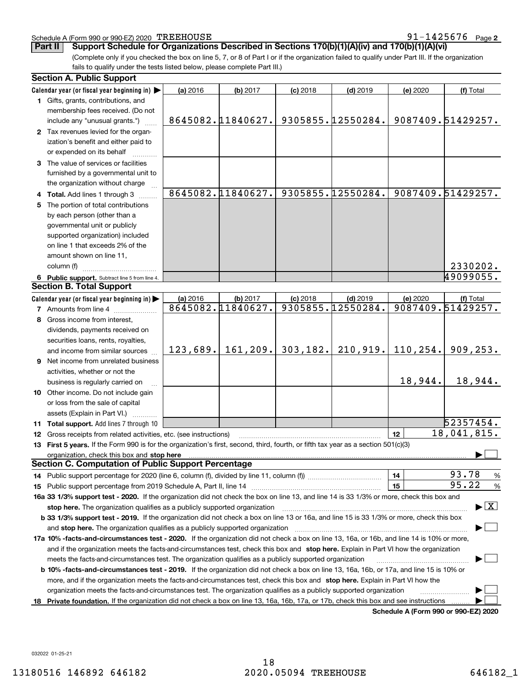#### Schedule A (Form 990 or 990-EZ) 2020 TREEHOUSE

**2** TREEHOUSE 91-1425676

(Complete only if you checked the box on line 5, 7, or 8 of Part I or if the organization failed to qualify under Part III. If the organization fails to qualify under the tests listed below, please complete Part III.) **Part II Support Schedule for Organizations Described in Sections 170(b)(1)(A)(iv) and 170(b)(1)(A)(vi)**

| <b>Section A. Public Support</b>                                                                                                                                                                                               |          |                   |            |                   |          |                                          |
|--------------------------------------------------------------------------------------------------------------------------------------------------------------------------------------------------------------------------------|----------|-------------------|------------|-------------------|----------|------------------------------------------|
| Calendar year (or fiscal year beginning in)                                                                                                                                                                                    | (a) 2016 | (b) 2017          | $(c)$ 2018 | $(d)$ 2019        | (e) 2020 | (f) Total                                |
| 1 Gifts, grants, contributions, and                                                                                                                                                                                            |          |                   |            |                   |          |                                          |
| membership fees received. (Do not                                                                                                                                                                                              |          |                   |            |                   |          |                                          |
| include any "unusual grants.")                                                                                                                                                                                                 |          | 8645082.11840627. |            | 9305855.12550284. |          | 9087409.51429257.                        |
| 2 Tax revenues levied for the organ-                                                                                                                                                                                           |          |                   |            |                   |          |                                          |
| ization's benefit and either paid to                                                                                                                                                                                           |          |                   |            |                   |          |                                          |
| or expended on its behalf                                                                                                                                                                                                      |          |                   |            |                   |          |                                          |
| 3 The value of services or facilities                                                                                                                                                                                          |          |                   |            |                   |          |                                          |
| furnished by a governmental unit to                                                                                                                                                                                            |          |                   |            |                   |          |                                          |
| the organization without charge                                                                                                                                                                                                |          |                   |            |                   |          |                                          |
| 4 Total. Add lines 1 through 3                                                                                                                                                                                                 |          | 8645082.11840627. |            | 9305855.12550284. |          | 9087409.51429257.                        |
| The portion of total contributions                                                                                                                                                                                             |          |                   |            |                   |          |                                          |
| by each person (other than a                                                                                                                                                                                                   |          |                   |            |                   |          |                                          |
| governmental unit or publicly                                                                                                                                                                                                  |          |                   |            |                   |          |                                          |
|                                                                                                                                                                                                                                |          |                   |            |                   |          |                                          |
| supported organization) included<br>on line 1 that exceeds 2% of the                                                                                                                                                           |          |                   |            |                   |          |                                          |
|                                                                                                                                                                                                                                |          |                   |            |                   |          |                                          |
| amount shown on line 11,                                                                                                                                                                                                       |          |                   |            |                   |          |                                          |
| column (f)                                                                                                                                                                                                                     |          |                   |            |                   |          | 2330202.                                 |
| 6 Public support. Subtract line 5 from line 4.                                                                                                                                                                                 |          |                   |            |                   |          | 49099055.                                |
| <b>Section B. Total Support</b>                                                                                                                                                                                                |          |                   |            |                   |          |                                          |
| Calendar year (or fiscal year beginning in)                                                                                                                                                                                    | (a) 2016 | (b) 2017          | $(c)$ 2018 | $(d)$ 2019        | (e) 2020 | (f) Total                                |
| 7 Amounts from line 4                                                                                                                                                                                                          |          | 8645082.11840627. |            | 9305855.12550284. |          | 9087409.51429257.                        |
| 8 Gross income from interest,                                                                                                                                                                                                  |          |                   |            |                   |          |                                          |
| dividends, payments received on                                                                                                                                                                                                |          |                   |            |                   |          |                                          |
| securities loans, rents, royalties,                                                                                                                                                                                            |          |                   |            |                   |          |                                          |
| and income from similar sources                                                                                                                                                                                                | 123,689. | 161, 209.         | 303, 182.  | 210,919.          | 110,254. | 909, 253.                                |
| <b>9</b> Net income from unrelated business                                                                                                                                                                                    |          |                   |            |                   |          |                                          |
| activities, whether or not the                                                                                                                                                                                                 |          |                   |            |                   |          |                                          |
| business is regularly carried on                                                                                                                                                                                               |          |                   |            |                   | 18,944.  | 18,944.                                  |
| 10 Other income. Do not include gain                                                                                                                                                                                           |          |                   |            |                   |          |                                          |
| or loss from the sale of capital                                                                                                                                                                                               |          |                   |            |                   |          |                                          |
| assets (Explain in Part VI.)                                                                                                                                                                                                   |          |                   |            |                   |          |                                          |
| 11 Total support. Add lines 7 through 10                                                                                                                                                                                       |          |                   |            |                   |          | 52357454.                                |
| 12 Gross receipts from related activities, etc. (see instructions)                                                                                                                                                             |          |                   |            |                   | 12       | 18,041,815.                              |
| 13 First 5 years. If the Form 990 is for the organization's first, second, third, fourth, or fifth tax year as a section 501(c)(3)                                                                                             |          |                   |            |                   |          |                                          |
| organization, check this box and stop here manufactured and according to the state of the state of the state of the state of the state of the state of the state of the state of the state of the state of the state of the st |          |                   |            |                   |          |                                          |
| Section C. Computation of Public Support Percentage                                                                                                                                                                            |          |                   |            |                   |          |                                          |
| 14 Public support percentage for 2020 (line 6, column (f), divided by line 11, column (f) <i>mummumumum</i>                                                                                                                    |          |                   |            |                   | 14       | 93.78<br>%                               |
| 15 Public support percentage from 2019 Schedule A, Part II, line 14                                                                                                                                                            |          |                   |            |                   | 15       | 95.22<br>%                               |
| 16a 33 1/3% support test - 2020. If the organization did not check the box on line 13, and line 14 is 33 1/3% or more, check this box and                                                                                      |          |                   |            |                   |          |                                          |
| stop here. The organization qualifies as a publicly supported organization                                                                                                                                                     |          |                   |            |                   |          | $\blacktriangleright$ $\boxed{\text{X}}$ |
| b 33 1/3% support test - 2019. If the organization did not check a box on line 13 or 16a, and line 15 is 33 1/3% or more, check this box                                                                                       |          |                   |            |                   |          |                                          |
| and stop here. The organization qualifies as a publicly supported organization                                                                                                                                                 |          |                   |            |                   |          |                                          |
| 17a 10% -facts-and-circumstances test - 2020. If the organization did not check a box on line 13, 16a, or 16b, and line 14 is 10% or more,                                                                                     |          |                   |            |                   |          |                                          |
|                                                                                                                                                                                                                                |          |                   |            |                   |          |                                          |
| and if the organization meets the facts-and-circumstances test, check this box and stop here. Explain in Part VI how the organization                                                                                          |          |                   |            |                   |          |                                          |
| meets the facts-and-circumstances test. The organization qualifies as a publicly supported organization                                                                                                                        |          |                   |            |                   |          |                                          |
| <b>b 10% -facts-and-circumstances test - 2019.</b> If the organization did not check a box on line 13, 16a, 16b, or 17a, and line 15 is 10% or                                                                                 |          |                   |            |                   |          |                                          |
| more, and if the organization meets the facts-and-circumstances test, check this box and stop here. Explain in Part VI how the                                                                                                 |          |                   |            |                   |          |                                          |
| organization meets the facts-and-circumstances test. The organization qualifies as a publicly supported organization                                                                                                           |          |                   |            |                   |          |                                          |
| 18 Private foundation. If the organization did not check a box on line 13, 16a, 16b, 17a, or 17b, check this box and see instructions                                                                                          |          |                   |            |                   |          |                                          |

**Schedule A (Form 990 or 990-EZ) 2020**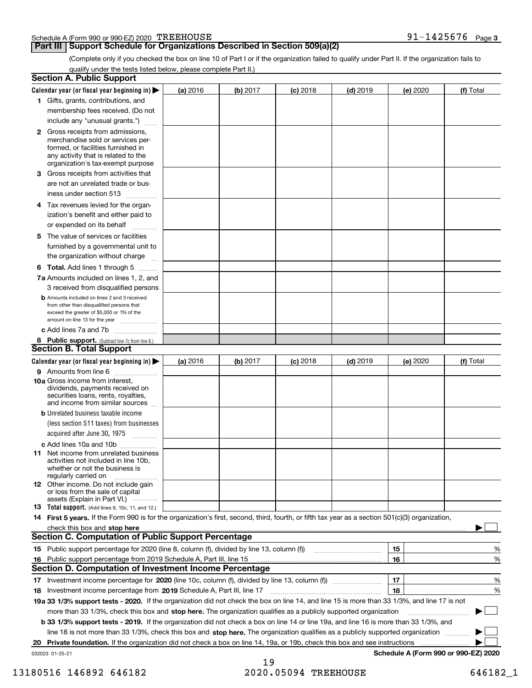#### Schedule A (Form 990 or 990-EZ) 2020 TREEHOUSE

#### **Part III Support Schedule for Organizations Described in Section 509(a)(2)**

(Complete only if you checked the box on line 10 of Part I or if the organization failed to qualify under Part II. If the organization fails to qualify under the tests listed below, please complete Part II.)

|     | <b>Section A. Public Support</b>                                                                                                                                                                |          |          |                 |            |          |                                      |
|-----|-------------------------------------------------------------------------------------------------------------------------------------------------------------------------------------------------|----------|----------|-----------------|------------|----------|--------------------------------------|
|     | Calendar year (or fiscal year beginning in) $\blacktriangleright$                                                                                                                               | (a) 2016 | (b) 2017 | <b>(c)</b> 2018 | $(d)$ 2019 | (e) 2020 | (f) Total                            |
|     | 1 Gifts, grants, contributions, and                                                                                                                                                             |          |          |                 |            |          |                                      |
|     | membership fees received. (Do not                                                                                                                                                               |          |          |                 |            |          |                                      |
|     | include any "unusual grants.")                                                                                                                                                                  |          |          |                 |            |          |                                      |
|     | <b>2</b> Gross receipts from admissions,<br>merchandise sold or services per-<br>formed, or facilities furnished in<br>any activity that is related to the<br>organization's tax-exempt purpose |          |          |                 |            |          |                                      |
|     | 3 Gross receipts from activities that<br>are not an unrelated trade or bus-<br>iness under section 513                                                                                          |          |          |                 |            |          |                                      |
|     | 4 Tax revenues levied for the organ-<br>ization's benefit and either paid to<br>or expended on its behalf<br>.                                                                                  |          |          |                 |            |          |                                      |
|     | 5 The value of services or facilities<br>furnished by a governmental unit to<br>the organization without charge                                                                                 |          |          |                 |            |          |                                      |
|     | <b>6 Total.</b> Add lines 1 through 5 $\dots$                                                                                                                                                   |          |          |                 |            |          |                                      |
|     | 7a Amounts included on lines 1, 2, and                                                                                                                                                          |          |          |                 |            |          |                                      |
|     | 3 received from disqualified persons<br><b>b</b> Amounts included on lines 2 and 3 received<br>from other than disqualified persons that<br>exceed the greater of \$5,000 or 1% of the          |          |          |                 |            |          |                                      |
|     | amount on line 13 for the year                                                                                                                                                                  |          |          |                 |            |          |                                      |
|     | c Add lines 7a and 7b                                                                                                                                                                           |          |          |                 |            |          |                                      |
|     | 8 Public support. (Subtract line 7c from line 6.)                                                                                                                                               |          |          |                 |            |          |                                      |
|     | <b>Section B. Total Support</b>                                                                                                                                                                 |          |          |                 |            |          |                                      |
|     | Calendar year (or fiscal year beginning in)                                                                                                                                                     | (a) 2016 | (b) 2017 | <b>(c)</b> 2018 | $(d)$ 2019 | (e) 2020 | (f) Total                            |
|     | 9 Amounts from line 6                                                                                                                                                                           |          |          |                 |            |          |                                      |
|     | 10a Gross income from interest,<br>dividends, payments received on<br>securities loans, rents, royalties,<br>and income from similar sources                                                    |          |          |                 |            |          |                                      |
|     | <b>b</b> Unrelated business taxable income                                                                                                                                                      |          |          |                 |            |          |                                      |
|     | (less section 511 taxes) from businesses<br>acquired after June 30, 1975 [10001]                                                                                                                |          |          |                 |            |          |                                      |
|     | c Add lines 10a and 10b<br>11 Net income from unrelated business<br>activities not included in line 10b,<br>whether or not the business is<br>regularly carried on                              |          |          |                 |            |          |                                      |
|     | 12 Other income. Do not include gain<br>or loss from the sale of capital<br>assets (Explain in Part VI.)                                                                                        |          |          |                 |            |          |                                      |
|     | 13 Total support. (Add lines 9, 10c, 11, and 12.)                                                                                                                                               |          |          |                 |            |          |                                      |
|     | 14 First 5 years. If the Form 990 is for the organization's first, second, third, fourth, or fifth tax year as a section 501(c)(3) organization,                                                |          |          |                 |            |          |                                      |
|     |                                                                                                                                                                                                 |          |          |                 |            |          |                                      |
|     | <b>Section C. Computation of Public Support Percentage</b>                                                                                                                                      |          |          |                 |            |          |                                      |
|     | 15 Public support percentage for 2020 (line 8, column (f), divided by line 13, column (f))                                                                                                      |          |          |                 |            | 15       | %                                    |
| 16. | Public support percentage from 2019 Schedule A, Part III, line 15                                                                                                                               |          |          |                 |            | 16       | %                                    |
|     | <b>Section D. Computation of Investment Income Percentage</b>                                                                                                                                   |          |          |                 |            |          |                                      |
|     | 17 Investment income percentage for 2020 (line 10c, column (f), divided by line 13, column (f))                                                                                                 |          |          |                 |            | 17       | %                                    |
|     | 18 Investment income percentage from 2019 Schedule A, Part III, line 17                                                                                                                         |          |          |                 |            | 18       | %                                    |
|     | 19a 33 1/3% support tests - 2020. If the organization did not check the box on line 14, and line 15 is more than 33 1/3%, and line 17 is not                                                    |          |          |                 |            |          |                                      |
|     | more than 33 1/3%, check this box and stop here. The organization qualifies as a publicly supported organization                                                                                |          |          |                 |            |          | $\sim$ 1                             |
|     | b 33 1/3% support tests - 2019. If the organization did not check a box on line 14 or line 19a, and line 16 is more than 33 1/3%, and                                                           |          |          |                 |            |          |                                      |
|     | line 18 is not more than 33 1/3%, check this box and stop here. The organization qualifies as a publicly supported organization                                                                 |          |          |                 |            |          |                                      |
| 20  | Private foundation. If the organization did not check a box on line 14, 19a, or 19b, check this box and see instructions                                                                        |          |          |                 |            |          |                                      |
|     | 032023 01-25-21                                                                                                                                                                                 |          |          |                 |            |          | Schedule A (Form 990 or 990-EZ) 2020 |

19 13180516 146892 646182 2020.05094 TREEHOUSE 646182\_1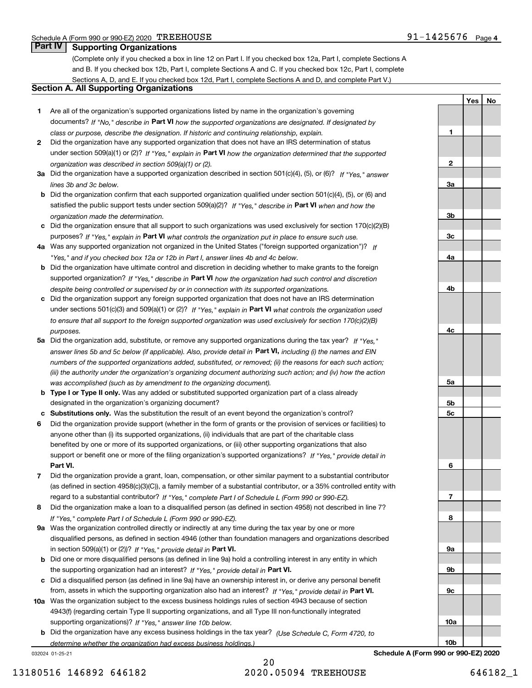**1**

**2**

**3a**

**3b**

**3c**

**4a**

**4b**

**4c**

**5a**

**5b5c**

**6**

**7**

**8**

**9a**

**9b**

**9c**

**10a**

**10b**

**YesNo**

### **Part IV Supporting Organizations**

(Complete only if you checked a box in line 12 on Part I. If you checked box 12a, Part I, complete Sections A and B. If you checked box 12b, Part I, complete Sections A and C. If you checked box 12c, Part I, complete Sections A, D, and E. If you checked box 12d, Part I, complete Sections A and D, and complete Part V.)

#### **Section A. All Supporting Organizations**

- **1** Are all of the organization's supported organizations listed by name in the organization's governing documents? If "No," describe in **Part VI** how the supported organizations are designated. If designated by *class or purpose, describe the designation. If historic and continuing relationship, explain.*
- **2** Did the organization have any supported organization that does not have an IRS determination of status under section 509(a)(1) or (2)? If "Yes," explain in Part VI how the organization determined that the supported *organization was described in section 509(a)(1) or (2).*
- **3a** Did the organization have a supported organization described in section 501(c)(4), (5), or (6)? If "Yes," answer *lines 3b and 3c below.*
- **b** Did the organization confirm that each supported organization qualified under section 501(c)(4), (5), or (6) and satisfied the public support tests under section 509(a)(2)? If "Yes," describe in **Part VI** when and how the *organization made the determination.*
- **c**Did the organization ensure that all support to such organizations was used exclusively for section 170(c)(2)(B) purposes? If "Yes," explain in **Part VI** what controls the organization put in place to ensure such use.
- **4a***If* Was any supported organization not organized in the United States ("foreign supported organization")? *"Yes," and if you checked box 12a or 12b in Part I, answer lines 4b and 4c below.*
- **b** Did the organization have ultimate control and discretion in deciding whether to make grants to the foreign supported organization? If "Yes," describe in **Part VI** how the organization had such control and discretion *despite being controlled or supervised by or in connection with its supported organizations.*
- **c** Did the organization support any foreign supported organization that does not have an IRS determination under sections 501(c)(3) and 509(a)(1) or (2)? If "Yes," explain in **Part VI** what controls the organization used *to ensure that all support to the foreign supported organization was used exclusively for section 170(c)(2)(B) purposes.*
- **5a** Did the organization add, substitute, or remove any supported organizations during the tax year? If "Yes," answer lines 5b and 5c below (if applicable). Also, provide detail in **Part VI,** including (i) the names and EIN *numbers of the supported organizations added, substituted, or removed; (ii) the reasons for each such action; (iii) the authority under the organization's organizing document authorizing such action; and (iv) how the action was accomplished (such as by amendment to the organizing document).*
- **b** Type I or Type II only. Was any added or substituted supported organization part of a class already designated in the organization's organizing document?
- **cSubstitutions only.**  Was the substitution the result of an event beyond the organization's control?
- **6** Did the organization provide support (whether in the form of grants or the provision of services or facilities) to **Part VI.** *If "Yes," provide detail in* support or benefit one or more of the filing organization's supported organizations? anyone other than (i) its supported organizations, (ii) individuals that are part of the charitable class benefited by one or more of its supported organizations, or (iii) other supporting organizations that also
- **7**Did the organization provide a grant, loan, compensation, or other similar payment to a substantial contributor *If "Yes," complete Part I of Schedule L (Form 990 or 990-EZ).* regard to a substantial contributor? (as defined in section 4958(c)(3)(C)), a family member of a substantial contributor, or a 35% controlled entity with
- **8** Did the organization make a loan to a disqualified person (as defined in section 4958) not described in line 7? *If "Yes," complete Part I of Schedule L (Form 990 or 990-EZ).*
- **9a** Was the organization controlled directly or indirectly at any time during the tax year by one or more in section 509(a)(1) or (2))? If "Yes," *provide detail in* <code>Part VI.</code> disqualified persons, as defined in section 4946 (other than foundation managers and organizations described
- **b**the supporting organization had an interest? If "Yes," provide detail in P**art VI**. Did one or more disqualified persons (as defined in line 9a) hold a controlling interest in any entity in which
- **c**Did a disqualified person (as defined in line 9a) have an ownership interest in, or derive any personal benefit from, assets in which the supporting organization also had an interest? If "Yes," provide detail in P**art VI.**
- **10a** Was the organization subject to the excess business holdings rules of section 4943 because of section supporting organizations)? If "Yes," answer line 10b below. 4943(f) (regarding certain Type II supporting organizations, and all Type III non-functionally integrated
- **b** Did the organization have any excess business holdings in the tax year? (Use Schedule C, Form 4720, to *determine whether the organization had excess business holdings.)*

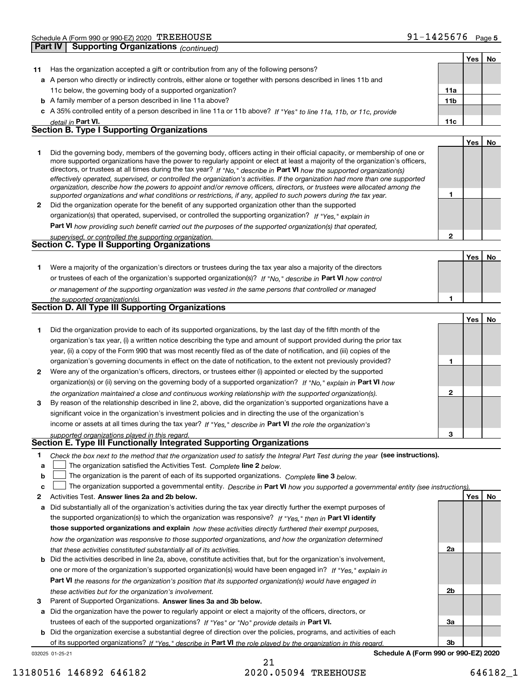|  | 1425676- | Page 5 |
|--|----------|--------|
|  |          |        |

|    |                                                                                                                                                                                                                                                            |     | Yes | No |
|----|------------------------------------------------------------------------------------------------------------------------------------------------------------------------------------------------------------------------------------------------------------|-----|-----|----|
| 11 | Has the organization accepted a gift or contribution from any of the following persons?                                                                                                                                                                    |     |     |    |
|    | a A person who directly or indirectly controls, either alone or together with persons described in lines 11b and                                                                                                                                           |     |     |    |
|    | 11c below, the governing body of a supported organization?                                                                                                                                                                                                 | 11a |     |    |
|    | <b>b</b> A family member of a person described in line 11a above?                                                                                                                                                                                          | 11b |     |    |
|    | c A 35% controlled entity of a person described in line 11a or 11b above? If "Yes" to line 11a, 11b, or 11c, provide                                                                                                                                       |     |     |    |
|    | detail in Part VI.                                                                                                                                                                                                                                         | 11c |     |    |
|    | <b>Section B. Type I Supporting Organizations</b>                                                                                                                                                                                                          |     |     |    |
|    |                                                                                                                                                                                                                                                            |     | Yes | No |
| 1  | Did the governing body, members of the governing body, officers acting in their official capacity, or membership of one or                                                                                                                                 |     |     |    |
|    | more supported organizations have the power to regularly appoint or elect at least a majority of the organization's officers,                                                                                                                              |     |     |    |
|    | directors, or trustees at all times during the tax year? If "No." describe in Part VI how the supported organization(s)                                                                                                                                    |     |     |    |
|    | effectively operated, supervised, or controlled the organization's activities. If the organization had more than one supported<br>organization, describe how the powers to appoint and/or remove officers, directors, or trustees were allocated among the |     |     |    |
|    | supported organizations and what conditions or restrictions, if any, applied to such powers during the tax year.                                                                                                                                           | 1   |     |    |
| 2  | Did the organization operate for the benefit of any supported organization other than the supported                                                                                                                                                        |     |     |    |
|    | organization(s) that operated, supervised, or controlled the supporting organization? If "Yes," explain in                                                                                                                                                 |     |     |    |
|    | Part VI how providing such benefit carried out the purposes of the supported organization(s) that operated,                                                                                                                                                |     |     |    |
|    | supervised, or controlled the supporting organization.                                                                                                                                                                                                     | 2   |     |    |
|    | Section C. Type II Supporting Organizations                                                                                                                                                                                                                |     |     |    |
|    |                                                                                                                                                                                                                                                            |     | Yes | No |
| 1. | Were a majority of the organization's directors or trustees during the tax year also a majority of the directors                                                                                                                                           |     |     |    |
|    | or trustees of each of the organization's supported organization(s)? If "No," describe in Part VI how control                                                                                                                                              |     |     |    |
|    | or management of the supporting organization was vested in the same persons that controlled or managed                                                                                                                                                     |     |     |    |
|    | the supported organization(s).                                                                                                                                                                                                                             | 1   |     |    |
|    | Section D. All Type III Supporting Organizations                                                                                                                                                                                                           |     |     |    |
|    |                                                                                                                                                                                                                                                            |     | Yes | No |
| 1  | Did the organization provide to each of its supported organizations, by the last day of the fifth month of the                                                                                                                                             |     |     |    |
|    | organization's tax year, (i) a written notice describing the type and amount of support provided during the prior tax                                                                                                                                      |     |     |    |
|    | year, (ii) a copy of the Form 990 that was most recently filed as of the date of notification, and (iii) copies of the                                                                                                                                     |     |     |    |
|    | organization's governing documents in effect on the date of notification, to the extent not previously provided?                                                                                                                                           | 1   |     |    |
| 2  | Were any of the organization's officers, directors, or trustees either (i) appointed or elected by the supported                                                                                                                                           |     |     |    |
|    | organization(s) or (ii) serving on the governing body of a supported organization? If "No," explain in Part VI how                                                                                                                                         |     |     |    |
|    | the organization maintained a close and continuous working relationship with the supported organization(s).                                                                                                                                                | 2   |     |    |
| 3  | By reason of the relationship described in line 2, above, did the organization's supported organizations have a                                                                                                                                            |     |     |    |
|    | significant voice in the organization's investment policies and in directing the use of the organization's                                                                                                                                                 |     |     |    |
|    | income or assets at all times during the tax year? If "Yes," describe in Part VI the role the organization's                                                                                                                                               |     |     |    |
|    | supported organizations played in this regard.                                                                                                                                                                                                             | 3   |     |    |
|    | Section E. Type III Functionally Integrated Supporting Organizations                                                                                                                                                                                       |     |     |    |
| 1  | Check the box next to the method that the organization used to satisfy the Integral Part Test during the year (see instructions).                                                                                                                          |     |     |    |
| а  | The organization satisfied the Activities Test. Complete line 2 below.                                                                                                                                                                                     |     |     |    |
| b  | The organization is the parent of each of its supported organizations. Complete line 3 below.                                                                                                                                                              |     |     |    |
| c  | The organization supported a governmental entity. Describe in Part VI how you supported a governmental entity (see instructions).                                                                                                                          |     |     |    |
| 2  | Activities Test. Answer lines 2a and 2b below.                                                                                                                                                                                                             |     | Yes | No |
| а  | Did substantially all of the organization's activities during the tax year directly further the exempt purposes of                                                                                                                                         |     |     |    |
|    | the supported organization(s) to which the organization was responsive? If "Yes," then in Part VI identify                                                                                                                                                 |     |     |    |
|    | those supported organizations and explain how these activities directly furthered their exempt purposes,                                                                                                                                                   |     |     |    |
|    | how the organization was responsive to those supported organizations, and how the organization determined                                                                                                                                                  |     |     |    |
|    | that these activities constituted substantially all of its activities.                                                                                                                                                                                     | 2a  |     |    |
| b  | Did the activities described in line 2a, above, constitute activities that, but for the organization's involvement,                                                                                                                                        |     |     |    |
|    | one or more of the organization's supported organization(s) would have been engaged in? If "Yes," explain in                                                                                                                                               |     |     |    |
|    | Part VI the reasons for the organization's position that its supported organization(s) would have engaged in                                                                                                                                               |     |     |    |
|    | these activities but for the organization's involvement.                                                                                                                                                                                                   | 2b  |     |    |
| 3  | Parent of Supported Organizations. Answer lines 3a and 3b below.                                                                                                                                                                                           |     |     |    |
| а  | Did the organization have the power to regularly appoint or elect a majority of the officers, directors, or                                                                                                                                                |     |     |    |
|    | trustees of each of the supported organizations? If "Yes" or "No" provide details in Part VI.                                                                                                                                                              | За  |     |    |
|    | <b>b</b> Did the organization exercise a substantial degree of direction over the policies, programs, and activities of each                                                                                                                               |     |     |    |

of its supported organizations? If "Yes," describe in Part VI the role played by the organization in this regard. **Schedule A (Form 990 or 990-EZ) 2020**

032025 01-25-21

21 13180516 146892 646182 2020.05094 TREEHOUSE 646182\_1

**3b**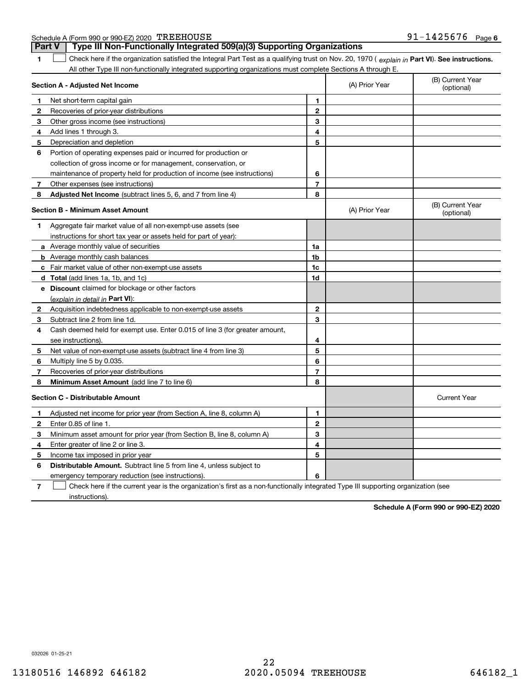| Schedule A (Form 990 or 990-EZ) 2020 TREEHOUSE<br>91<br>-1425676<br>Page<br>$-1$<br><b>J⊥</b> ∃ |
|-------------------------------------------------------------------------------------------------|
|-------------------------------------------------------------------------------------------------|

**Part V Type III Non-Functionally Integrated 509(a)(3) Supporting Organizations** 

| 1            | Check here if the organization satisfied the Integral Part Test as a qualifying trust on Nov. 20, 1970 (explain in Part VI). See instructions. |                |                |                                |  |  |
|--------------|------------------------------------------------------------------------------------------------------------------------------------------------|----------------|----------------|--------------------------------|--|--|
|              | All other Type III non-functionally integrated supporting organizations must complete Sections A through E.                                    |                |                |                                |  |  |
|              | Section A - Adjusted Net Income                                                                                                                |                | (A) Prior Year | (B) Current Year<br>(optional) |  |  |
| 1            | Net short-term capital gain                                                                                                                    | 1              |                |                                |  |  |
| $\mathbf{2}$ | Recoveries of prior-year distributions                                                                                                         | $\overline{2}$ |                |                                |  |  |
| 3            | Other gross income (see instructions)                                                                                                          | 3              |                |                                |  |  |
| 4            | Add lines 1 through 3.                                                                                                                         | 4              |                |                                |  |  |
| 5            | Depreciation and depletion                                                                                                                     | 5              |                |                                |  |  |
| 6            | Portion of operating expenses paid or incurred for production or                                                                               |                |                |                                |  |  |
|              | collection of gross income or for management, conservation, or                                                                                 |                |                |                                |  |  |
|              | maintenance of property held for production of income (see instructions)                                                                       | 6              |                |                                |  |  |
| $\mathbf{7}$ | Other expenses (see instructions)                                                                                                              | $\overline{7}$ |                |                                |  |  |
| 8            | Adjusted Net Income (subtract lines 5, 6, and 7 from line 4)                                                                                   | 8              |                |                                |  |  |
|              | <b>Section B - Minimum Asset Amount</b>                                                                                                        |                | (A) Prior Year | (B) Current Year<br>(optional) |  |  |
| 1            | Aggregate fair market value of all non-exempt-use assets (see                                                                                  |                |                |                                |  |  |
|              | instructions for short tax year or assets held for part of year):                                                                              |                |                |                                |  |  |
|              | <b>a</b> Average monthly value of securities                                                                                                   | 1a             |                |                                |  |  |
|              | <b>b</b> Average monthly cash balances                                                                                                         | 1 <sub>b</sub> |                |                                |  |  |
|              | c Fair market value of other non-exempt-use assets                                                                                             | 1 <sub>c</sub> |                |                                |  |  |
|              | d Total (add lines 1a, 1b, and 1c)                                                                                                             | 1d             |                |                                |  |  |
|              | <b>e</b> Discount claimed for blockage or other factors                                                                                        |                |                |                                |  |  |
|              | (explain in detail in Part VI):                                                                                                                |                |                |                                |  |  |
| 2            | Acquisition indebtedness applicable to non-exempt-use assets                                                                                   | $\mathbf{2}$   |                |                                |  |  |
| 3            | Subtract line 2 from line 1d.                                                                                                                  | 3              |                |                                |  |  |
| 4            | Cash deemed held for exempt use. Enter 0.015 of line 3 (for greater amount,                                                                    |                |                |                                |  |  |
|              | see instructions).                                                                                                                             | 4              |                |                                |  |  |
| 5            | Net value of non-exempt-use assets (subtract line 4 from line 3)                                                                               | 5              |                |                                |  |  |
| 6            | Multiply line 5 by 0.035.                                                                                                                      | 6              |                |                                |  |  |
| 7            | Recoveries of prior-year distributions                                                                                                         | $\overline{7}$ |                |                                |  |  |
| 8            | Minimum Asset Amount (add line 7 to line 6)                                                                                                    | 8              |                |                                |  |  |
|              | <b>Section C - Distributable Amount</b>                                                                                                        |                |                | <b>Current Year</b>            |  |  |
| 1            | Adjusted net income for prior year (from Section A, line 8, column A)                                                                          | 1              |                |                                |  |  |
| $\mathbf{2}$ | Enter 0.85 of line 1.                                                                                                                          | $\mathbf 2$    |                |                                |  |  |
| 3            | Minimum asset amount for prior year (from Section B, line 8, column A)                                                                         | 3              |                |                                |  |  |
| 4            | Enter greater of line 2 or line 3.                                                                                                             | 4              |                |                                |  |  |
| 5            | Income tax imposed in prior year                                                                                                               | 5              |                |                                |  |  |
| 6            | <b>Distributable Amount.</b> Subtract line 5 from line 4, unless subject to                                                                    |                |                |                                |  |  |
|              | emergency temporary reduction (see instructions).                                                                                              | 6              |                |                                |  |  |
| 7            | Check here if the current year is the organization's first as a non-functionally integrated Type III supporting organization (see              |                |                |                                |  |  |

instructions).

**Schedule A (Form 990 or 990-EZ) 2020**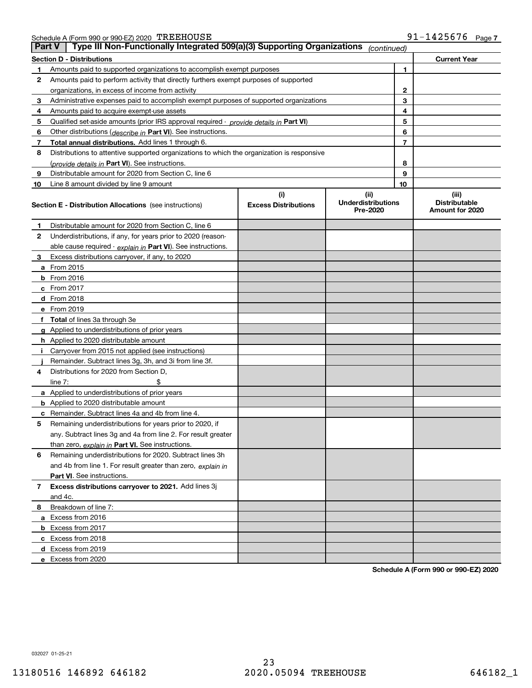| Schedule A (Form 990 or 990-EZ) 2020 $\rm \,TREFOUSE$ |  | 91-1425676 | Page |
|-------------------------------------------------------|--|------------|------|
|                                                       |  |            |      |

| <b>Part V</b> | Type III Non-Functionally Integrated 509(a)(3) Supporting Organizations                    |                             | (continued)                           |                                         |  |
|---------------|--------------------------------------------------------------------------------------------|-----------------------------|---------------------------------------|-----------------------------------------|--|
|               | <b>Section D - Distributions</b>                                                           |                             |                                       | <b>Current Year</b>                     |  |
| 1             | Amounts paid to supported organizations to accomplish exempt purposes                      |                             |                                       | 1                                       |  |
| 2             | Amounts paid to perform activity that directly furthers exempt purposes of supported       |                             |                                       |                                         |  |
|               | organizations, in excess of income from activity                                           |                             | 2                                     |                                         |  |
| 3             | Administrative expenses paid to accomplish exempt purposes of supported organizations      |                             |                                       | 3                                       |  |
| 4             | Amounts paid to acquire exempt-use assets                                                  |                             |                                       | 4                                       |  |
| 5             | Qualified set-aside amounts (prior IRS approval required - provide details in Part VI)     |                             |                                       | 5                                       |  |
| 6             | Other distributions (describe in Part VI). See instructions.                               |                             |                                       | 6                                       |  |
| 7             | Total annual distributions. Add lines 1 through 6.                                         |                             |                                       | 7                                       |  |
| 8             | Distributions to attentive supported organizations to which the organization is responsive |                             |                                       |                                         |  |
|               | (provide details in Part VI). See instructions.                                            |                             |                                       | 8                                       |  |
| 9             | Distributable amount for 2020 from Section C, line 6                                       |                             |                                       | 9                                       |  |
| 10            | Line 8 amount divided by line 9 amount                                                     |                             | 10                                    |                                         |  |
|               |                                                                                            | (i)                         | (ii)                                  | (iii)                                   |  |
|               | <b>Section E - Distribution Allocations</b> (see instructions)                             | <b>Excess Distributions</b> | <b>Underdistributions</b><br>Pre-2020 | <b>Distributable</b><br>Amount for 2020 |  |
| 1             | Distributable amount for 2020 from Section C, line 6                                       |                             |                                       |                                         |  |
| 2             | Underdistributions, if any, for years prior to 2020 (reason-                               |                             |                                       |                                         |  |
|               | able cause required - explain in Part VI). See instructions.                               |                             |                                       |                                         |  |
| 3             | Excess distributions carryover, if any, to 2020                                            |                             |                                       |                                         |  |
|               | <b>a</b> From 2015                                                                         |                             |                                       |                                         |  |
|               | <b>b</b> From 2016                                                                         |                             |                                       |                                         |  |
|               | c From 2017                                                                                |                             |                                       |                                         |  |
|               | <b>d</b> From 2018                                                                         |                             |                                       |                                         |  |
|               | e From 2019                                                                                |                             |                                       |                                         |  |
|               | f Total of lines 3a through 3e                                                             |                             |                                       |                                         |  |
|               | g Applied to underdistributions of prior years                                             |                             |                                       |                                         |  |
|               | <b>h</b> Applied to 2020 distributable amount                                              |                             |                                       |                                         |  |
|               | Carryover from 2015 not applied (see instructions)                                         |                             |                                       |                                         |  |
|               | Remainder. Subtract lines 3g, 3h, and 3i from line 3f.                                     |                             |                                       |                                         |  |
| 4             | Distributions for 2020 from Section D,                                                     |                             |                                       |                                         |  |
|               | line $7:$                                                                                  |                             |                                       |                                         |  |
|               | a Applied to underdistributions of prior years                                             |                             |                                       |                                         |  |
|               | <b>b</b> Applied to 2020 distributable amount                                              |                             |                                       |                                         |  |
|               | c Remainder. Subtract lines 4a and 4b from line 4.                                         |                             |                                       |                                         |  |
| 5             | Remaining underdistributions for years prior to 2020, if                                   |                             |                                       |                                         |  |
|               | any. Subtract lines 3g and 4a from line 2. For result greater                              |                             |                                       |                                         |  |
|               | than zero, explain in Part VI. See instructions.                                           |                             |                                       |                                         |  |
| 6             | Remaining underdistributions for 2020. Subtract lines 3h                                   |                             |                                       |                                         |  |
|               | and 4b from line 1. For result greater than zero, explain in                               |                             |                                       |                                         |  |
|               | Part VI. See instructions.                                                                 |                             |                                       |                                         |  |
| 7             | Excess distributions carryover to 2021. Add lines 3j                                       |                             |                                       |                                         |  |
|               | and 4c.                                                                                    |                             |                                       |                                         |  |
| 8             | Breakdown of line 7:                                                                       |                             |                                       |                                         |  |
|               | a Excess from 2016                                                                         |                             |                                       |                                         |  |
|               | <b>b</b> Excess from 2017                                                                  |                             |                                       |                                         |  |
|               | c Excess from 2018                                                                         |                             |                                       |                                         |  |
|               | d Excess from 2019                                                                         |                             |                                       |                                         |  |
|               | e Excess from 2020                                                                         |                             |                                       |                                         |  |

**Schedule A (Form 990 or 990-EZ) 2020**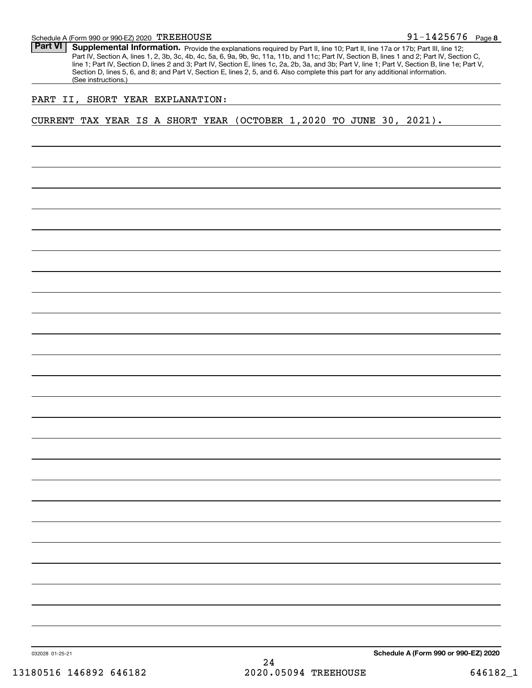**8**91-1425676

Part VI | Supplemental Information. Provide the explanations required by Part II, line 10; Part II, line 17a or 17b; Part III, line 12; Part IV, Section A, lines 1, 2, 3b, 3c, 4b, 4c, 5a, 6, 9a, 9b, 9c, 11a, 11b, and 11c; Part IV, Section B, lines 1 and 2; Part IV, Section C, line 1; Part IV, Section D, lines 2 and 3; Part IV, Section E, lines 1c, 2a, 2b, 3a, and 3b; Part V, line 1; Part V, Section B, line 1e; Part V, Section D, lines 5, 6, and 8; and Part V, Section E, lines 2, 5, and 6. Also complete this part for any additional information. (See instructions.)

#### PART II, SHORT YEAR EXPLANATION:

CURRENT TAX YEAR IS A SHORT YEAR (OCTOBER 1,2020 TO JUNE 30, 2021).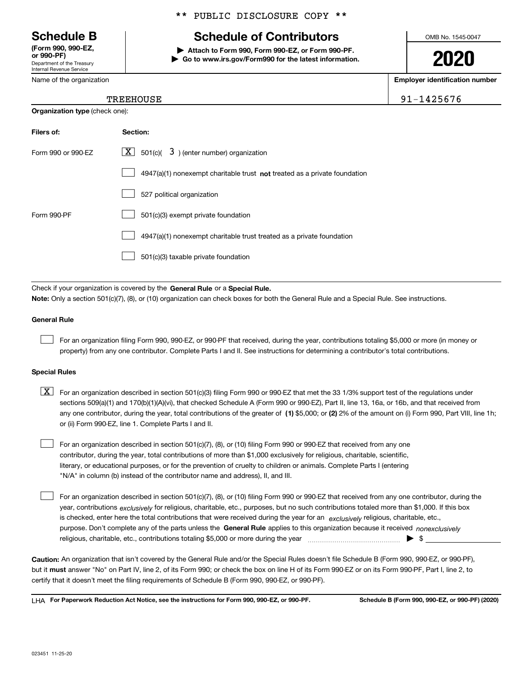Department of the Treasury Internal Revenue Service **(Form 990, 990-EZ, or 990-PF)**

Name of the organization

#### \*\* PUBLIC DISCLOSURE COPY \*\*

## **Schedule B Schedule of Contributors**

**| Attach to Form 990, Form 990-EZ, or Form 990-PF. | Go to www.irs.gov/Form990 for the latest information.** OMB No. 1545-0047

**2020**

**Employer identification number**

| 1425676- |  |
|----------|--|
|----------|--|

#### TREEHOUSE 2014 12:00 12:00 12:00 12:00 12:00 12:00 12:00 12:00 12:00 12:00 12:00 12:00 12:00 12:00 12:00 12:00

| <b>Organization type (check one):</b> |                                                                             |  |  |  |  |  |  |
|---------------------------------------|-----------------------------------------------------------------------------|--|--|--|--|--|--|
| Filers of:                            | Section:                                                                    |  |  |  |  |  |  |
| Form 990 or 990-EZ                    | $\boxed{\text{X}}$ 501(c)( 3) (enter number) organization                   |  |  |  |  |  |  |
|                                       | $4947(a)(1)$ nonexempt charitable trust not treated as a private foundation |  |  |  |  |  |  |
|                                       | 527 political organization                                                  |  |  |  |  |  |  |
| Form 990-PF                           | 501(c)(3) exempt private foundation                                         |  |  |  |  |  |  |
|                                       | 4947(a)(1) nonexempt charitable trust treated as a private foundation       |  |  |  |  |  |  |
|                                       | 501(c)(3) taxable private foundation                                        |  |  |  |  |  |  |

Check if your organization is covered by the **General Rule** or a **Special Rule. Note:**  Only a section 501(c)(7), (8), or (10) organization can check boxes for both the General Rule and a Special Rule. See instructions.

#### **General Rule**

 $\mathcal{L}^{\text{max}}$ 

For an organization filing Form 990, 990-EZ, or 990-PF that received, during the year, contributions totaling \$5,000 or more (in money or property) from any one contributor. Complete Parts I and II. See instructions for determining a contributor's total contributions.

#### **Special Rules**

any one contributor, during the year, total contributions of the greater of  $\,$  (1) \$5,000; or **(2)** 2% of the amount on (i) Form 990, Part VIII, line 1h;  $\boxed{\textbf{X}}$  For an organization described in section 501(c)(3) filing Form 990 or 990-EZ that met the 33 1/3% support test of the regulations under sections 509(a)(1) and 170(b)(1)(A)(vi), that checked Schedule A (Form 990 or 990-EZ), Part II, line 13, 16a, or 16b, and that received from or (ii) Form 990-EZ, line 1. Complete Parts I and II.

For an organization described in section 501(c)(7), (8), or (10) filing Form 990 or 990-EZ that received from any one contributor, during the year, total contributions of more than \$1,000 exclusively for religious, charitable, scientific, literary, or educational purposes, or for the prevention of cruelty to children or animals. Complete Parts I (entering "N/A" in column (b) instead of the contributor name and address), II, and III.  $\mathcal{L}^{\text{max}}$ 

purpose. Don't complete any of the parts unless the **General Rule** applies to this organization because it received *nonexclusively* year, contributions <sub>exclusively</sub> for religious, charitable, etc., purposes, but no such contributions totaled more than \$1,000. If this box is checked, enter here the total contributions that were received during the year for an  $\;$ exclusively religious, charitable, etc., For an organization described in section 501(c)(7), (8), or (10) filing Form 990 or 990-EZ that received from any one contributor, during the religious, charitable, etc., contributions totaling \$5,000 or more during the year  $\Box$ — $\Box$   $\Box$  $\mathcal{L}^{\text{max}}$ 

**Caution:**  An organization that isn't covered by the General Rule and/or the Special Rules doesn't file Schedule B (Form 990, 990-EZ, or 990-PF),  **must** but it answer "No" on Part IV, line 2, of its Form 990; or check the box on line H of its Form 990-EZ or on its Form 990-PF, Part I, line 2, to certify that it doesn't meet the filing requirements of Schedule B (Form 990, 990-EZ, or 990-PF).

**For Paperwork Reduction Act Notice, see the instructions for Form 990, 990-EZ, or 990-PF. Schedule B (Form 990, 990-EZ, or 990-PF) (2020)** LHA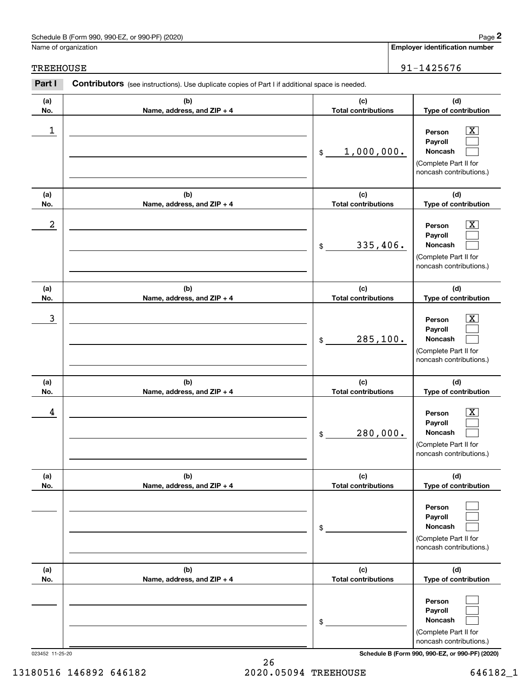### Schedule B (Form 990, 990-EZ, or 990-PF) (2020) Page 2

#### TREEHOUSE 91-1425676

|                  | Schedule B (Form 990, 990-EZ, or 990-PF) (2020)                                                       |                                   | Page 2                                                                                                    |
|------------------|-------------------------------------------------------------------------------------------------------|-----------------------------------|-----------------------------------------------------------------------------------------------------------|
|                  | Name of organization                                                                                  |                                   | <b>Employer identification number</b>                                                                     |
| <b>TREEHOUSE</b> |                                                                                                       |                                   | 91-1425676                                                                                                |
| Part I           | <b>Contributors</b> (see instructions). Use duplicate copies of Part I if additional space is needed. |                                   |                                                                                                           |
| (a)<br>No.       | (b)<br>Name, address, and ZIP + 4                                                                     | (c)<br><b>Total contributions</b> | (d)<br>Type of contribution                                                                               |
| 1                |                                                                                                       | 1,000,000.<br>\$                  | $\overline{\text{X}}$<br>Person<br>Payroll<br>Noncash<br>(Complete Part II for<br>noncash contributions.) |
| (a)<br>No.       | (b)<br>Name, address, and ZIP + 4                                                                     | (c)<br><b>Total contributions</b> | (d)<br>Type of contribution                                                                               |
| $\boldsymbol{2}$ |                                                                                                       | 335,406.<br>\$                    | $\overline{\text{X}}$<br>Person<br>Payroll<br>Noncash<br>(Complete Part II for<br>noncash contributions.) |
| (a)<br>No.       | (b)<br>Name, address, and ZIP + 4                                                                     | (c)<br><b>Total contributions</b> | (d)<br>Type of contribution                                                                               |
| 3                |                                                                                                       | 285, 100.<br>\$                   | $\overline{\text{X}}$<br>Person<br>Payroll<br>Noncash<br>(Complete Part II for<br>noncash contributions.) |
| (a)<br>No.       | (b)<br>Name, address, and ZIP + 4                                                                     | (c)<br><b>Total contributions</b> | (d)<br>Type of contribution                                                                               |
| 4                |                                                                                                       | 280,000.<br>\$                    | $\mathbf{X}$<br>Person<br>Payroll<br>Noncash<br>(Complete Part II for<br>noncash contributions.)          |
| (a)<br>No.       | (b)<br>Name, address, and ZIP + 4                                                                     | (c)<br><b>Total contributions</b> | (d)<br>Type of contribution                                                                               |
|                  |                                                                                                       | \$                                | Person<br>Payroll<br>Noncash<br>(Complete Part II for<br>noncash contributions.)                          |
| (a)<br>No.       | (b)<br>Name, address, and ZIP + 4                                                                     | (c)<br><b>Total contributions</b> | (d)<br>Type of contribution                                                                               |
|                  |                                                                                                       | \$                                | Person<br>Payroll<br>Noncash<br>(Complete Part II for<br>noncash contributions.)                          |

023452 11-25-20 **Schedule B (Form 990, 990-EZ, or 990-PF) (2020)**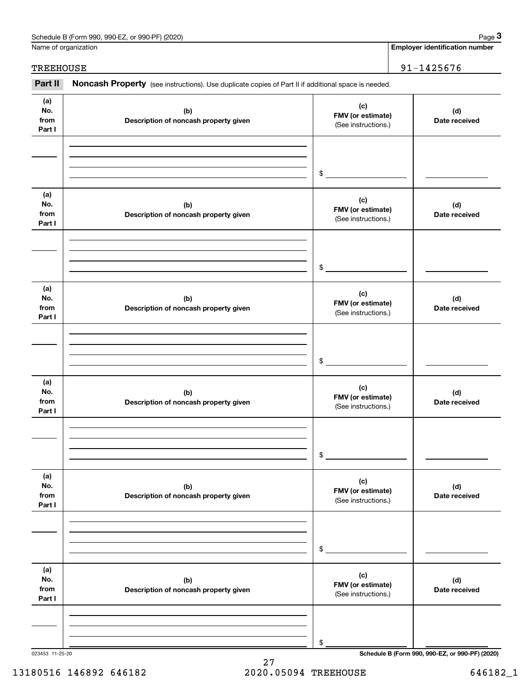| Schedule B (Form 990, 990-EZ,<br>or 990-PF) (2020) | Page |
|----------------------------------------------------|------|
|----------------------------------------------------|------|

|                              | Schedule B (Form 990, 990-EZ, or 990-PF) (2020)                                                     |                                                 | Page 3                                          |
|------------------------------|-----------------------------------------------------------------------------------------------------|-------------------------------------------------|-------------------------------------------------|
|                              | Name of organization                                                                                |                                                 | <b>Employer identification number</b>           |
| <b>TREEHOUSE</b>             |                                                                                                     |                                                 | 91-1425676                                      |
| Part II                      | Noncash Property (see instructions). Use duplicate copies of Part II if additional space is needed. |                                                 |                                                 |
| (a)<br>No.<br>from<br>Part I | (b)<br>Description of noncash property given                                                        | (c)<br>FMV (or estimate)<br>(See instructions.) | (d)<br>Date received                            |
|                              |                                                                                                     | \$                                              |                                                 |
| (a)<br>No.<br>from<br>Part I | (b)<br>Description of noncash property given                                                        | (c)<br>FMV (or estimate)<br>(See instructions.) | (d)<br>Date received                            |
|                              |                                                                                                     | \$                                              |                                                 |
| (a)<br>No.<br>from<br>Part I | (b)<br>Description of noncash property given                                                        | (c)<br>FMV (or estimate)<br>(See instructions.) | (d)<br>Date received                            |
|                              |                                                                                                     | \$                                              |                                                 |
| (a)<br>No.<br>from<br>Part I | (b)<br>Description of noncash property given                                                        | (c)<br>FMV (or estimate)<br>(See instructions.) | (d)<br>Date received                            |
|                              |                                                                                                     | \$                                              |                                                 |
| (a)<br>No.<br>from<br>Part I | (b)<br>Description of noncash property given                                                        | (c)<br>FMV (or estimate)<br>(See instructions.) | (d)<br>Date received                            |
|                              |                                                                                                     | \$                                              |                                                 |
| (a)<br>No.<br>from<br>Part I | (b)<br>Description of noncash property given                                                        | (c)<br>FMV (or estimate)<br>(See instructions.) | (d)<br>Date received                            |
|                              |                                                                                                     | \$                                              |                                                 |
| 023453 11-25-20              |                                                                                                     |                                                 | Schedule B (Form 990, 990-EZ, or 990-PF) (2020) |

27 13180516 146892 646182 2020.05094 TREEHOUSE 646182\_1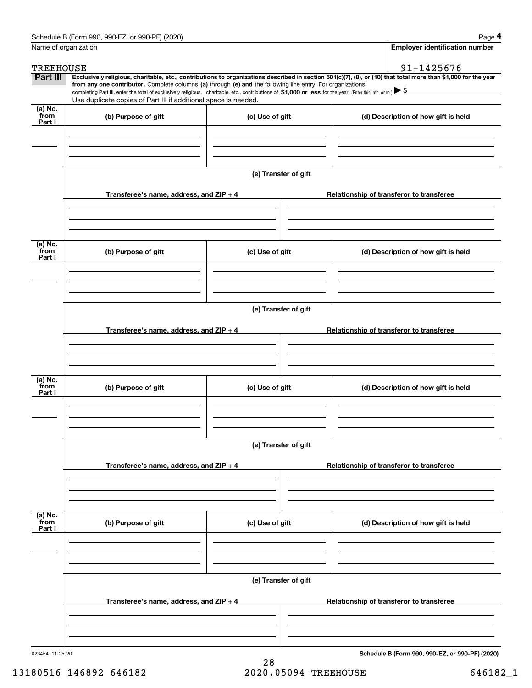|                  | Schedule B (Form 990, 990-EZ, or 990-PF) (2020)                                                                                                                                                                                                                              |                      |  | Page 4                                          |  |  |  |
|------------------|------------------------------------------------------------------------------------------------------------------------------------------------------------------------------------------------------------------------------------------------------------------------------|----------------------|--|-------------------------------------------------|--|--|--|
|                  | Name of organization                                                                                                                                                                                                                                                         |                      |  | <b>Employer identification number</b>           |  |  |  |
| <b>TREEHOUSE</b> |                                                                                                                                                                                                                                                                              |                      |  | 91-1425676                                      |  |  |  |
| Part III         | Exclusively religious, charitable, etc., contributions to organizations described in section 501(c)(7), (8), or (10) that total more than \$1,000 for the year<br>from any one contributor. Complete columns (a) through (e) and the following line entry. For organizations |                      |  |                                                 |  |  |  |
|                  | completing Part III, enter the total of exclusively religious, charitable, etc., contributions of \$1,000 or less for the year. (Enter this info. once.) \\$                                                                                                                 |                      |  |                                                 |  |  |  |
| $(a)$ No.        | Use duplicate copies of Part III if additional space is needed.                                                                                                                                                                                                              |                      |  |                                                 |  |  |  |
| from<br>Part I   | (b) Purpose of gift<br>(c) Use of gift                                                                                                                                                                                                                                       |                      |  | (d) Description of how gift is held             |  |  |  |
|                  |                                                                                                                                                                                                                                                                              |                      |  |                                                 |  |  |  |
|                  |                                                                                                                                                                                                                                                                              |                      |  |                                                 |  |  |  |
|                  |                                                                                                                                                                                                                                                                              |                      |  |                                                 |  |  |  |
|                  |                                                                                                                                                                                                                                                                              | (e) Transfer of gift |  |                                                 |  |  |  |
|                  |                                                                                                                                                                                                                                                                              |                      |  |                                                 |  |  |  |
|                  | Transferee's name, address, and ZIP + 4                                                                                                                                                                                                                                      |                      |  | Relationship of transferor to transferee        |  |  |  |
|                  |                                                                                                                                                                                                                                                                              |                      |  |                                                 |  |  |  |
|                  |                                                                                                                                                                                                                                                                              |                      |  |                                                 |  |  |  |
| (a) No.          |                                                                                                                                                                                                                                                                              |                      |  |                                                 |  |  |  |
| from<br>Part I   | (b) Purpose of gift                                                                                                                                                                                                                                                          | (c) Use of gift      |  | (d) Description of how gift is held             |  |  |  |
|                  |                                                                                                                                                                                                                                                                              |                      |  |                                                 |  |  |  |
|                  |                                                                                                                                                                                                                                                                              |                      |  |                                                 |  |  |  |
|                  |                                                                                                                                                                                                                                                                              |                      |  |                                                 |  |  |  |
|                  |                                                                                                                                                                                                                                                                              | (e) Transfer of gift |  |                                                 |  |  |  |
|                  |                                                                                                                                                                                                                                                                              |                      |  |                                                 |  |  |  |
|                  | Transferee's name, address, and ZIP + 4                                                                                                                                                                                                                                      |                      |  | Relationship of transferor to transferee        |  |  |  |
|                  |                                                                                                                                                                                                                                                                              |                      |  |                                                 |  |  |  |
|                  |                                                                                                                                                                                                                                                                              |                      |  |                                                 |  |  |  |
| (a) No.          |                                                                                                                                                                                                                                                                              |                      |  |                                                 |  |  |  |
| from<br>Part I   | (b) Purpose of gift                                                                                                                                                                                                                                                          | (c) Use of gift      |  | (d) Description of how gift is held             |  |  |  |
|                  |                                                                                                                                                                                                                                                                              |                      |  |                                                 |  |  |  |
|                  |                                                                                                                                                                                                                                                                              |                      |  |                                                 |  |  |  |
|                  |                                                                                                                                                                                                                                                                              |                      |  |                                                 |  |  |  |
|                  |                                                                                                                                                                                                                                                                              | (e) Transfer of gift |  |                                                 |  |  |  |
|                  |                                                                                                                                                                                                                                                                              |                      |  |                                                 |  |  |  |
|                  | Transferee's name, address, and ZIP + 4                                                                                                                                                                                                                                      |                      |  | Relationship of transferor to transferee        |  |  |  |
|                  |                                                                                                                                                                                                                                                                              |                      |  |                                                 |  |  |  |
|                  |                                                                                                                                                                                                                                                                              |                      |  |                                                 |  |  |  |
| (a) No.<br>from  |                                                                                                                                                                                                                                                                              |                      |  |                                                 |  |  |  |
| Part I           | (b) Purpose of gift                                                                                                                                                                                                                                                          | (c) Use of gift      |  | (d) Description of how gift is held             |  |  |  |
|                  |                                                                                                                                                                                                                                                                              |                      |  |                                                 |  |  |  |
|                  |                                                                                                                                                                                                                                                                              |                      |  |                                                 |  |  |  |
|                  |                                                                                                                                                                                                                                                                              |                      |  |                                                 |  |  |  |
|                  | (e) Transfer of gift                                                                                                                                                                                                                                                         |                      |  |                                                 |  |  |  |
|                  |                                                                                                                                                                                                                                                                              |                      |  |                                                 |  |  |  |
|                  | Transferee's name, address, and ZIP + 4                                                                                                                                                                                                                                      |                      |  | Relationship of transferor to transferee        |  |  |  |
|                  |                                                                                                                                                                                                                                                                              |                      |  |                                                 |  |  |  |
|                  |                                                                                                                                                                                                                                                                              |                      |  |                                                 |  |  |  |
| 023454 11-25-20  |                                                                                                                                                                                                                                                                              |                      |  | Schedule B (Form 990, 990-EZ, or 990-PF) (2020) |  |  |  |
|                  |                                                                                                                                                                                                                                                                              |                      |  |                                                 |  |  |  |

28 13180516 146892 646182 2020.05094 TREEHOUSE 646182\_1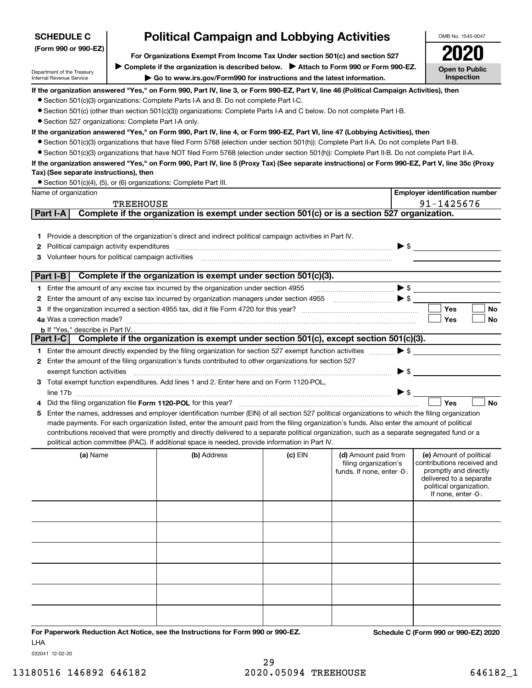### **SCHEDULE C**

**(Form 990 or 990-EZ)**

## **Political Campaign and Lobbying Activities**

**For Organizations Exempt From Income Tax Under section 501(c) and section 527** ▶ Complete if the organization is described below. ▶ Attach to Form 990 or Form 990-EZ.

Department of the Treasury Internal Revenue Service

**| Go to www.irs.gov/Form990 for instructions and the latest information.**

**Open to Public Inspection2020**

OMB No. 1545-0047

**If the organization answered "Yes," on Form 990, Part IV, line 3, or Form 990-EZ, Part V, line 46 (Political Campaign Activities), then**

● Section 501(c)(3) organizations: Complete Parts I-A and B. Do not complete Part I-C.

● Section 501(c) (other than section 501(c)(3)) organizations: Complete Parts I-A and C below. Do not complete Part I-B.

● Section 527 organizations: Complete Part I-A only.

**If the organization answered "Yes," on Form 990, Part IV, line 4, or Form 990-EZ, Part VI, line 47 (Lobbying Activities), then**

● Section 501(c)(3) organizations that have filed Form 5768 (election under section 501(h)): Complete Part II-A. Do not complete Part II-B.

¥ Section 501(c)(3) organizations that have NOT filed Form 5768 (election under section 501(h)): Complete Part II-B. Do not complete Part II-A.

#### **If the organization answered "Yes," on Form 990, Part IV, line 5 (Proxy Tax) (See separate instructions) or Form 990-EZ, Part V, line 35c (Proxy Tax) (See separate instructions), then**

● Section 501(c)(4), (5), or (6) organizations: Complete Part III.

|    | Name of organization                                                                                                                                                                                                                                                                                                                                                                                                                                                                                                                                 |                                                                                               |           |                                                                             | <b>Employer identification number</b>                                                                                                                       |
|----|------------------------------------------------------------------------------------------------------------------------------------------------------------------------------------------------------------------------------------------------------------------------------------------------------------------------------------------------------------------------------------------------------------------------------------------------------------------------------------------------------------------------------------------------------|-----------------------------------------------------------------------------------------------|-----------|-----------------------------------------------------------------------------|-------------------------------------------------------------------------------------------------------------------------------------------------------------|
|    | <b>TREEHOUSE</b>                                                                                                                                                                                                                                                                                                                                                                                                                                                                                                                                     |                                                                                               |           |                                                                             | 91-1425676                                                                                                                                                  |
|    | <b>Part I-A</b>                                                                                                                                                                                                                                                                                                                                                                                                                                                                                                                                      | Complete if the organization is exempt under section 501(c) or is a section 527 organization. |           |                                                                             |                                                                                                                                                             |
|    | 1 Provide a description of the organization's direct and indirect political campaign activities in Part IV.<br>2 Political campaign activity expenditures<br>3 Volunteer hours for political campaign activities [11] [12] [12] Columbian material in the value of the value of the value of the value of value of the value of the value of the value of value of value of value of value                                                                                                                                                           |                                                                                               |           |                                                                             |                                                                                                                                                             |
|    | $ $ Part I-B $ $                                                                                                                                                                                                                                                                                                                                                                                                                                                                                                                                     | Complete if the organization is exempt under section 501(c)(3).                               |           |                                                                             |                                                                                                                                                             |
|    | <b>b</b> If "Yes," describe in Part IV.                                                                                                                                                                                                                                                                                                                                                                                                                                                                                                              |                                                                                               |           |                                                                             | <b>Yes</b><br>No<br>Yes<br>No                                                                                                                               |
|    | Part I-C                                                                                                                                                                                                                                                                                                                                                                                                                                                                                                                                             | Complete if the organization is exempt under section 501(c), except section 501(c)(3).        |           |                                                                             |                                                                                                                                                             |
|    |                                                                                                                                                                                                                                                                                                                                                                                                                                                                                                                                                      |                                                                                               |           |                                                                             |                                                                                                                                                             |
|    | 2 Enter the amount of the filing organization's funds contributed to other organizations for section 527                                                                                                                                                                                                                                                                                                                                                                                                                                             |                                                                                               |           |                                                                             |                                                                                                                                                             |
|    | exempt function activities                                                                                                                                                                                                                                                                                                                                                                                                                                                                                                                           |                                                                                               |           |                                                                             | $\blacktriangleright$ \$                                                                                                                                    |
|    | 3 Total exempt function expenditures. Add lines 1 and 2. Enter here and on Form 1120-POL,                                                                                                                                                                                                                                                                                                                                                                                                                                                            |                                                                                               |           |                                                                             |                                                                                                                                                             |
|    |                                                                                                                                                                                                                                                                                                                                                                                                                                                                                                                                                      |                                                                                               |           |                                                                             |                                                                                                                                                             |
| 5. | Enter the names, addresses and employer identification number (EIN) of all section 527 political organizations to which the filing organization<br>made payments. For each organization listed, enter the amount paid from the filing organization's funds. Also enter the amount of political<br>contributions received that were promptly and directly delivered to a separate political organization, such as a separate segregated fund or a<br>political action committee (PAC). If additional space is needed, provide information in Part IV. |                                                                                               |           |                                                                             | Yes<br><b>No</b>                                                                                                                                            |
|    | (a) Name                                                                                                                                                                                                                                                                                                                                                                                                                                                                                                                                             | (b) Address                                                                                   | $(c)$ EIN | (d) Amount paid from<br>filing organization's<br>funds. If none, enter -0-. | (e) Amount of political<br>contributions received and<br>promptly and directly<br>delivered to a separate<br>political organization.<br>If none, enter -0-. |
|    |                                                                                                                                                                                                                                                                                                                                                                                                                                                                                                                                                      |                                                                                               |           |                                                                             |                                                                                                                                                             |
|    |                                                                                                                                                                                                                                                                                                                                                                                                                                                                                                                                                      |                                                                                               |           |                                                                             |                                                                                                                                                             |
|    |                                                                                                                                                                                                                                                                                                                                                                                                                                                                                                                                                      |                                                                                               |           |                                                                             |                                                                                                                                                             |
|    |                                                                                                                                                                                                                                                                                                                                                                                                                                                                                                                                                      |                                                                                               |           |                                                                             |                                                                                                                                                             |
|    |                                                                                                                                                                                                                                                                                                                                                                                                                                                                                                                                                      |                                                                                               |           |                                                                             |                                                                                                                                                             |
|    |                                                                                                                                                                                                                                                                                                                                                                                                                                                                                                                                                      |                                                                                               |           |                                                                             |                                                                                                                                                             |

**For Paperwork Reduction Act Notice, see the Instructions for Form 990 or 990-EZ. Schedule C (Form 990 or 990-EZ) 2020** LHA

032041 12-02-20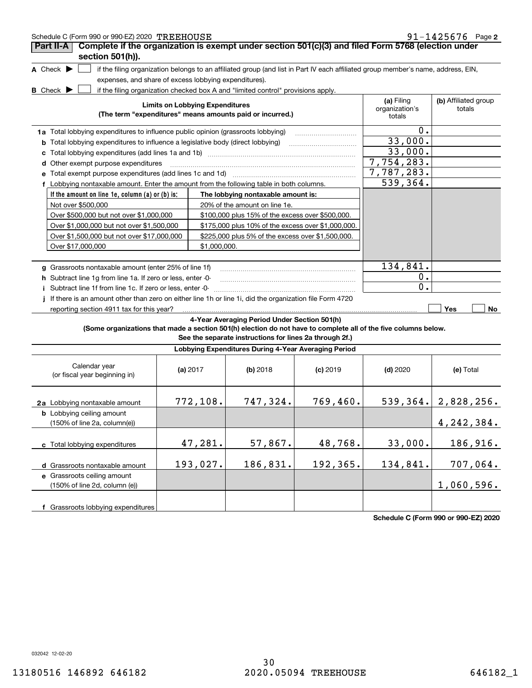| Schedule C (Form 990 or 990-EZ) 2020 TREEHOUSE                                                                                      |                                        |                                                                                  |                                                                                                                                   |                                        | $91 - 1425676$ Page 2          |  |  |
|-------------------------------------------------------------------------------------------------------------------------------------|----------------------------------------|----------------------------------------------------------------------------------|-----------------------------------------------------------------------------------------------------------------------------------|----------------------------------------|--------------------------------|--|--|
| Complete if the organization is exempt under section 501(c)(3) and filed Form 5768 (election under<br>Part II-A<br>section 501(h)). |                                        |                                                                                  |                                                                                                                                   |                                        |                                |  |  |
| A Check $\blacktriangleright$                                                                                                       |                                        |                                                                                  | if the filing organization belongs to an affiliated group (and list in Part IV each affiliated group member's name, address, EIN, |                                        |                                |  |  |
| expenses, and share of excess lobbying expenditures).                                                                               |                                        |                                                                                  |                                                                                                                                   |                                        |                                |  |  |
| <b>B</b> Check $\blacktriangleright$                                                                                                |                                        | if the filing organization checked box A and "limited control" provisions apply. |                                                                                                                                   |                                        |                                |  |  |
|                                                                                                                                     | <b>Limits on Lobbying Expenditures</b> | (The term "expenditures" means amounts paid or incurred.)                        |                                                                                                                                   | (a) Filing<br>organization's<br>totals | (b) Affiliated group<br>totals |  |  |
| 1a Total lobbying expenditures to influence public opinion (grassroots lobbying)                                                    |                                        |                                                                                  |                                                                                                                                   | 0.                                     |                                |  |  |
| <b>b</b> Total lobbying expenditures to influence a legislative body (direct lobbying)                                              |                                        |                                                                                  |                                                                                                                                   | 33,000.                                |                                |  |  |
| с                                                                                                                                   |                                        |                                                                                  |                                                                                                                                   | 33,000.                                |                                |  |  |
| d Other exempt purpose expenditures                                                                                                 |                                        |                                                                                  |                                                                                                                                   | 7,754,283.                             |                                |  |  |
|                                                                                                                                     |                                        |                                                                                  |                                                                                                                                   | 7,787,283.                             |                                |  |  |
| f Lobbying nontaxable amount. Enter the amount from the following table in both columns.                                            |                                        |                                                                                  |                                                                                                                                   | 539,364.                               |                                |  |  |
| If the amount on line 1e, column (a) or (b) is:                                                                                     |                                        | The lobbying nontaxable amount is:                                               |                                                                                                                                   |                                        |                                |  |  |
| Not over \$500,000                                                                                                                  |                                        | 20% of the amount on line 1e.                                                    |                                                                                                                                   |                                        |                                |  |  |
| Over \$500,000 but not over \$1,000,000                                                                                             |                                        | \$100,000 plus 15% of the excess over \$500,000.                                 |                                                                                                                                   |                                        |                                |  |  |
| Over \$1,000,000 but not over \$1,500,000                                                                                           |                                        | \$175,000 plus 10% of the excess over \$1,000,000.                               |                                                                                                                                   |                                        |                                |  |  |
| Over \$1,500,000 but not over \$17,000,000                                                                                          |                                        | \$225,000 plus 5% of the excess over \$1,500,000.                                |                                                                                                                                   |                                        |                                |  |  |
| Over \$17,000,000                                                                                                                   | \$1,000,000.                           |                                                                                  |                                                                                                                                   |                                        |                                |  |  |
|                                                                                                                                     |                                        |                                                                                  |                                                                                                                                   |                                        |                                |  |  |
| g Grassroots nontaxable amount (enter 25% of line 1f)                                                                               |                                        |                                                                                  |                                                                                                                                   | 134,841.                               |                                |  |  |
| h Subtract line 1g from line 1a. If zero or less, enter -0-                                                                         |                                        |                                                                                  |                                                                                                                                   | 0.                                     |                                |  |  |
| i Subtract line 1f from line 1c. If zero or less, enter -0-                                                                         |                                        |                                                                                  |                                                                                                                                   | 0.                                     |                                |  |  |
| If there is an amount other than zero on either line 1h or line 1i, did the organization file Form 4720                             |                                        |                                                                                  |                                                                                                                                   |                                        |                                |  |  |
| reporting section 4911 tax for this year?                                                                                           |                                        |                                                                                  |                                                                                                                                   |                                        | Yes<br>No                      |  |  |
|                                                                                                                                     |                                        | 4-Year Averaging Period Under Section 501(h)                                     |                                                                                                                                   |                                        |                                |  |  |
| (Some organizations that made a section 501(h) election do not have to complete all of the five columns below.                      |                                        | See the separate instructions for lines 2a through 2f.)                          |                                                                                                                                   |                                        |                                |  |  |
|                                                                                                                                     |                                        | Lobbying Expenditures During 4-Year Averaging Period                             |                                                                                                                                   |                                        |                                |  |  |
| Calendar year<br>(or fiscal year beginning in)                                                                                      | (a) $2017$                             | (b) 2018                                                                         | $(c)$ 2019                                                                                                                        | $(d)$ 2020                             | (e) Total                      |  |  |
| 2a Lobbying nontaxable amount                                                                                                       | 772,108.                               | 747,324.                                                                         | 769,460.                                                                                                                          |                                        | 539, 364.   2, 828, 256.       |  |  |
| <b>b</b> Lobbying ceiling amount<br>(150% of line 2a, column(e))                                                                    |                                        |                                                                                  |                                                                                                                                   |                                        | 4, 242, 384.                   |  |  |
| c Total lobbying expenditures                                                                                                       | 47,281.                                | 57,867.                                                                          | 48,768.                                                                                                                           | 33,000.                                | 186,916.                       |  |  |
| d Grassroots nontaxable amount                                                                                                      | 193,027.                               | 186,831.                                                                         | 192,365.                                                                                                                          | 134,841.                               | 707,064.                       |  |  |
| e Grassroots ceiling amount                                                                                                         |                                        |                                                                                  |                                                                                                                                   |                                        |                                |  |  |
| (150% of line 2d, column (e))                                                                                                       |                                        |                                                                                  |                                                                                                                                   |                                        | 1,060,596.                     |  |  |
| f Grassroots lobbying expenditures                                                                                                  |                                        |                                                                                  |                                                                                                                                   |                                        |                                |  |  |

**Schedule C (Form 990 or 990-EZ) 2020**

032042 12-02-20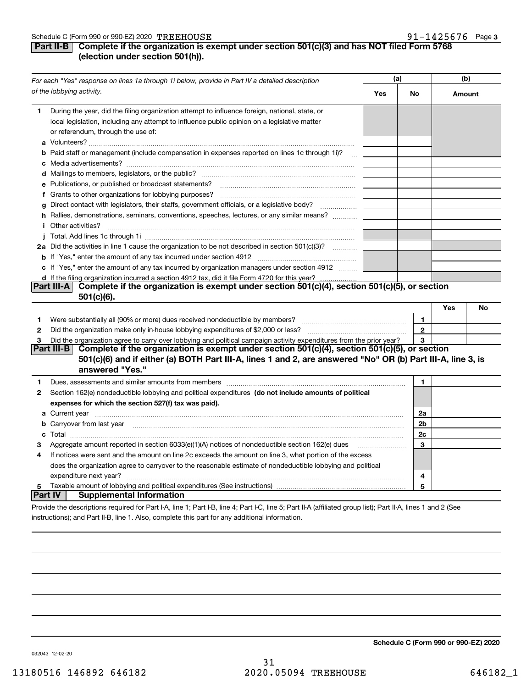#### **Part II-B** Complete if the organization is exempt under section 501(c)(3) and has NOT filed Form 5768 **(election under section 501(h)).**

|              | For each "Yes" response on lines 1a through 1i below, provide in Part IV a detailed description                                                                                                                                                                                                                                                                    | (a) |                |     | (b)    |
|--------------|--------------------------------------------------------------------------------------------------------------------------------------------------------------------------------------------------------------------------------------------------------------------------------------------------------------------------------------------------------------------|-----|----------------|-----|--------|
|              | of the lobbying activity.                                                                                                                                                                                                                                                                                                                                          | Yes | No             |     | Amount |
| 1.           | During the year, did the filing organization attempt to influence foreign, national, state, or<br>local legislation, including any attempt to influence public opinion on a legislative matter<br>or referendum, through the use of:                                                                                                                               |     |                |     |        |
|              | <b>b</b> Paid staff or management (include compensation in expenses reported on lines 1c through 1i)?                                                                                                                                                                                                                                                              |     |                |     |        |
|              |                                                                                                                                                                                                                                                                                                                                                                    |     |                |     |        |
|              |                                                                                                                                                                                                                                                                                                                                                                    |     |                |     |        |
|              | e Publications, or published or broadcast statements?                                                                                                                                                                                                                                                                                                              |     |                |     |        |
|              | f Grants to other organizations for lobbying purposes?                                                                                                                                                                                                                                                                                                             |     |                |     |        |
|              | g Direct contact with legislators, their staffs, government officials, or a legislative body?                                                                                                                                                                                                                                                                      |     |                |     |        |
|              | h Rallies, demonstrations, seminars, conventions, speeches, lectures, or any similar means?                                                                                                                                                                                                                                                                        |     |                |     |        |
|              | <i>i</i> Other activities?<br>$\begin{bmatrix} \begin{bmatrix} 0 & 0 & 0 & 0 \\ 0 & 0 & 0 & 0 \\ 0 & 0 & 0 & 0 \\ 0 & 0 & 0 & 0 \\ 0 & 0 & 0 & 0 \\ 0 & 0 & 0 & 0 \\ 0 & 0 & 0 & 0 \\ 0 & 0 & 0 & 0 & 0 \\ 0 & 0 & 0 & 0 & 0 \\ 0 & 0 & 0 & 0 & 0 \\ 0 & 0 & 0 & 0 & 0 \\ 0 & 0 & 0 & 0 & 0 \\ 0 & 0 & 0 & 0 & 0 & 0 \\ 0 & 0 & 0 & 0 & 0 & 0 \\ 0 & 0 & 0 & 0 & $ |     |                |     |        |
|              |                                                                                                                                                                                                                                                                                                                                                                    |     |                |     |        |
|              | 2a Did the activities in line 1 cause the organization to be not described in section 501(c)(3)?                                                                                                                                                                                                                                                                   |     |                |     |        |
|              |                                                                                                                                                                                                                                                                                                                                                                    |     |                |     |        |
|              | c If "Yes," enter the amount of any tax incurred by organization managers under section 4912                                                                                                                                                                                                                                                                       |     |                |     |        |
|              | d If the filing organization incurred a section 4912 tax, did it file Form 4720 for this year?                                                                                                                                                                                                                                                                     |     |                |     |        |
|              | Part III-A Complete if the organization is exempt under section 501(c)(4), section 501(c)(5), or section                                                                                                                                                                                                                                                           |     |                |     |        |
|              | $501(c)(6)$ .                                                                                                                                                                                                                                                                                                                                                      |     |                |     |        |
|              |                                                                                                                                                                                                                                                                                                                                                                    |     |                | Yes | No     |
| 1            |                                                                                                                                                                                                                                                                                                                                                                    |     | 1              |     |        |
| $\mathbf{2}$ |                                                                                                                                                                                                                                                                                                                                                                    |     | $\mathbf{2}$   |     |        |
| 3            | Did the organization agree to carry over lobbying and political campaign activity expenditures from the prior year?                                                                                                                                                                                                                                                |     | 3              |     |        |
|              | Complete if the organization is exempt under section 501(c)(4), section 501(c)(5), or section<br>Part III-B<br>501(c)(6) and if either (a) BOTH Part III-A, lines 1 and 2, are answered "No" OR (b) Part III-A, line 3, is<br>answered "Yes."                                                                                                                      |     |                |     |        |
| 1            | Dues, assessments and similar amounts from members [11] matter continuum matter and similar amounts and similar                                                                                                                                                                                                                                                    |     | 1              |     |        |
| 2            | Section 162(e) nondeductible lobbying and political expenditures (do not include amounts of political                                                                                                                                                                                                                                                              |     |                |     |        |
|              | expenses for which the section 527(f) tax was paid).                                                                                                                                                                                                                                                                                                               |     |                |     |        |
|              |                                                                                                                                                                                                                                                                                                                                                                    |     | 2a             |     |        |
|              | b Carryover from last year manufactured and contain a series of the contract of the contract of the contract of the contract of the contract of the contract of the contract of the contract of the contract of the contract o                                                                                                                                     |     | 2 <sub>b</sub> |     |        |
| c            | $\textbf{Total} \textcolor{red}{x_1 x_2 x_3 x_4 x_5 x_6 x_7 x_8 x_9 x_1 x_2 x_3 x_4 x_5 x_6 x_7 x_8 x_9 x_1 x_2 x_3 x_4 x_5 x_6 x_7 x_8 x_9 x_1 x_2 x_3 x_4 x_5 x_6 x_7 x_8 x_9 x_1 x_2 x_3 x_4 x_5 x_6 x_7 x_8 x_9 x_1 x_2 x_3 x_4 x_5 x_6 x_7 x_8 x_9 x_1 x_2 x_3 x_4 x_5 x_6 x_7 x_8 x_9 x_1 x_2 x_3 x_4 x_5 x_6 x$                                             |     | 2c             |     |        |
| з            | Aggregate amount reported in section 6033(e)(1)(A) notices of nondeductible section 162(e) dues                                                                                                                                                                                                                                                                    |     | 3              |     |        |
| 4            | If notices were sent and the amount on line 2c exceeds the amount on line 3, what portion of the excess                                                                                                                                                                                                                                                            |     |                |     |        |
|              | does the organization agree to carryover to the reasonable estimate of nondeductible lobbying and political                                                                                                                                                                                                                                                        |     |                |     |        |
|              | expenditure next year?                                                                                                                                                                                                                                                                                                                                             |     | 4              |     |        |
| 5            |                                                                                                                                                                                                                                                                                                                                                                    |     | 5              |     |        |
|              | <b>Supplemental Information</b><br> Part IV                                                                                                                                                                                                                                                                                                                        |     |                |     |        |
|              | Drovide the descriptions required for Dart LA Jine 1: Dart LR Jine 4: Dart LC Jine 5: Dart ILA (affiliated group list): Dart ILA Jines 1 and 2 (See                                                                                                                                                                                                                |     |                |     |        |

scriptions required for Part I-A, line 1; Part I-B, line 4; Part I-C, line 5; Part II-A (affiliated group list); Part II-A, lines 1 and 2 (See instructions); and Part II-B, line 1. Also, complete this part for any additional information.

**Schedule C (Form 990 or 990-EZ) 2020**

032043 12-02-20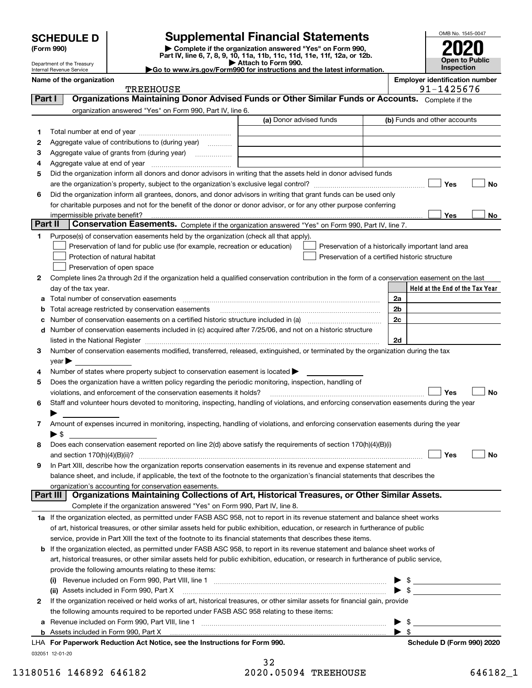Department of the Treasury Internal Revenue Service

| (Form 990) |  |
|------------|--|
|------------|--|

### **SCHEDULE D Supplemental Financial Statements**

(Form 990)<br>
Pepartment of the Treasury<br>
Department of the Treasury<br>
Department of the Treasury<br>
Department of the Treasury<br> **Co to www.irs.gov/Form990 for instructions and the latest information.**<br> **Co to www.irs.gov/Form9** 



**Name of the organization Employer identification number**

|         | <b>TREEHOUSE</b>                                                                                                                               |                         | 91-1425676                                         |
|---------|------------------------------------------------------------------------------------------------------------------------------------------------|-------------------------|----------------------------------------------------|
| Part I  | Organizations Maintaining Donor Advised Funds or Other Similar Funds or Accounts. Complete if the                                              |                         |                                                    |
|         | organization answered "Yes" on Form 990, Part IV, line 6.                                                                                      |                         |                                                    |
|         |                                                                                                                                                | (a) Donor advised funds | (b) Funds and other accounts                       |
| 1       |                                                                                                                                                |                         |                                                    |
| 2       | Aggregate value of contributions to (during year)                                                                                              |                         |                                                    |
| з       | Aggregate value of grants from (during year)                                                                                                   |                         |                                                    |
| 4       |                                                                                                                                                |                         |                                                    |
| 5       | Did the organization inform all donors and donor advisors in writing that the assets held in donor advised funds                               |                         |                                                    |
|         |                                                                                                                                                |                         | Yes<br>No                                          |
| 6       | Did the organization inform all grantees, donors, and donor advisors in writing that grant funds can be used only                              |                         |                                                    |
|         | for charitable purposes and not for the benefit of the donor or donor advisor, or for any other purpose conferring                             |                         |                                                    |
|         | impermissible private benefit?                                                                                                                 |                         | Yes<br>No                                          |
| Part II | Conservation Easements. Complete if the organization answered "Yes" on Form 990, Part IV, line 7.                                              |                         |                                                    |
| 1.      | Purpose(s) of conservation easements held by the organization (check all that apply).                                                          |                         |                                                    |
|         | Preservation of land for public use (for example, recreation or education)                                                                     |                         | Preservation of a historically important land area |
|         | Protection of natural habitat                                                                                                                  |                         | Preservation of a certified historic structure     |
|         | Preservation of open space                                                                                                                     |                         |                                                    |
| 2       | Complete lines 2a through 2d if the organization held a qualified conservation contribution in the form of a conservation easement on the last |                         |                                                    |
|         | day of the tax year.                                                                                                                           |                         | Held at the End of the Tax Year                    |
|         |                                                                                                                                                |                         | 2a                                                 |
|         | <b>b</b> Total acreage restricted by conservation easements                                                                                    |                         | 2 <sub>b</sub>                                     |
|         |                                                                                                                                                |                         | 2c                                                 |
|         | d Number of conservation easements included in (c) acquired after 7/25/06, and not on a historic structure                                     |                         |                                                    |
|         |                                                                                                                                                |                         | 2d                                                 |
| 3       | Number of conservation easements modified, transferred, released, extinguished, or terminated by the organization during the tax               |                         |                                                    |
|         | $year \blacktriangleright$                                                                                                                     |                         |                                                    |
| 4       | Number of states where property subject to conservation easement is located $\blacktriangleright$                                              |                         |                                                    |
| 5       | Does the organization have a written policy regarding the periodic monitoring, inspection, handling of                                         |                         |                                                    |
|         | violations, and enforcement of the conservation easements it holds?                                                                            |                         | Yes<br><b>No</b>                                   |
| 6       | Staff and volunteer hours devoted to monitoring, inspecting, handling of violations, and enforcing conservation easements during the year      |                         |                                                    |
|         |                                                                                                                                                |                         |                                                    |
| 7       | Amount of expenses incurred in monitoring, inspecting, handling of violations, and enforcing conservation easements during the year            |                         |                                                    |
|         | ▶ \$                                                                                                                                           |                         |                                                    |
| 8       | Does each conservation easement reported on line 2(d) above satisfy the requirements of section 170(h)(4)(B)(i)                                |                         |                                                    |
|         |                                                                                                                                                |                         | Yes<br>No                                          |
| 9       | In Part XIII, describe how the organization reports conservation easements in its revenue and expense statement and                            |                         |                                                    |
|         | balance sheet, and include, if applicable, the text of the footnote to the organization's financial statements that describes the              |                         |                                                    |
|         | organization's accounting for conservation easements.                                                                                          |                         |                                                    |
|         | Organizations Maintaining Collections of Art, Historical Treasures, or Other Similar Assets.<br>Part III                                       |                         |                                                    |
|         | Complete if the organization answered "Yes" on Form 990, Part IV, line 8.                                                                      |                         |                                                    |
|         | 1a If the organization elected, as permitted under FASB ASC 958, not to report in its revenue statement and balance sheet works                |                         |                                                    |
|         | of art, historical treasures, or other similar assets held for public exhibition, education, or research in furtherance of public              |                         |                                                    |
|         | service, provide in Part XIII the text of the footnote to its financial statements that describes these items.                                 |                         |                                                    |
|         | <b>b</b> If the organization elected, as permitted under FASB ASC 958, to report in its revenue statement and balance sheet works of           |                         |                                                    |
|         | art, historical treasures, or other similar assets held for public exhibition, education, or research in furtherance of public service,        |                         |                                                    |
|         | provide the following amounts relating to these items:                                                                                         |                         |                                                    |
|         |                                                                                                                                                |                         | \$                                                 |
|         | (ii) Assets included in Form 990, Part X                                                                                                       |                         | $\blacktriangleright$ \$                           |
| 2       | If the organization received or held works of art, historical treasures, or other similar assets for financial gain, provide                   |                         |                                                    |
|         | the following amounts required to be reported under FASB ASC 958 relating to these items:                                                      |                         |                                                    |
|         |                                                                                                                                                |                         | - \$<br>▶                                          |
|         | <b>b</b> Assets included in Form 990, Part X                                                                                                   |                         | $\blacktriangleright$ \$                           |
|         | LHA For Paperwork Reduction Act Notice, see the Instructions for Form 990.                                                                     |                         | Schedule D (Form 990) 2020                         |
|         | 032051 12-01-20                                                                                                                                |                         |                                                    |

| 32                   |  |
|----------------------|--|
| 2020.05094 TREEHOUSE |  |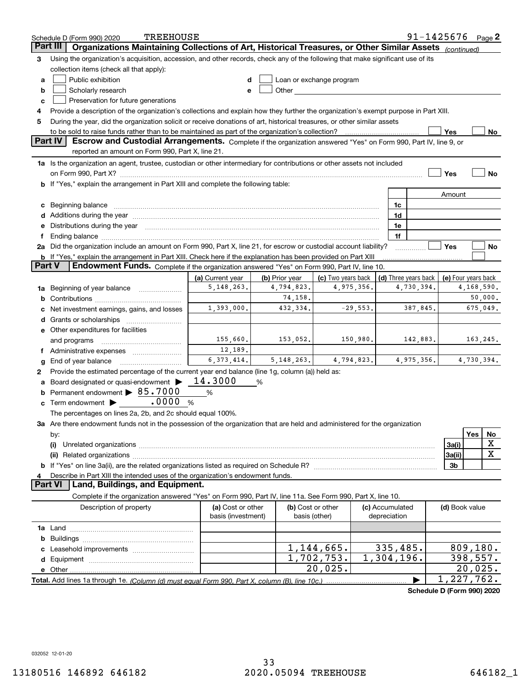|          | <b>TREEHOUSE</b><br>Schedule D (Form 990) 2020                                                                                                                                                                                 |                                         |                       |                                                                                                                                                                                                                               |                                 | 91-1425676 $Page 2$        |                     |            |         |
|----------|--------------------------------------------------------------------------------------------------------------------------------------------------------------------------------------------------------------------------------|-----------------------------------------|-----------------------|-------------------------------------------------------------------------------------------------------------------------------------------------------------------------------------------------------------------------------|---------------------------------|----------------------------|---------------------|------------|---------|
| Part III | Organizations Maintaining Collections of Art, Historical Treasures, or Other Similar Assets (continued)                                                                                                                        |                                         |                       |                                                                                                                                                                                                                               |                                 |                            |                     |            |         |
| 3        | Using the organization's acquisition, accession, and other records, check any of the following that make significant use of its                                                                                                |                                         |                       |                                                                                                                                                                                                                               |                                 |                            |                     |            |         |
|          | collection items (check all that apply):                                                                                                                                                                                       |                                         |                       |                                                                                                                                                                                                                               |                                 |                            |                     |            |         |
| a        | Public exhibition                                                                                                                                                                                                              |                                         |                       | Loan or exchange program                                                                                                                                                                                                      |                                 |                            |                     |            |         |
| b        | Scholarly research                                                                                                                                                                                                             | е                                       |                       | Other and the contract of the contract of the contract of the contract of the contract of the contract of the contract of the contract of the contract of the contract of the contract of the contract of the contract of the |                                 |                            |                     |            |         |
| c        | Preservation for future generations                                                                                                                                                                                            |                                         |                       |                                                                                                                                                                                                                               |                                 |                            |                     |            |         |
| 4        | Provide a description of the organization's collections and explain how they further the organization's exempt purpose in Part XIII.                                                                                           |                                         |                       |                                                                                                                                                                                                                               |                                 |                            |                     |            |         |
| 5        | During the year, did the organization solicit or receive donations of art, historical treasures, or other similar assets                                                                                                       |                                         |                       |                                                                                                                                                                                                                               |                                 |                            |                     |            |         |
|          | to be sold to raise funds rather than to be maintained as part of the organization's collection?                                                                                                                               |                                         |                       |                                                                                                                                                                                                                               |                                 |                            | Yes                 |            | No      |
|          | <b>Part IV</b><br>Escrow and Custodial Arrangements. Complete if the organization answered "Yes" on Form 990, Part IV, line 9, or<br>reported an amount on Form 990, Part X, line 21.                                          |                                         |                       |                                                                                                                                                                                                                               |                                 |                            |                     |            |         |
|          | 1a Is the organization an agent, trustee, custodian or other intermediary for contributions or other assets not included                                                                                                       |                                         |                       |                                                                                                                                                                                                                               |                                 |                            |                     |            |         |
|          | on Form 990, Part X? [11] matter and the contract of the contract of the contract of the contract of the contract of the contract of the contract of the contract of the contract of the contract of the contract of the contr |                                         |                       |                                                                                                                                                                                                                               |                                 |                            | Yes                 |            | No      |
|          | b If "Yes," explain the arrangement in Part XIII and complete the following table:                                                                                                                                             |                                         |                       |                                                                                                                                                                                                                               |                                 |                            |                     |            |         |
|          |                                                                                                                                                                                                                                |                                         |                       |                                                                                                                                                                                                                               |                                 |                            | Amount              |            |         |
| c        | Beginning balance                                                                                                                                                                                                              |                                         |                       |                                                                                                                                                                                                                               | 1c                              |                            |                     |            |         |
|          | Additions during the year manufactured and an annual contract of the year manufactured and all the year manufactured and all the year manufactured and all the year manufactured and all the year manufactured and all the yea |                                         |                       |                                                                                                                                                                                                                               | 1d                              |                            |                     |            |         |
|          | e Distributions during the year manufactured and continuum and contact the year manufactured and contact the year manufactured and contact the year manufactured and contact the year manufactured and contact the year manufa |                                         |                       |                                                                                                                                                                                                                               | 1e                              |                            |                     |            |         |
|          | Ending balance manufactured and contract and contract of the contract of the contract of the contract of the contract of the contract of the contract of the contract of the contract of the contract of the contract of the c |                                         |                       |                                                                                                                                                                                                                               | 1f                              |                            |                     |            |         |
|          | 2a Did the organization include an amount on Form 990, Part X, line 21, for escrow or custodial account liability?                                                                                                             |                                         |                       |                                                                                                                                                                                                                               |                                 |                            | Yes                 |            | No      |
|          | <b>b</b> If "Yes," explain the arrangement in Part XIII. Check here if the explanation has been provided on Part XIII                                                                                                          |                                         |                       |                                                                                                                                                                                                                               |                                 |                            |                     |            |         |
| Part V   | Endowment Funds. Complete if the organization answered "Yes" on Form 990, Part IV, line 10.                                                                                                                                    |                                         |                       |                                                                                                                                                                                                                               |                                 |                            |                     |            |         |
|          |                                                                                                                                                                                                                                | (a) Current year                        | (b) Prior year        | (c) Two years back                                                                                                                                                                                                            |                                 | (d) Three years back       | (e) Four years back | 4,168,590. |         |
| 1a       | Beginning of year balance                                                                                                                                                                                                      | 5, 148, 263.                            | 4,794,823.<br>74,158. | 4,975,356.                                                                                                                                                                                                                    |                                 | 4,730,394.                 |                     |            | 50,000. |
| b        |                                                                                                                                                                                                                                | 1,393,000.                              | 432,334.              | $-29,553.$                                                                                                                                                                                                                    |                                 | 387,845.                   |                     | 675,049.   |         |
|          | Net investment earnings, gains, and losses                                                                                                                                                                                     |                                         |                       |                                                                                                                                                                                                                               |                                 |                            |                     |            |         |
| d        | Grants or scholarships                                                                                                                                                                                                         |                                         |                       |                                                                                                                                                                                                                               |                                 |                            |                     |            |         |
|          | e Other expenditures for facilities                                                                                                                                                                                            | 155,660.                                | 153,052.              | 150,980.                                                                                                                                                                                                                      |                                 | 142,883.                   |                     |            |         |
|          | and programs<br>Administrative expenses                                                                                                                                                                                        | 12,189.                                 |                       |                                                                                                                                                                                                                               |                                 |                            |                     | 163,245.   |         |
|          | End of year balance                                                                                                                                                                                                            | 6, 373, 414.                            | 5, 148, 263.          | 4,794,823.                                                                                                                                                                                                                    |                                 | 4,975,356.                 |                     | 4,730,394. |         |
| g<br>2   | Provide the estimated percentage of the current year end balance (line 1g, column (a)) held as:                                                                                                                                |                                         |                       |                                                                                                                                                                                                                               |                                 |                            |                     |            |         |
|          | Board designated or quasi-endowment >                                                                                                                                                                                          | 14.3000                                 | %                     |                                                                                                                                                                                                                               |                                 |                            |                     |            |         |
| b        | Permanent endowment > 85.7000                                                                                                                                                                                                  | %                                       |                       |                                                                                                                                                                                                                               |                                 |                            |                     |            |         |
| c        | .0000<br>Term endowment >                                                                                                                                                                                                      | %                                       |                       |                                                                                                                                                                                                                               |                                 |                            |                     |            |         |
|          | The percentages on lines 2a, 2b, and 2c should equal 100%.                                                                                                                                                                     |                                         |                       |                                                                                                                                                                                                                               |                                 |                            |                     |            |         |
|          | 3a Are there endowment funds not in the possession of the organization that are held and administered for the organization                                                                                                     |                                         |                       |                                                                                                                                                                                                                               |                                 |                            |                     |            |         |
|          | by:                                                                                                                                                                                                                            |                                         |                       |                                                                                                                                                                                                                               |                                 |                            |                     | Yes        | No      |
|          | (i)                                                                                                                                                                                                                            |                                         |                       |                                                                                                                                                                                                                               |                                 |                            | 3a(i)               |            | X       |
|          |                                                                                                                                                                                                                                |                                         |                       |                                                                                                                                                                                                                               |                                 |                            | 3a(ii)              |            | X       |
|          |                                                                                                                                                                                                                                |                                         |                       |                                                                                                                                                                                                                               |                                 |                            | 3b                  |            |         |
|          | Describe in Part XIII the intended uses of the organization's endowment funds.                                                                                                                                                 |                                         |                       |                                                                                                                                                                                                                               |                                 |                            |                     |            |         |
|          | Land, Buildings, and Equipment.<br>Part VI                                                                                                                                                                                     |                                         |                       |                                                                                                                                                                                                                               |                                 |                            |                     |            |         |
|          | Complete if the organization answered "Yes" on Form 990, Part IV, line 11a. See Form 990, Part X, line 10.                                                                                                                     |                                         |                       |                                                                                                                                                                                                                               |                                 |                            |                     |            |         |
|          | Description of property                                                                                                                                                                                                        | (a) Cost or other<br>basis (investment) |                       | (b) Cost or other<br>basis (other)                                                                                                                                                                                            | (c) Accumulated<br>depreciation |                            | (d) Book value      |            |         |
|          |                                                                                                                                                                                                                                |                                         |                       |                                                                                                                                                                                                                               |                                 |                            |                     |            |         |
| b        |                                                                                                                                                                                                                                |                                         |                       |                                                                                                                                                                                                                               |                                 |                            |                     |            |         |
|          |                                                                                                                                                                                                                                |                                         |                       | 1,144,665.                                                                                                                                                                                                                    | 335,485.                        |                            |                     | 809, 180.  |         |
| d        |                                                                                                                                                                                                                                |                                         |                       | 1,702,753.                                                                                                                                                                                                                    | 1,304,196.                      |                            |                     | 398,557.   |         |
|          |                                                                                                                                                                                                                                |                                         |                       | $20,025$ .                                                                                                                                                                                                                    |                                 |                            |                     | 20,025.    |         |
|          |                                                                                                                                                                                                                                |                                         |                       |                                                                                                                                                                                                                               |                                 |                            | 1,227,762.          |            |         |
|          |                                                                                                                                                                                                                                |                                         |                       |                                                                                                                                                                                                                               |                                 | Schodule D (Form 000) 2020 |                     |            |         |

**Schedule D (Form 990) 2020**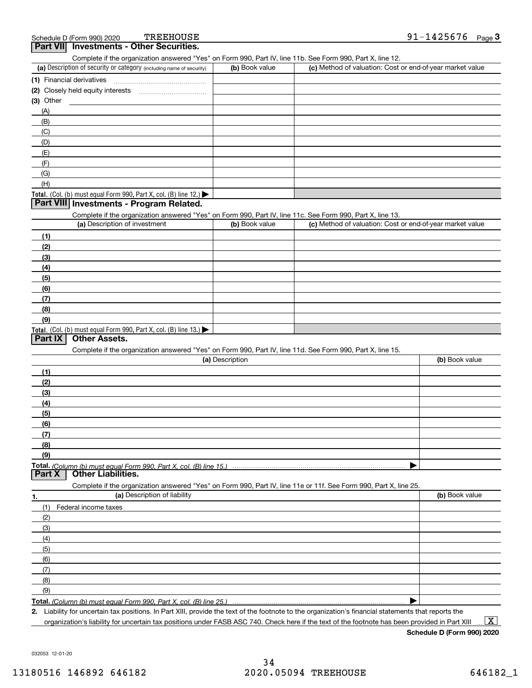| chedule D (Form 990) 2020 | TREEHOUSE                                | 91-1425676 | Page J |
|---------------------------|------------------------------------------|------------|--------|
|                           | Part VII Investments - Other Securities. |            |        |

Complete if the organization answered "Yes" on Form 990, Part IV, line 11b. See Form 990, Part X, line 12.

| (a) Description of security or category (including name of security)                          | (b) Book value | (c) Method of valuation: Cost or end-of-year market value |
|-----------------------------------------------------------------------------------------------|----------------|-----------------------------------------------------------|
| (1) Financial derivatives                                                                     |                |                                                           |
| (2) Closely held equity interests                                                             |                |                                                           |
| $(3)$ Other                                                                                   |                |                                                           |
| (A)                                                                                           |                |                                                           |
| (B)                                                                                           |                |                                                           |
| (C)                                                                                           |                |                                                           |
| (D)                                                                                           |                |                                                           |
| (E)                                                                                           |                |                                                           |
| (F)                                                                                           |                |                                                           |
| (G)                                                                                           |                |                                                           |
| (H)                                                                                           |                |                                                           |
| <b>Total.</b> (Col. (b) must equal Form 990, Part X, col. (B) line 12.) $\blacktriangleright$ |                |                                                           |

#### **Part VIII Investments - Program Related.**

Complete if the organization answered "Yes" on Form 990, Part IV, line 11c. See Form 990, Part X, line 13.

| (a) Description of investment                                                          | (b) Book value | (c) Method of valuation: Cost or end-of-year market value |
|----------------------------------------------------------------------------------------|----------------|-----------------------------------------------------------|
| (1)                                                                                    |                |                                                           |
| (2)                                                                                    |                |                                                           |
| (3)                                                                                    |                |                                                           |
| (4)                                                                                    |                |                                                           |
| $\frac{1}{2}$                                                                          |                |                                                           |
| (6)                                                                                    |                |                                                           |
| $\sqrt{(7)}$                                                                           |                |                                                           |
| (8)                                                                                    |                |                                                           |
| (9)                                                                                    |                |                                                           |
| Total. (Col. (b) must equal Form 990, Part X, col. (B) line 13.) $\blacktriangleright$ |                |                                                           |

#### **Part IX Other Assets.**

Complete if the organization answered "Yes" on Form 990, Part IV, line 11d. See Form 990, Part X, line 15.

| (a) Description                                                                                                   | (b) Book value |
|-------------------------------------------------------------------------------------------------------------------|----------------|
| (1)                                                                                                               |                |
| (2)                                                                                                               |                |
| (3)                                                                                                               |                |
| (4)                                                                                                               |                |
| (5)                                                                                                               |                |
| (6)                                                                                                               |                |
| (7)                                                                                                               |                |
| (8)                                                                                                               |                |
| (9)                                                                                                               |                |
|                                                                                                                   |                |
| Part X<br><b>Other Liabilities.</b>                                                                               |                |
| Complete if the organization answered "Yes" on Form 990, Part IV, line 11e or 11f. See Form 990, Part X, line 25. |                |
| (a) Description of liability<br>1.                                                                                | (b) Book value |

|               | (a) Description of Ilability | (b) BOOK Value |
|---------------|------------------------------|----------------|
| (1)           | Federal income taxes         |                |
| (2)           |                              |                |
| $\frac{1}{2}$ |                              |                |
| (4)           |                              |                |
| (5)           |                              |                |
| (6)           |                              |                |
| (7)           |                              |                |
| (8)           |                              |                |
| (9)           |                              |                |
|               |                              |                |

**Total.**  *(Column (b) must equal Form 990, Part X, col. (B) line 25.)* 

**2.**Liability for uncertain tax positions. In Part XIII, provide the text of the footnote to the organization's financial statements that reports the organization's liability for uncertain tax positions under FASB ASC 740. Check here if the text of the footnote has been provided in Part XIII

 $\boxed{\text{X}}$ 

**Schedule D (Form 990) 2020**

032053 12-01-20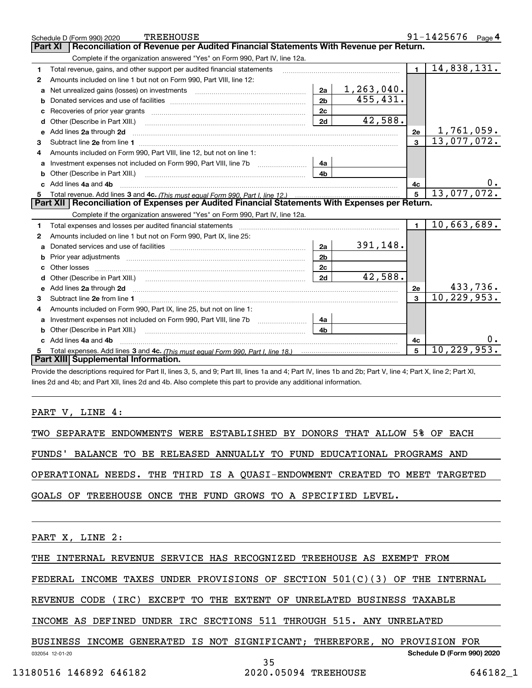|    | <b>TREEHOUSE</b><br>Schedule D (Form 990) 2020                                                                                                                                                                                      |                |              |                | $91 - 1425676$ Page 4 |
|----|-------------------------------------------------------------------------------------------------------------------------------------------------------------------------------------------------------------------------------------|----------------|--------------|----------------|-----------------------|
|    | Reconciliation of Revenue per Audited Financial Statements With Revenue per Return.<br>Part XI                                                                                                                                      |                |              |                |                       |
|    | Complete if the organization answered "Yes" on Form 990, Part IV, line 12a.                                                                                                                                                         |                |              |                |                       |
| 1  | Total revenue, gains, and other support per audited financial statements                                                                                                                                                            |                |              | $\mathbf{1}$   | 14,838,131.           |
| 2  | Amounts included on line 1 but not on Form 990, Part VIII, line 12:                                                                                                                                                                 |                |              |                |                       |
| a  | Net unrealized gains (losses) on investments [11] matter contracts and the unrealized gains (losses) on investments                                                                                                                 | 2a             | 1, 263, 040. |                |                       |
|    |                                                                                                                                                                                                                                     | 2 <sub>b</sub> | 455,431.     |                |                       |
| c  |                                                                                                                                                                                                                                     | 2c             |              |                |                       |
| d  |                                                                                                                                                                                                                                     | 2d             | 42,588.      |                |                       |
| е  | Add lines 2a through 2d                                                                                                                                                                                                             |                |              | 2e             | 1,761,059.            |
| з  |                                                                                                                                                                                                                                     |                |              | $\mathbf{a}$   | 13,077,072.           |
| 4  | Amounts included on Form 990. Part VIII. line 12, but not on line 1:                                                                                                                                                                |                |              |                |                       |
|    |                                                                                                                                                                                                                                     | 4a             |              |                |                       |
| b  | Other (Describe in Part XIII.) <b>2006</b> 2007 2010 2010 2010 2010 2011 2012 2013 2014 2014 2015 2016 2017 2018 2019 2016 2017 2018 2019 2016 2017 2018 2019 2016 2017 2018 2019 2018 2019 2019 2016 2017 2018 2019 2018 2019 2019 | 4 <sub>b</sub> |              |                |                       |
| c. | Add lines 4a and 4b                                                                                                                                                                                                                 |                |              | 4c             |                       |
|    |                                                                                                                                                                                                                                     |                |              | 5              | 13,077,072.           |
|    |                                                                                                                                                                                                                                     |                |              |                |                       |
|    | Part XII   Reconciliation of Expenses per Audited Financial Statements With Expenses per Return.                                                                                                                                    |                |              |                |                       |
|    | Complete if the organization answered "Yes" on Form 990, Part IV, line 12a.                                                                                                                                                         |                |              |                |                       |
| 1  | Total expenses and losses per audited financial statements [11, 11] manuscription control expenses and losses per audited financial statements [11] manuscription of the statements [11] manuscription of the statements and s      |                |              | $\blacksquare$ | 10,663,689.           |
| 2  | Amounts included on line 1 but not on Form 990, Part IX, line 25:                                                                                                                                                                   |                |              |                |                       |
| a  |                                                                                                                                                                                                                                     | 2a             | 391,148.     |                |                       |
| b  |                                                                                                                                                                                                                                     | 2 <sub>b</sub> |              |                |                       |
| c  |                                                                                                                                                                                                                                     | 2c             |              |                |                       |
| d  |                                                                                                                                                                                                                                     | 2d             | 42,588.      |                |                       |
| е  | Add lines 2a through 2d <b>manufactures</b> in the contract of the contract of the contract of the contract of the contract of the contract of the contract of the contract of the contract of the contract of the contract of the  |                |              | 2e             | 433,736.              |
| 3  | Subtract line 2e from line 1 <b>manufacture in the contract of the 2e</b> from line 1                                                                                                                                               |                |              | 3              | 10,229,953.           |
| 4  | Amounts included on Form 990, Part IX, line 25, but not on line 1:                                                                                                                                                                  |                |              |                |                       |
| a  |                                                                                                                                                                                                                                     | 4a             |              |                |                       |
|    | Other (Describe in Part XIII.)                                                                                                                                                                                                      | 4b             |              |                |                       |
|    | c Add lines 4a and 4b                                                                                                                                                                                                               |                |              | 4c             |                       |
|    | Part XIII Supplemental Information.                                                                                                                                                                                                 |                |              | 5              | 10, 229, 953.         |

Provide the descriptions required for Part II, lines 3, 5, and 9; Part III, lines 1a and 4; Part IV, lines 1b and 2b; Part V, line 4; Part X, line 2; Part XI, lines 2d and 4b; and Part XII, lines 2d and 4b. Also complete this part to provide any additional information.

#### PART V, LINE 4:

TWO SEPARATE ENDOWMENTS WERE ESTABLISHED BY DONORS THAT ALLOW 5% OF EACH

FUNDS' BALANCE TO BE RELEASED ANNUALLY TO FUND EDUCATIONAL PROGRAMS AND

OPERATIONAL NEEDS. THE THIRD IS A QUASI-ENDOWMENT CREATED TO MEET TARGETED

GOALS OF TREEHOUSE ONCE THE FUND GROWS TO A SPECIFIED LEVEL.

PART X, LINE 2:

THE INTERNAL REVENUE SERVICE HAS RECOGNIZED TREEHOUSE AS EXEMPT FROM

FEDERAL INCOME TAXES UNDER PROVISIONS OF SECTION 501(C)(3) OF THE INTERNAL

REVENUE CODE (IRC) EXCEPT TO THE EXTENT OF UNRELATED BUSINESS TAXABLE

INCOME AS DEFINED UNDER IRC SECTIONS 511 THROUGH 515. ANY UNRELATED

BUSINESS INCOME GENERATED IS NOT SIGNIFICANT; THEREFORE, NO PROVISION FOR

032054 12-01-20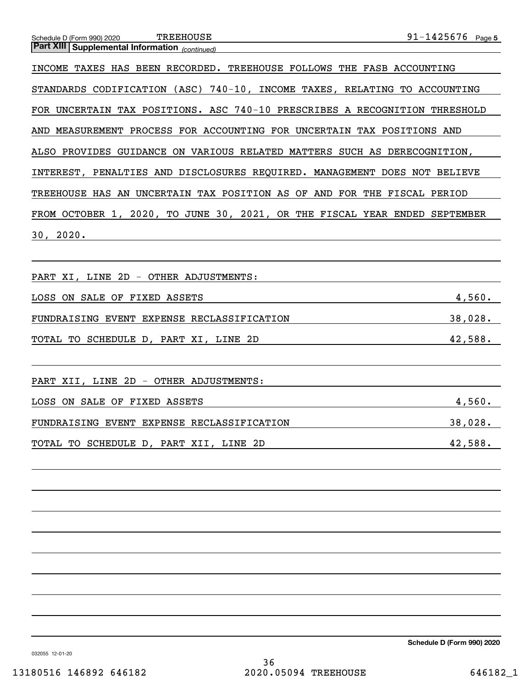#### **5**TREEHOUSE 91-1425676

#### Schedule D (Form 990) 2020 TREEHOUSE

*(continued)* **Part XIII Supplemental Information** 

INCOME TAXES HAS BEEN RECORDED. TREEHOUSE FOLLOWS THE FASB ACCOUNTING STANDARDS CODIFICATION (ASC) 740-10, INCOME TAXES, RELATING TO ACCOUNTING FOR UNCERTAIN TAX POSITIONS. ASC 740-10 PRESCRIBES A RECOGNITION THRESHOLD AND MEASUREMENT PROCESS FOR ACCOUNTING FOR UNCERTAIN TAX POSITIONS AND ALSO PROVIDES GUIDANCE ON VARIOUS RELATED MATTERS SUCH AS DERECOGNITION, INTEREST, PENALTIES AND DISCLOSURES REQUIRED. MANAGEMENT DOES NOT BELIEVE TREEHOUSE HAS AN UNCERTAIN TAX POSITION AS OF AND FOR THE FISCAL PERIOD FROM OCTOBER 1, 2020, TO JUNE 30, 2021, OR THE FISCAL YEAR ENDED SEPTEMBER 30, 2020.

| PART XI, LINE 2D - OTHER ADJUSTMENTS:      |         |
|--------------------------------------------|---------|
| LOSS ON SALE OF FIXED ASSETS               | 4,560.  |
| FUNDRAISING EVENT EXPENSE RECLASSIFICATION | 38,028. |
| TOTAL TO SCHEDULE D, PART XI, LINE 2D      | 42,588. |
| PART XII, LINE 2D - OTHER ADJUSTMENTS:     |         |
| LOSS ON SALE OF FIXED ASSETS               | 4,560.  |
| FUNDRAISING EVENT EXPENSE RECLASSIFICATION | 38,028. |
| TOTAL TO SCHEDULE D, PART XII, LINE 2D     | 42,588. |

**Schedule D (Form 990) 2020**

032055 12-01-20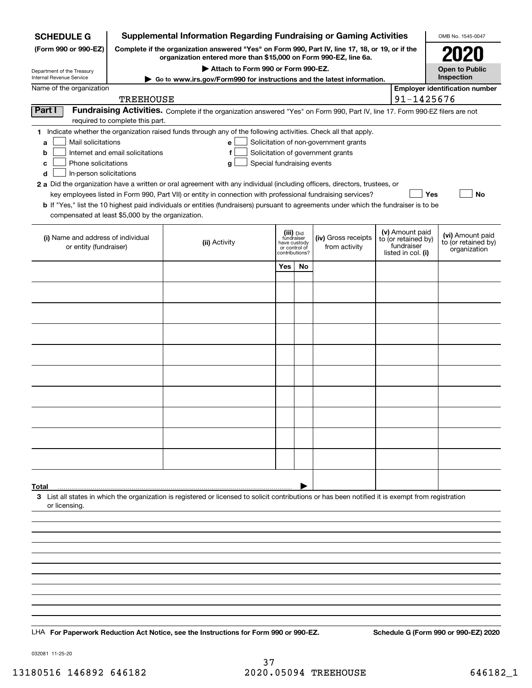| <b>SCHEDULE G</b>                                                                                                                             |                                                                                                                                                                     | Supplemental Information Regarding Fundraising or Gaming Activities                                                                                                                                                                                                                                                                                                                                                                                                                                                                           |                                              |                            |                                                                            |  |                                                                            | OMB No. 1545-0047                                       |
|-----------------------------------------------------------------------------------------------------------------------------------------------|---------------------------------------------------------------------------------------------------------------------------------------------------------------------|-----------------------------------------------------------------------------------------------------------------------------------------------------------------------------------------------------------------------------------------------------------------------------------------------------------------------------------------------------------------------------------------------------------------------------------------------------------------------------------------------------------------------------------------------|----------------------------------------------|----------------------------|----------------------------------------------------------------------------|--|----------------------------------------------------------------------------|---------------------------------------------------------|
| (Form 990 or 990-EZ)                                                                                                                          | Complete if the organization answered "Yes" on Form 990, Part IV, line 17, 18, or 19, or if the<br>organization entered more than \$15,000 on Form 990-EZ, line 6a. |                                                                                                                                                                                                                                                                                                                                                                                                                                                                                                                                               |                                              |                            |                                                                            |  |                                                                            |                                                         |
| Department of the Treasury                                                                                                                    |                                                                                                                                                                     |                                                                                                                                                                                                                                                                                                                                                                                                                                                                                                                                               | Open to Public                               |                            |                                                                            |  |                                                                            |                                                         |
| Internal Revenue Service<br>Name of the organization                                                                                          |                                                                                                                                                                     | Go to www.irs.gov/Form990 for instructions and the latest information.                                                                                                                                                                                                                                                                                                                                                                                                                                                                        |                                              |                            |                                                                            |  |                                                                            | Inspection<br><b>Employer identification number</b>     |
|                                                                                                                                               | <b>TREEHOUSE</b>                                                                                                                                                    |                                                                                                                                                                                                                                                                                                                                                                                                                                                                                                                                               |                                              |                            |                                                                            |  | 91-1425676                                                                 |                                                         |
| Part I                                                                                                                                        | required to complete this part.                                                                                                                                     | Fundraising Activities. Complete if the organization answered "Yes" on Form 990, Part IV, line 17. Form 990-EZ filers are not                                                                                                                                                                                                                                                                                                                                                                                                                 |                                              |                            |                                                                            |  |                                                                            |                                                         |
| Mail solicitations<br>a<br>b<br>Phone solicitations<br>с<br>In-person solicitations<br>d<br>compensated at least \$5,000 by the organization. | Internet and email solicitations                                                                                                                                    | 1 Indicate whether the organization raised funds through any of the following activities. Check all that apply.<br>е<br>Special fundraising events<br>g<br>2 a Did the organization have a written or oral agreement with any individual (including officers, directors, trustees, or<br>key employees listed in Form 990, Part VII) or entity in connection with professional fundraising services?<br>b If "Yes," list the 10 highest paid individuals or entities (fundraisers) pursuant to agreements under which the fundraiser is to be |                                              |                            | Solicitation of non-government grants<br>Solicitation of government grants |  | Yes                                                                        | No                                                      |
| (i) Name and address of individual<br>or entity (fundraiser)                                                                                  |                                                                                                                                                                     | (ii) Activity                                                                                                                                                                                                                                                                                                                                                                                                                                                                                                                                 | fundraiser<br>have custody<br>contributions? | (iii) Did<br>or control of | (iv) Gross receipts<br>from activity                                       |  | (v) Amount paid<br>to (or retained by)<br>fundraiser<br>listed in col. (i) | (vi) Amount paid<br>to (or retained by)<br>organization |
|                                                                                                                                               |                                                                                                                                                                     |                                                                                                                                                                                                                                                                                                                                                                                                                                                                                                                                               | Yes                                          | No                         |                                                                            |  |                                                                            |                                                         |
|                                                                                                                                               |                                                                                                                                                                     |                                                                                                                                                                                                                                                                                                                                                                                                                                                                                                                                               |                                              |                            |                                                                            |  |                                                                            |                                                         |
|                                                                                                                                               |                                                                                                                                                                     |                                                                                                                                                                                                                                                                                                                                                                                                                                                                                                                                               |                                              |                            |                                                                            |  |                                                                            |                                                         |
|                                                                                                                                               |                                                                                                                                                                     |                                                                                                                                                                                                                                                                                                                                                                                                                                                                                                                                               |                                              |                            |                                                                            |  |                                                                            |                                                         |
|                                                                                                                                               |                                                                                                                                                                     |                                                                                                                                                                                                                                                                                                                                                                                                                                                                                                                                               |                                              |                            |                                                                            |  |                                                                            |                                                         |
|                                                                                                                                               |                                                                                                                                                                     |                                                                                                                                                                                                                                                                                                                                                                                                                                                                                                                                               |                                              |                            |                                                                            |  |                                                                            |                                                         |
|                                                                                                                                               |                                                                                                                                                                     |                                                                                                                                                                                                                                                                                                                                                                                                                                                                                                                                               |                                              |                            |                                                                            |  |                                                                            |                                                         |
|                                                                                                                                               |                                                                                                                                                                     |                                                                                                                                                                                                                                                                                                                                                                                                                                                                                                                                               |                                              |                            |                                                                            |  |                                                                            |                                                         |
|                                                                                                                                               |                                                                                                                                                                     |                                                                                                                                                                                                                                                                                                                                                                                                                                                                                                                                               |                                              |                            |                                                                            |  |                                                                            |                                                         |
|                                                                                                                                               |                                                                                                                                                                     |                                                                                                                                                                                                                                                                                                                                                                                                                                                                                                                                               |                                              |                            |                                                                            |  |                                                                            |                                                         |
|                                                                                                                                               |                                                                                                                                                                     |                                                                                                                                                                                                                                                                                                                                                                                                                                                                                                                                               |                                              |                            |                                                                            |  |                                                                            |                                                         |
| Total                                                                                                                                         |                                                                                                                                                                     |                                                                                                                                                                                                                                                                                                                                                                                                                                                                                                                                               |                                              |                            |                                                                            |  |                                                                            |                                                         |
| or licensing.                                                                                                                                 |                                                                                                                                                                     | 3 List all states in which the organization is registered or licensed to solicit contributions or has been notified it is exempt from registration                                                                                                                                                                                                                                                                                                                                                                                            |                                              |                            |                                                                            |  |                                                                            |                                                         |
|                                                                                                                                               |                                                                                                                                                                     |                                                                                                                                                                                                                                                                                                                                                                                                                                                                                                                                               |                                              |                            |                                                                            |  |                                                                            |                                                         |
|                                                                                                                                               |                                                                                                                                                                     |                                                                                                                                                                                                                                                                                                                                                                                                                                                                                                                                               |                                              |                            |                                                                            |  |                                                                            |                                                         |
|                                                                                                                                               |                                                                                                                                                                     |                                                                                                                                                                                                                                                                                                                                                                                                                                                                                                                                               |                                              |                            |                                                                            |  |                                                                            |                                                         |
|                                                                                                                                               |                                                                                                                                                                     |                                                                                                                                                                                                                                                                                                                                                                                                                                                                                                                                               |                                              |                            |                                                                            |  |                                                                            |                                                         |
|                                                                                                                                               |                                                                                                                                                                     |                                                                                                                                                                                                                                                                                                                                                                                                                                                                                                                                               |                                              |                            |                                                                            |  |                                                                            |                                                         |
|                                                                                                                                               |                                                                                                                                                                     |                                                                                                                                                                                                                                                                                                                                                                                                                                                                                                                                               |                                              |                            |                                                                            |  |                                                                            |                                                         |
|                                                                                                                                               |                                                                                                                                                                     |                                                                                                                                                                                                                                                                                                                                                                                                                                                                                                                                               |                                              |                            |                                                                            |  |                                                                            |                                                         |
|                                                                                                                                               |                                                                                                                                                                     | LHA For Paperwork Reduction Act Notice, see the Instructions for Form 990 or 990-EZ.                                                                                                                                                                                                                                                                                                                                                                                                                                                          |                                              |                            |                                                                            |  |                                                                            | Schedule G (Form 990 or 990-EZ) 2020                    |

032081 11-25-20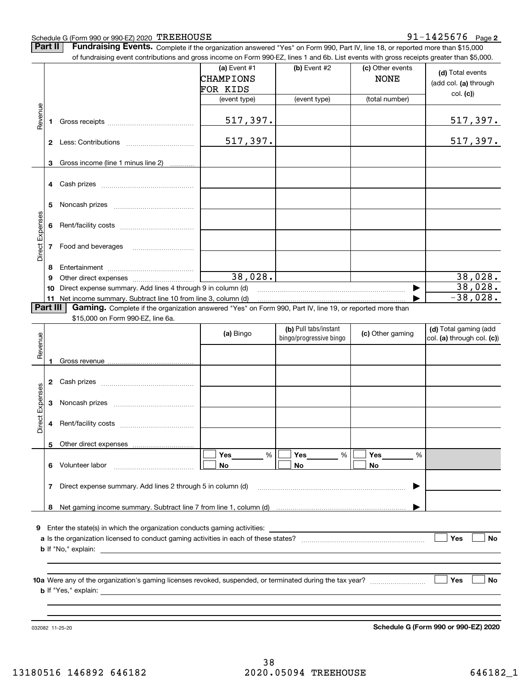#### Schedule G (Form 990 or 990-EZ) 2020 TREEHOUSE

#### **2** TREEHOUSE 91-1425676

**Part II** | Fundraising Events. Complete if the organization answered "Yes" on Form 990, Part IV, line 18, or reported more than \$15,000

|                 |          | of fundraising event contributions and gross income on Form 990-EZ, lines 1 and 6b. List events with gross receipts greater than \$5,000. |              |                         |                  |                            |
|-----------------|----------|-------------------------------------------------------------------------------------------------------------------------------------------|--------------|-------------------------|------------------|----------------------------|
|                 |          |                                                                                                                                           | (a) Event #1 | (b) Event #2            | (c) Other events | (d) Total events           |
|                 |          |                                                                                                                                           | CHAMPIONS    |                         | <b>NONE</b>      |                            |
|                 |          |                                                                                                                                           | FOR KIDS     |                         |                  | (add col. (a) through      |
|                 |          |                                                                                                                                           | (event type) | (event type)            | (total number)   | col. (c)                   |
|                 |          |                                                                                                                                           |              |                         |                  |                            |
| Revenue         |          |                                                                                                                                           | 517,397.     |                         |                  | <u>517,397.</u>            |
|                 | 1.       |                                                                                                                                           |              |                         |                  |                            |
|                 |          |                                                                                                                                           |              |                         |                  |                            |
|                 |          |                                                                                                                                           | 517,397.     |                         |                  | 517,397.                   |
|                 |          |                                                                                                                                           |              |                         |                  |                            |
|                 | 3        | Gross income (line 1 minus line 2)                                                                                                        |              |                         |                  |                            |
|                 |          |                                                                                                                                           |              |                         |                  |                            |
|                 |          |                                                                                                                                           |              |                         |                  |                            |
|                 |          |                                                                                                                                           |              |                         |                  |                            |
|                 | 5        |                                                                                                                                           |              |                         |                  |                            |
|                 |          |                                                                                                                                           |              |                         |                  |                            |
|                 | 6        |                                                                                                                                           |              |                         |                  |                            |
| Direct Expenses |          |                                                                                                                                           |              |                         |                  |                            |
|                 |          | 7 Food and beverages                                                                                                                      |              |                         |                  |                            |
|                 |          |                                                                                                                                           |              |                         |                  |                            |
|                 |          |                                                                                                                                           |              |                         |                  |                            |
|                 | 8        |                                                                                                                                           | 38,028.      |                         |                  | 38,028.                    |
|                 | 9        |                                                                                                                                           |              |                         |                  | 38,028.                    |
|                 | 10       | Direct expense summary. Add lines 4 through 9 in column (d)                                                                               |              |                         |                  |                            |
|                 |          | 11 Net income summary. Subtract line 10 from line 3, column (d)                                                                           |              |                         |                  | $-38,028.$                 |
|                 | Part III | Gaming. Complete if the organization answered "Yes" on Form 990, Part IV, line 19, or reported more than                                  |              |                         |                  |                            |
|                 |          | \$15,000 on Form 990-EZ, line 6a.                                                                                                         |              |                         |                  |                            |
|                 |          |                                                                                                                                           | (a) Bingo    | (b) Pull tabs/instant   | (c) Other gaming | (d) Total gaming (add      |
|                 |          |                                                                                                                                           |              | bingo/progressive bingo |                  | col. (a) through col. (c)) |
| Revenue         |          |                                                                                                                                           |              |                         |                  |                            |
|                 |          |                                                                                                                                           |              |                         |                  |                            |
|                 |          |                                                                                                                                           |              |                         |                  |                            |
|                 |          |                                                                                                                                           |              |                         |                  |                            |
| Expenses        |          |                                                                                                                                           |              |                         |                  |                            |
|                 | 3        |                                                                                                                                           |              |                         |                  |                            |
|                 |          |                                                                                                                                           |              |                         |                  |                            |
| <b>Direct</b>   |          |                                                                                                                                           |              |                         |                  |                            |
|                 |          |                                                                                                                                           |              |                         |                  |                            |
|                 |          |                                                                                                                                           |              |                         |                  |                            |
|                 |          | 5 Other direct expenses                                                                                                                   |              |                         |                  |                            |
|                 |          |                                                                                                                                           | %<br>Yes     | %<br>Yes                | Yes<br>%         |                            |
|                 |          | 6 Volunteer labor                                                                                                                         | No           | No                      | No               |                            |
|                 |          |                                                                                                                                           |              |                         |                  |                            |
|                 | 7        | Direct expense summary. Add lines 2 through 5 in column (d)                                                                               |              |                         |                  |                            |
|                 |          |                                                                                                                                           |              |                         |                  |                            |
|                 |          |                                                                                                                                           |              |                         |                  |                            |
|                 |          |                                                                                                                                           |              |                         |                  |                            |
|                 |          | <b>9</b> Enter the state(s) in which the organization conducts gaming activities:                                                         |              |                         |                  |                            |
|                 |          |                                                                                                                                           |              |                         |                  | Yes<br>No                  |
|                 |          |                                                                                                                                           |              |                         |                  |                            |
|                 |          |                                                                                                                                           |              |                         |                  |                            |
|                 |          |                                                                                                                                           |              |                         |                  |                            |
|                 |          |                                                                                                                                           |              |                         |                  | Yes<br>No                  |
|                 |          |                                                                                                                                           |              |                         |                  |                            |
|                 |          |                                                                                                                                           |              |                         |                  |                            |
|                 |          |                                                                                                                                           |              |                         |                  |                            |
|                 |          |                                                                                                                                           |              |                         |                  |                            |

032082 11-25-20

**Schedule G (Form 990 or 990-EZ) 2020**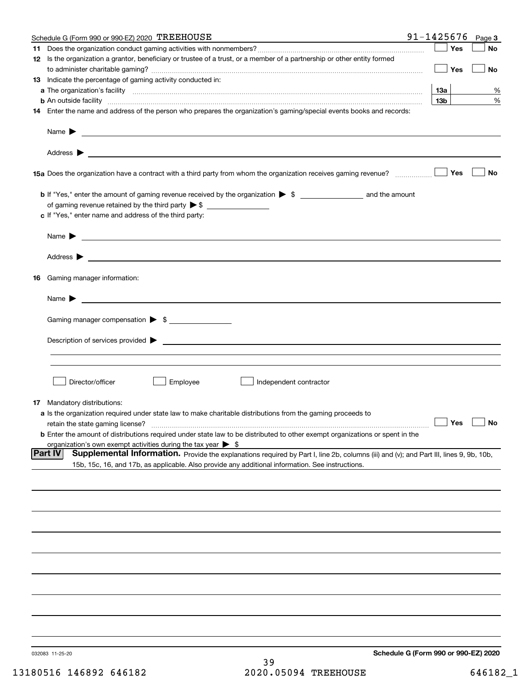|    | Schedule G (Form 990 or 990-EZ) 2020 TREEHOUSE                                                                                                      | 91-1425676                           | Page 3    |
|----|-----------------------------------------------------------------------------------------------------------------------------------------------------|--------------------------------------|-----------|
|    |                                                                                                                                                     | Yes                                  | No        |
|    | 12 Is the organization a grantor, beneficiary or trustee of a trust, or a member of a partnership or other entity formed                            |                                      |           |
|    |                                                                                                                                                     | Yes                                  | No        |
|    | 13 Indicate the percentage of gaming activity conducted in:                                                                                         |                                      |           |
|    |                                                                                                                                                     | 13а                                  | %         |
|    |                                                                                                                                                     | 13 <sub>b</sub>                      | %         |
|    | 14 Enter the name and address of the person who prepares the organization's gaming/special events books and records:                                |                                      |           |
|    |                                                                                                                                                     |                                      |           |
|    | Name $\blacktriangleright$<br><u> 1989 - Johann Harry Harry Harry Harry Harry Harry Harry Harry Harry Harry Harry Harry Harry Harry Harry Harry</u> |                                      |           |
|    |                                                                                                                                                     |                                      |           |
|    |                                                                                                                                                     |                                      |           |
|    |                                                                                                                                                     |                                      |           |
|    |                                                                                                                                                     | Yes                                  | <b>No</b> |
|    |                                                                                                                                                     |                                      |           |
|    |                                                                                                                                                     |                                      |           |
|    | of gaming revenue retained by the third party $\triangleright$ \$                                                                                   |                                      |           |
|    | c If "Yes," enter name and address of the third party:                                                                                              |                                      |           |
|    |                                                                                                                                                     |                                      |           |
|    | Name $\blacktriangleright$ $\bot$                                                                                                                   |                                      |           |
|    |                                                                                                                                                     |                                      |           |
|    |                                                                                                                                                     |                                      |           |
| 16 | Gaming manager information:                                                                                                                         |                                      |           |
|    |                                                                                                                                                     |                                      |           |
|    | $Name \rightarrow$                                                                                                                                  |                                      |           |
|    |                                                                                                                                                     |                                      |           |
|    | Gaming manager compensation > \$                                                                                                                    |                                      |           |
|    |                                                                                                                                                     |                                      |           |
|    | $Description of services provided$ $\triangleright$                                                                                                 |                                      |           |
|    |                                                                                                                                                     |                                      |           |
|    |                                                                                                                                                     |                                      |           |
|    |                                                                                                                                                     |                                      |           |
|    | Director/officer<br>Employee<br>Independent contractor                                                                                              |                                      |           |
|    |                                                                                                                                                     |                                      |           |
|    | <b>17</b> Mandatory distributions:                                                                                                                  |                                      |           |
|    | a Is the organization required under state law to make charitable distributions from the gaming proceeds to<br>retain the state gaming license?     | $\Box$ Yes                           | $\Box$ No |
|    | <b>b</b> Enter the amount of distributions required under state law to be distributed to other exempt organizations or spent in the                 |                                      |           |
|    | organization's own exempt activities during the tax year $\triangleright$ \$                                                                        |                                      |           |
|    | Part IV<br>Supplemental Information. Provide the explanations required by Part I, line 2b, columns (iii) and (v); and Part III, lines 9, 9b, 10b,   |                                      |           |
|    | 15b, 15c, 16, and 17b, as applicable. Also provide any additional information. See instructions.                                                    |                                      |           |
|    |                                                                                                                                                     |                                      |           |
|    |                                                                                                                                                     |                                      |           |
|    |                                                                                                                                                     |                                      |           |
|    |                                                                                                                                                     |                                      |           |
|    |                                                                                                                                                     |                                      |           |
|    |                                                                                                                                                     |                                      |           |
|    |                                                                                                                                                     |                                      |           |
|    |                                                                                                                                                     |                                      |           |
|    |                                                                                                                                                     |                                      |           |
|    |                                                                                                                                                     |                                      |           |
|    |                                                                                                                                                     |                                      |           |
|    |                                                                                                                                                     |                                      |           |
|    |                                                                                                                                                     |                                      |           |
|    |                                                                                                                                                     |                                      |           |
|    |                                                                                                                                                     |                                      |           |
|    |                                                                                                                                                     |                                      |           |
|    | 032083 11-25-20                                                                                                                                     | Schedule G (Form 990 or 990-EZ) 2020 |           |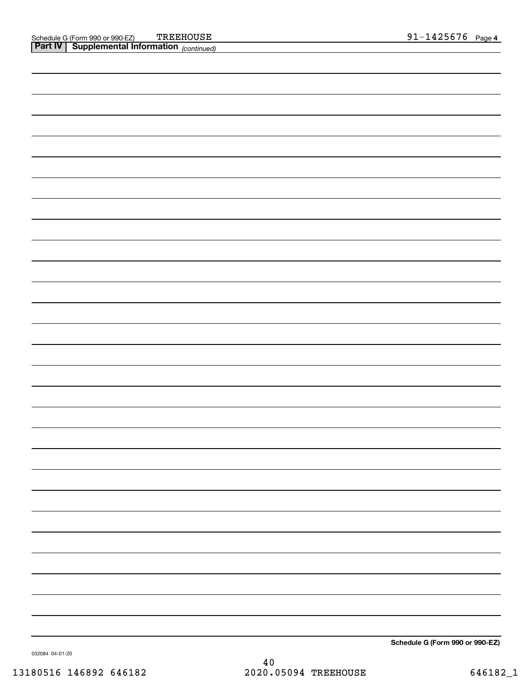**Schedule G (Form 990 or 990-EZ)**

032084 04-01-20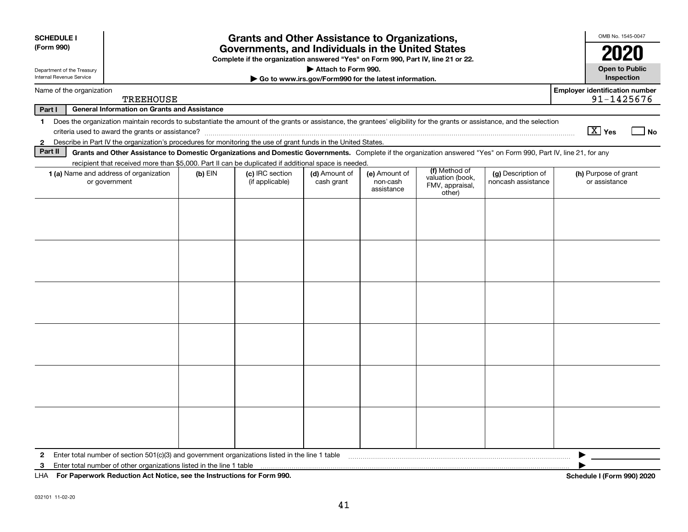| <b>SCHEDULE I</b>                                                          |                                                                                                                                                                          |           | <b>Grants and Other Assistance to Organizations,</b> |               |                        |                                               |                    | OMB No. 1545-0047                                   |  |
|----------------------------------------------------------------------------|--------------------------------------------------------------------------------------------------------------------------------------------------------------------------|-----------|------------------------------------------------------|---------------|------------------------|-----------------------------------------------|--------------------|-----------------------------------------------------|--|
| (Form 990)                                                                 | Governments, and Individuals in the United States                                                                                                                        |           |                                                      |               |                        |                                               |                    |                                                     |  |
| Department of the Treasury                                                 | 2020<br>Complete if the organization answered "Yes" on Form 990, Part IV, line 21 or 22.<br><b>Open to Public</b><br>Attach to Form 990.                                 |           |                                                      |               |                        |                                               |                    |                                                     |  |
| Internal Revenue Service                                                   | Inspection<br>Go to www.irs.gov/Form990 for the latest information.                                                                                                      |           |                                                      |               |                        |                                               |                    |                                                     |  |
| Name of the organization                                                   | <b>TREEHOUSE</b>                                                                                                                                                         |           |                                                      |               |                        |                                               |                    | <b>Employer identification number</b><br>91-1425676 |  |
| Part I                                                                     | <b>General Information on Grants and Assistance</b>                                                                                                                      |           |                                                      |               |                        |                                               |                    |                                                     |  |
| $\mathbf 1$                                                                | Does the organization maintain records to substantiate the amount of the grants or assistance, the grantees' eligibility for the grants or assistance, and the selection |           |                                                      |               |                        |                                               |                    | $\boxed{\text{X}}$ Yes<br>  No                      |  |
| $\mathbf{2}$                                                               | Describe in Part IV the organization's procedures for monitoring the use of grant funds in the United States.                                                            |           |                                                      |               |                        |                                               |                    |                                                     |  |
| Part II                                                                    | Grants and Other Assistance to Domestic Organizations and Domestic Governments. Complete if the organization answered "Yes" on Form 990, Part IV, line 21, for any       |           |                                                      |               |                        |                                               |                    |                                                     |  |
|                                                                            | recipient that received more than \$5,000. Part II can be duplicated if additional space is needed.<br>1 (a) Name and address of organization                            | $(b)$ EIN | (c) IRC section                                      | (d) Amount of | (e) Amount of          | (f) Method of                                 | (g) Description of | (h) Purpose of grant                                |  |
|                                                                            | or government                                                                                                                                                            |           | (if applicable)                                      | cash grant    | non-cash<br>assistance | valuation (book,<br>FMV, appraisal,<br>other) | noncash assistance | or assistance                                       |  |
|                                                                            |                                                                                                                                                                          |           |                                                      |               |                        |                                               |                    |                                                     |  |
|                                                                            |                                                                                                                                                                          |           |                                                      |               |                        |                                               |                    |                                                     |  |
|                                                                            |                                                                                                                                                                          |           |                                                      |               |                        |                                               |                    |                                                     |  |
|                                                                            |                                                                                                                                                                          |           |                                                      |               |                        |                                               |                    |                                                     |  |
|                                                                            |                                                                                                                                                                          |           |                                                      |               |                        |                                               |                    |                                                     |  |
|                                                                            |                                                                                                                                                                          |           |                                                      |               |                        |                                               |                    |                                                     |  |
|                                                                            |                                                                                                                                                                          |           |                                                      |               |                        |                                               |                    |                                                     |  |
|                                                                            |                                                                                                                                                                          |           |                                                      |               |                        |                                               |                    |                                                     |  |
|                                                                            |                                                                                                                                                                          |           |                                                      |               |                        |                                               |                    |                                                     |  |
|                                                                            |                                                                                                                                                                          |           |                                                      |               |                        |                                               |                    |                                                     |  |
|                                                                            |                                                                                                                                                                          |           |                                                      |               |                        |                                               |                    |                                                     |  |
|                                                                            |                                                                                                                                                                          |           |                                                      |               |                        |                                               |                    |                                                     |  |
|                                                                            |                                                                                                                                                                          |           |                                                      |               |                        |                                               |                    |                                                     |  |
|                                                                            |                                                                                                                                                                          |           |                                                      |               |                        |                                               |                    |                                                     |  |
|                                                                            |                                                                                                                                                                          |           |                                                      |               |                        |                                               |                    |                                                     |  |
|                                                                            |                                                                                                                                                                          |           |                                                      |               |                        |                                               |                    |                                                     |  |
|                                                                            |                                                                                                                                                                          |           |                                                      |               |                        |                                               |                    |                                                     |  |
|                                                                            |                                                                                                                                                                          |           |                                                      |               |                        |                                               |                    |                                                     |  |
| 2                                                                          | Enter total number of section $501(c)(3)$ and government organizations listed in the line 1 table                                                                        |           |                                                      |               |                        |                                               |                    |                                                     |  |
| 3                                                                          | Enter total number of other organizations listed in the line 1 table                                                                                                     |           |                                                      |               |                        |                                               |                    |                                                     |  |
| LHA For Paperwork Reduction Act Notice, see the Instructions for Form 990. |                                                                                                                                                                          |           |                                                      |               |                        |                                               |                    | Schedule I (Form 990) 2020                          |  |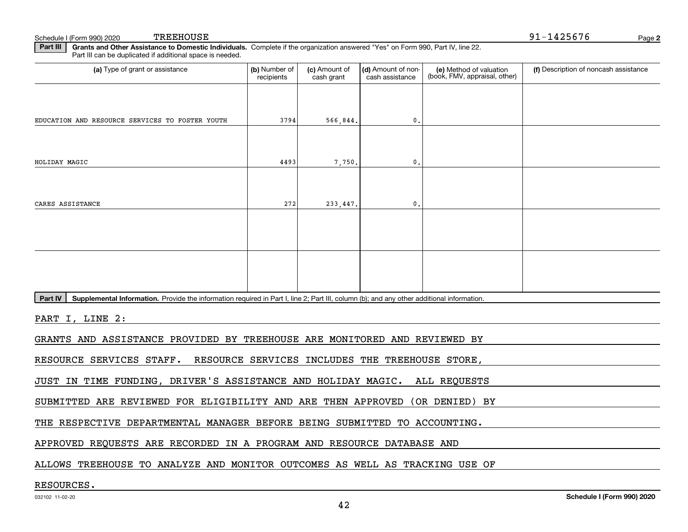Schedule I (Form 990) 2020 TREEHOUSE

**2**91-1425676

**Part III | Grants and Other Assistance to Domestic Individuals. Complete if the organization answered "Yes" on Form 990, Part IV, line 22.** Part III can be duplicated if additional space is needed.

| (a) Type of grant or assistance                                                                                                                      | (b) Number of<br>recipients | (c) Amount of<br>cash grant | (d) Amount of non-<br>cash assistance | (e) Method of valuation<br>(book, FMV, appraisal, other) | (f) Description of noncash assistance |
|------------------------------------------------------------------------------------------------------------------------------------------------------|-----------------------------|-----------------------------|---------------------------------------|----------------------------------------------------------|---------------------------------------|
|                                                                                                                                                      |                             |                             |                                       |                                                          |                                       |
| EDUCATION AND RESOURCE SERVICES TO FOSTER YOUTH                                                                                                      | 3794                        | 566,844.                    | $\mathbf{0}$ .                        |                                                          |                                       |
|                                                                                                                                                      |                             |                             |                                       |                                                          |                                       |
| HOLIDAY MAGIC                                                                                                                                        | 4493                        | 7,750.                      | $\mathbf{0}$ .                        |                                                          |                                       |
|                                                                                                                                                      |                             |                             |                                       |                                                          |                                       |
| CARES ASSISTANCE                                                                                                                                     | 272                         | 233,447.                    | $\mathbf{0}$ .                        |                                                          |                                       |
|                                                                                                                                                      |                             |                             |                                       |                                                          |                                       |
|                                                                                                                                                      |                             |                             |                                       |                                                          |                                       |
|                                                                                                                                                      |                             |                             |                                       |                                                          |                                       |
|                                                                                                                                                      |                             |                             |                                       |                                                          |                                       |
| Part IV<br>Supplemental Information. Provide the information required in Part I, line 2; Part III, column (b); and any other additional information. |                             |                             |                                       |                                                          |                                       |
| PART I, LINE 2:                                                                                                                                      |                             |                             |                                       |                                                          |                                       |
| GRANTS AND ASSISTANCE PROVIDED BY TREEHOUSE ARE MONITORED AND REVIEWED BY                                                                            |                             |                             |                                       |                                                          |                                       |
| RESOURCE SERVICES STAFF. RESOURCE SERVICES INCLUDES THE TREEHOUSE STORE,                                                                             |                             |                             |                                       |                                                          |                                       |
| JUST IN TIME FUNDING, DRIVER'S ASSISTANCE AND HOLIDAY MAGIC. ALL REQUESTS                                                                            |                             |                             |                                       |                                                          |                                       |
| SUBMITTED ARE REVIEWED FOR ELIGIBILITY AND ARE THEN APPROVED (OR DENIED) BY                                                                          |                             |                             |                                       |                                                          |                                       |
| THE RESPECTIVE DEPARTMENTAL MANAGER BEFORE BEING SUBMITTED TO ACCOUNTING.                                                                            |                             |                             |                                       |                                                          |                                       |
| APPROVED REQUESTS ARE RECORDED IN A PROGRAM AND RESOURCE DATABASE AND                                                                                |                             |                             |                                       |                                                          |                                       |

ALLOWS TREEHOUSE TO ANALYZE AND MONITOR OUTCOMES AS WELL AS TRACKING USE OF

#### RESOURCES.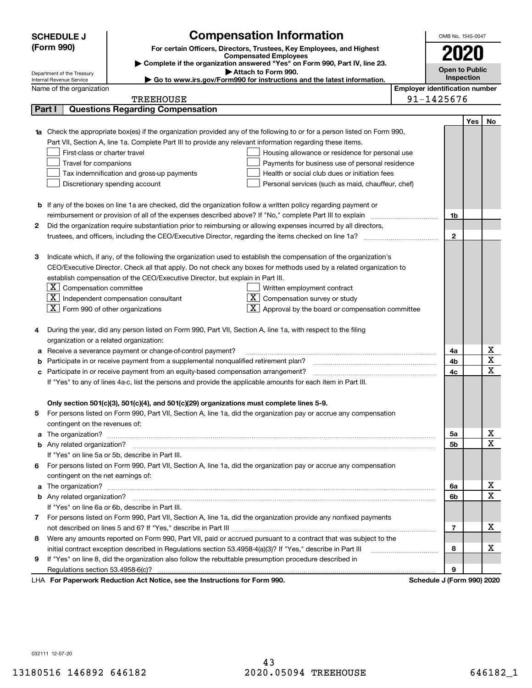|                                                                                                               | <b>SCHEDULE J</b>                                                                                                                | <b>Compensation Information</b>                                                               |                                       | OMB No. 1545-0047          |     |                              |
|---------------------------------------------------------------------------------------------------------------|----------------------------------------------------------------------------------------------------------------------------------|-----------------------------------------------------------------------------------------------|---------------------------------------|----------------------------|-----|------------------------------|
|                                                                                                               | (Form 990)                                                                                                                       | For certain Officers, Directors, Trustees, Key Employees, and Highest                         |                                       |                            |     |                              |
|                                                                                                               |                                                                                                                                  | <b>Compensated Employees</b>                                                                  |                                       |                            |     |                              |
|                                                                                                               |                                                                                                                                  | Complete if the organization answered "Yes" on Form 990, Part IV, line 23.                    |                                       | <b>Open to Public</b>      |     |                              |
|                                                                                                               | Department of the Treasury<br>Internal Revenue Service                                                                           | Attach to Form 990.<br>Go to www.irs.gov/Form990 for instructions and the latest information. |                                       | Inspection                 |     |                              |
|                                                                                                               | Name of the organization                                                                                                         |                                                                                               | <b>Employer identification number</b> |                            |     |                              |
|                                                                                                               | TREEHOUSE                                                                                                                        |                                                                                               |                                       | 91-1425676                 |     |                              |
|                                                                                                               | <b>Questions Regarding Compensation</b><br>Part I                                                                                |                                                                                               |                                       |                            |     |                              |
|                                                                                                               |                                                                                                                                  |                                                                                               |                                       |                            | Yes | No                           |
|                                                                                                               | <b>1a</b> Check the appropriate box(es) if the organization provided any of the following to or for a person listed on Form 990, |                                                                                               |                                       |                            |     |                              |
|                                                                                                               | Part VII, Section A, line 1a. Complete Part III to provide any relevant information regarding these items.                       |                                                                                               |                                       |                            |     |                              |
|                                                                                                               | First-class or charter travel                                                                                                    | Housing allowance or residence for personal use                                               |                                       |                            |     |                              |
|                                                                                                               | Travel for companions                                                                                                            | Payments for business use of personal residence                                               |                                       |                            |     |                              |
|                                                                                                               | Tax indemnification and gross-up payments                                                                                        | Health or social club dues or initiation fees                                                 |                                       |                            |     |                              |
|                                                                                                               | Discretionary spending account                                                                                                   | Personal services (such as maid, chauffeur, chef)                                             |                                       |                            |     |                              |
|                                                                                                               |                                                                                                                                  |                                                                                               |                                       |                            |     |                              |
|                                                                                                               | <b>b</b> If any of the boxes on line 1a are checked, did the organization follow a written policy regarding payment or           |                                                                                               |                                       |                            |     |                              |
|                                                                                                               | reimbursement or provision of all of the expenses described above? If "No," complete Part III to explain                         |                                                                                               |                                       | 1b                         |     |                              |
| 2                                                                                                             | Did the organization require substantiation prior to reimbursing or allowing expenses incurred by all directors,                 |                                                                                               |                                       |                            |     |                              |
|                                                                                                               |                                                                                                                                  |                                                                                               |                                       | $\mathbf 2$                |     |                              |
|                                                                                                               |                                                                                                                                  |                                                                                               |                                       |                            |     |                              |
| 3                                                                                                             | Indicate which, if any, of the following the organization used to establish the compensation of the organization's               |                                                                                               |                                       |                            |     |                              |
|                                                                                                               | CEO/Executive Director. Check all that apply. Do not check any boxes for methods used by a related organization to               |                                                                                               |                                       |                            |     |                              |
|                                                                                                               | establish compensation of the CEO/Executive Director, but explain in Part III.                                                   |                                                                                               |                                       |                            |     |                              |
|                                                                                                               | $\lfloor x \rfloor$ Compensation committee                                                                                       | Written employment contract                                                                   |                                       |                            |     |                              |
|                                                                                                               | $\lfloor x \rfloor$ Independent compensation consultant                                                                          | Compensation survey or study                                                                  |                                       |                            |     |                              |
|                                                                                                               | $\boxed{\textbf{X}}$ Form 990 of other organizations                                                                             | Approval by the board or compensation committee                                               |                                       |                            |     |                              |
|                                                                                                               |                                                                                                                                  |                                                                                               |                                       |                            |     |                              |
| 4                                                                                                             | During the year, did any person listed on Form 990, Part VII, Section A, line 1a, with respect to the filing                     |                                                                                               |                                       |                            |     |                              |
|                                                                                                               | organization or a related organization:                                                                                          |                                                                                               |                                       |                            |     |                              |
|                                                                                                               | Receive a severance payment or change-of-control payment?                                                                        |                                                                                               |                                       | 4a                         |     | х<br>$\overline{\mathtt{x}}$ |
|                                                                                                               | Participate in or receive payment from a supplemental nonqualified retirement plan?                                              |                                                                                               |                                       | 4b                         |     | $\overline{\mathbf{x}}$      |
|                                                                                                               | Participate in or receive payment from an equity-based compensation arrangement?                                                 |                                                                                               |                                       | 4c                         |     |                              |
| If "Yes" to any of lines 4a-c, list the persons and provide the applicable amounts for each item in Part III. |                                                                                                                                  |                                                                                               |                                       |                            |     |                              |
|                                                                                                               |                                                                                                                                  |                                                                                               |                                       |                            |     |                              |
|                                                                                                               | Only section 501(c)(3), 501(c)(4), and 501(c)(29) organizations must complete lines 5-9.                                         |                                                                                               |                                       |                            |     |                              |
| 5.                                                                                                            | For persons listed on Form 990, Part VII, Section A, line 1a, did the organization pay or accrue any compensation                |                                                                                               |                                       |                            |     |                              |
|                                                                                                               | contingent on the revenues of:                                                                                                   |                                                                                               |                                       | 5a                         |     | <u>x</u>                     |
|                                                                                                               |                                                                                                                                  |                                                                                               |                                       | 5b                         |     | $\overline{\mathbf{x}}$      |
|                                                                                                               | If "Yes" on line 5a or 5b, describe in Part III.                                                                                 |                                                                                               |                                       |                            |     |                              |
|                                                                                                               | 6 For persons listed on Form 990, Part VII, Section A, line 1a, did the organization pay or accrue any compensation              |                                                                                               |                                       |                            |     |                              |
|                                                                                                               | contingent on the net earnings of:                                                                                               |                                                                                               |                                       |                            |     |                              |
|                                                                                                               |                                                                                                                                  |                                                                                               |                                       | 6а                         |     | x                            |
|                                                                                                               |                                                                                                                                  |                                                                                               |                                       | 6b                         |     | $\overline{\mathbf{x}}$      |
|                                                                                                               | If "Yes" on line 6a or 6b, describe in Part III.                                                                                 |                                                                                               |                                       |                            |     |                              |
|                                                                                                               | 7 For persons listed on Form 990, Part VII, Section A, line 1a, did the organization provide any nonfixed payments               |                                                                                               |                                       |                            |     |                              |
|                                                                                                               |                                                                                                                                  |                                                                                               |                                       | 7                          |     | х                            |
| 8                                                                                                             | Were any amounts reported on Form 990, Part VII, paid or accrued pursuant to a contract that was subject to the                  |                                                                                               |                                       |                            |     |                              |
|                                                                                                               |                                                                                                                                  |                                                                                               |                                       | 8                          |     | x                            |
| 9                                                                                                             | If "Yes" on line 8, did the organization also follow the rebuttable presumption procedure described in                           |                                                                                               |                                       |                            |     |                              |
|                                                                                                               |                                                                                                                                  |                                                                                               |                                       | 9                          |     |                              |
|                                                                                                               | LHA For Paperwork Reduction Act Notice, see the Instructions for Form 990.                                                       |                                                                                               |                                       | Schedule J (Form 990) 2020 |     |                              |

032111 12-07-20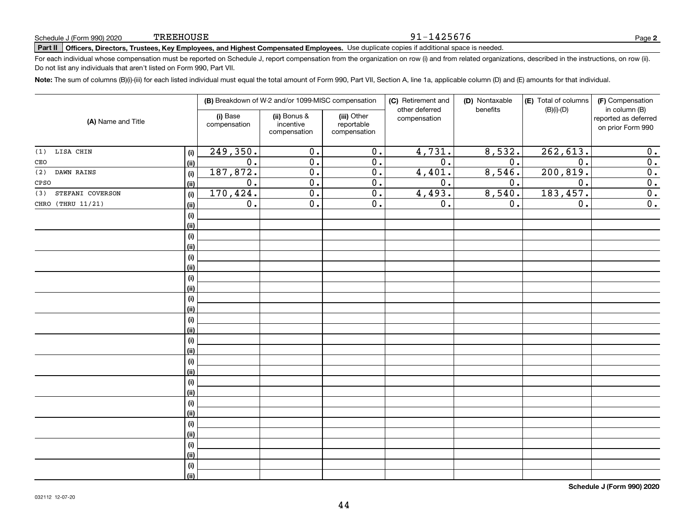#### 91-1425676

**2**

# **Part II Officers, Directors, Trustees, Key Employees, and Highest Compensated Employees.**  Schedule J (Form 990) 2020 Page Use duplicate copies if additional space is needed.

For each individual whose compensation must be reported on Schedule J, report compensation from the organization on row (i) and from related organizations, described in the instructions, on row (ii). Do not list any individuals that aren't listed on Form 990, Part VII.

**Note:**  The sum of columns (B)(i)-(iii) for each listed individual must equal the total amount of Form 990, Part VII, Section A, line 1a, applicable column (D) and (E) amounts for that individual.

|                         |      |                          | (B) Breakdown of W-2 and/or 1099-MISC compensation |                                           | (C) Retirement and<br>other deferred | (D) Nontaxable<br>benefits | (E) Total of columns | (F) Compensation                                           |
|-------------------------|------|--------------------------|----------------------------------------------------|-------------------------------------------|--------------------------------------|----------------------------|----------------------|------------------------------------------------------------|
| (A) Name and Title      |      | (i) Base<br>compensation | (ii) Bonus &<br>incentive<br>compensation          | (iii) Other<br>reportable<br>compensation | compensation                         |                            | $(B)(i)-(D)$         | in column (B)<br>reported as deferred<br>on prior Form 990 |
| LISA CHIN<br>(1)        | (i)  | 249,350.                 | $\overline{0}$ .                                   | $\overline{0}$ .                          | 4,731.                               | 8,532.                     | 262,613.             | 0.                                                         |
| CEO                     | (ii) | $\overline{0}$ .         | $\overline{0}$ .                                   | $\overline{0}$ .                          | $\overline{0}$ .                     | $\overline{0}$ .           | $\overline{0}$ .     | $\overline{0}$ .                                           |
| (2)<br>DAWN RAINS       | (i)  | 187,872.                 | $\overline{0}$ .                                   | $\overline{0}$ .                          | 4,401.                               | 8,546.                     | 200, 819.            | $\overline{0}$ .                                           |
| CPSO                    | (ii) | $\overline{0}$ .         | $\overline{0}$ .                                   | $\overline{0}$ .                          | $\overline{0}$ .                     | $\overline{0}$ .           | $\overline{0}$ .     | $\overline{0}$ .                                           |
| STEFANI COVERSON<br>(3) | (i)  | 170,424.                 | $\overline{0}$ .                                   | $\overline{0}$ .                          | 4,493.                               | 8,540.                     | 183, 457.            | $\overline{0}$ .                                           |
| CHRO (THRU 11/21)       | (ii) | $\overline{0}$ .         | $\overline{0}$ .                                   | $\overline{0}$ .                          | $\overline{0}$ .                     | $\overline{0}$ .           | $\overline{0}$ .     | $\overline{0}$ .                                           |
|                         | (i)  |                          |                                                    |                                           |                                      |                            |                      |                                                            |
|                         | (ii) |                          |                                                    |                                           |                                      |                            |                      |                                                            |
|                         | (i)  |                          |                                                    |                                           |                                      |                            |                      |                                                            |
|                         | (ii) |                          |                                                    |                                           |                                      |                            |                      |                                                            |
|                         | (i)  |                          |                                                    |                                           |                                      |                            |                      |                                                            |
|                         | (ii) |                          |                                                    |                                           |                                      |                            |                      |                                                            |
|                         | (i)  |                          |                                                    |                                           |                                      |                            |                      |                                                            |
|                         | (ii) |                          |                                                    |                                           |                                      |                            |                      |                                                            |
|                         | (i)  |                          |                                                    |                                           |                                      |                            |                      |                                                            |
|                         | (ii) |                          |                                                    |                                           |                                      |                            |                      |                                                            |
|                         | (i)  |                          |                                                    |                                           |                                      |                            |                      |                                                            |
|                         | (ii) |                          |                                                    |                                           |                                      |                            |                      |                                                            |
|                         | (i)  |                          |                                                    |                                           |                                      |                            |                      |                                                            |
|                         | (ii) |                          |                                                    |                                           |                                      |                            |                      |                                                            |
|                         | (i)  |                          |                                                    |                                           |                                      |                            |                      |                                                            |
|                         | (ii) |                          |                                                    |                                           |                                      |                            |                      |                                                            |
|                         | (i)  |                          |                                                    |                                           |                                      |                            |                      |                                                            |
|                         | (ii) |                          |                                                    |                                           |                                      |                            |                      |                                                            |
|                         | (i)  |                          |                                                    |                                           |                                      |                            |                      |                                                            |
|                         | (ii) |                          |                                                    |                                           |                                      |                            |                      |                                                            |
|                         | (i)  |                          |                                                    |                                           |                                      |                            |                      |                                                            |
|                         | (ii) |                          |                                                    |                                           |                                      |                            |                      |                                                            |
|                         | (i)  |                          |                                                    |                                           |                                      |                            |                      |                                                            |
|                         | (ii) |                          |                                                    |                                           |                                      |                            |                      |                                                            |
|                         | (i)  |                          |                                                    |                                           |                                      |                            |                      |                                                            |
|                         | (ii) |                          |                                                    |                                           |                                      |                            |                      |                                                            |

**Schedule J (Form 990) 2020**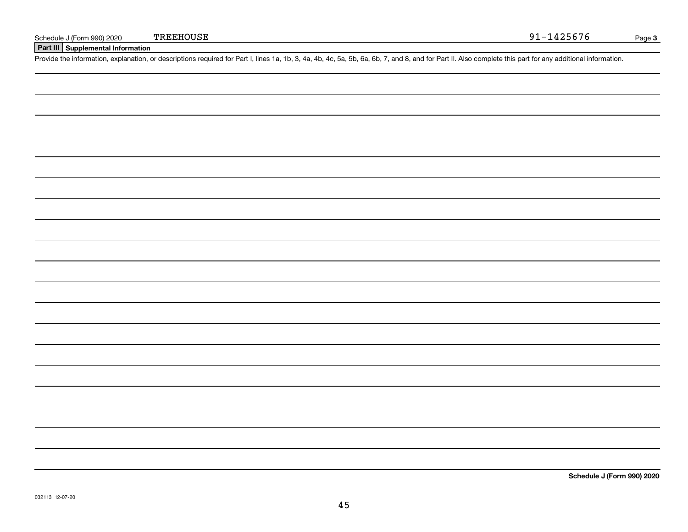**Part III Supplemental Information**

Schedule J (Form 990) 2020 TREEHOUSE<br>Part III Supplemental Information<br>Provide the information, explanation, or descriptions required for Part I, lines 1a, 1b, 3, 4a, 4b, 4c, 5a, 5b, 6a, 6b, 7, and 8, and for Part II. Also

**Schedule J (Form 990) 2020**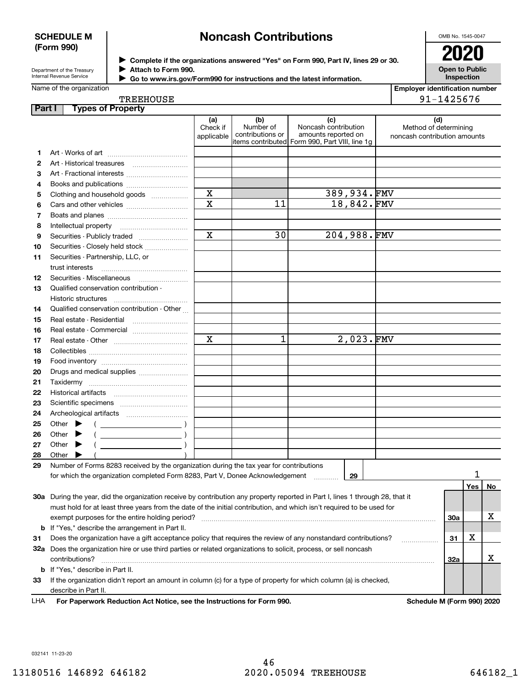#### **SCHEDULE M (Form 990)**

# **Noncash Contributions**

OMB No. 1545-0047

| Department of the Treasury |
|----------------------------|
| Internal Revenue Service   |

**Complete if the organizations answered "Yes" on Form 990, Part IV, lines 29 or 30.** <sup>J</sup>**2020 Attach to Form 990.** J

**Open to Public Inspection**

| Name of the organization |
|--------------------------|
|--------------------------|

TREEHOUSE

| Go to www.irs.gov/Form990 for instructions and the latest information. |
|------------------------------------------------------------------------|
|                                                                        |

**Employer identification number** 91-1425676

| Part I |       |                             | <b>Types of Property</b>                                                                                                       |                               |                                      |                                                                                                      |                                                              |     |     |    |
|--------|-------|-----------------------------|--------------------------------------------------------------------------------------------------------------------------------|-------------------------------|--------------------------------------|------------------------------------------------------------------------------------------------------|--------------------------------------------------------------|-----|-----|----|
|        |       |                             |                                                                                                                                | (a)<br>Check if<br>applicable | (b)<br>Number of<br>contributions or | (c)<br>Noncash contribution<br>amounts reported on<br>items contributed Form 990, Part VIII, line 1g | (d)<br>Method of determining<br>noncash contribution amounts |     |     |    |
| 1.     |       |                             |                                                                                                                                |                               |                                      |                                                                                                      |                                                              |     |     |    |
| 2      |       |                             | Art - Historical treasures                                                                                                     |                               |                                      |                                                                                                      |                                                              |     |     |    |
| з      |       |                             | Art - Fractional interests                                                                                                     |                               |                                      |                                                                                                      |                                                              |     |     |    |
| 4      |       |                             | Books and publications                                                                                                         |                               |                                      |                                                                                                      |                                                              |     |     |    |
| 5      |       |                             | Clothing and household goods                                                                                                   | $\mathbf X$                   |                                      | 389,934.FMV                                                                                          |                                                              |     |     |    |
| 6      |       |                             |                                                                                                                                | $\overline{\mathbf{x}}$       | 11                                   | 18,842.FMV                                                                                           |                                                              |     |     |    |
| 7      |       |                             |                                                                                                                                |                               |                                      |                                                                                                      |                                                              |     |     |    |
| 8      |       | Intellectual property       |                                                                                                                                |                               |                                      |                                                                                                      |                                                              |     |     |    |
| 9      |       |                             | Securities - Publicly traded                                                                                                   | $\overline{\mathbf{x}}$       | 30                                   | 204,988.FMV                                                                                          |                                                              |     |     |    |
| 10     |       |                             | Securities - Closely held stock                                                                                                |                               |                                      |                                                                                                      |                                                              |     |     |    |
| 11     |       |                             | Securities - Partnership, LLC, or                                                                                              |                               |                                      |                                                                                                      |                                                              |     |     |    |
|        |       | trust interests             |                                                                                                                                |                               |                                      |                                                                                                      |                                                              |     |     |    |
| 12     |       |                             | Securities - Miscellaneous                                                                                                     |                               |                                      |                                                                                                      |                                                              |     |     |    |
| 13     |       |                             | Qualified conservation contribution -                                                                                          |                               |                                      |                                                                                                      |                                                              |     |     |    |
|        |       | Historic structures         |                                                                                                                                |                               |                                      |                                                                                                      |                                                              |     |     |    |
| 14     |       |                             | Qualified conservation contribution - Other                                                                                    |                               |                                      |                                                                                                      |                                                              |     |     |    |
| 15     |       |                             | Real estate - Residential                                                                                                      |                               |                                      |                                                                                                      |                                                              |     |     |    |
| 16     |       |                             | Real estate - Commercial                                                                                                       |                               |                                      |                                                                                                      |                                                              |     |     |    |
| 17     |       |                             |                                                                                                                                | $\mathbf x$                   | 1                                    | 2,023.FMV                                                                                            |                                                              |     |     |    |
| 18     |       |                             |                                                                                                                                |                               |                                      |                                                                                                      |                                                              |     |     |    |
| 19     |       |                             |                                                                                                                                |                               |                                      |                                                                                                      |                                                              |     |     |    |
| 20     |       |                             | Drugs and medical supplies                                                                                                     |                               |                                      |                                                                                                      |                                                              |     |     |    |
| 21     |       |                             |                                                                                                                                |                               |                                      |                                                                                                      |                                                              |     |     |    |
| 22     |       |                             |                                                                                                                                |                               |                                      |                                                                                                      |                                                              |     |     |    |
| 23     |       |                             |                                                                                                                                |                               |                                      |                                                                                                      |                                                              |     |     |    |
| 24     |       |                             |                                                                                                                                |                               |                                      |                                                                                                      |                                                              |     |     |    |
| 25     |       | Other $\blacktriangleright$ |                                                                                                                                |                               |                                      |                                                                                                      |                                                              |     |     |    |
| 26     | Other |                             |                                                                                                                                |                               |                                      |                                                                                                      |                                                              |     |     |    |
| 27     | Other |                             |                                                                                                                                |                               |                                      |                                                                                                      |                                                              |     |     |    |
| 28     | Other |                             |                                                                                                                                |                               |                                      |                                                                                                      |                                                              |     |     |    |
| 29     |       |                             | Number of Forms 8283 received by the organization during the tax year for contributions                                        |                               |                                      |                                                                                                      |                                                              |     |     |    |
|        |       |                             | for which the organization completed Form 8283, Part V, Donee Acknowledgement                                                  |                               |                                      | 29                                                                                                   |                                                              |     | 1   |    |
|        |       |                             |                                                                                                                                |                               |                                      |                                                                                                      |                                                              |     | Yes | No |
|        |       |                             | 30a During the year, did the organization receive by contribution any property reported in Part I, lines 1 through 28, that it |                               |                                      |                                                                                                      |                                                              |     |     |    |
|        |       |                             | must hold for at least three years from the date of the initial contribution, and which isn't required to be used for          |                               |                                      |                                                                                                      |                                                              |     |     |    |
|        |       |                             | exempt purposes for the entire holding period?                                                                                 |                               |                                      |                                                                                                      |                                                              | 30a |     | х  |
|        |       |                             | <b>b</b> If "Yes," describe the arrangement in Part II.                                                                        |                               |                                      |                                                                                                      |                                                              |     |     |    |
| 31     |       |                             | Does the organization have a gift acceptance policy that requires the review of any nonstandard contributions?                 |                               |                                      |                                                                                                      |                                                              | 31  | x   |    |
|        |       |                             | 32a Does the organization hire or use third parties or related organizations to solicit, process, or sell noncash              |                               |                                      |                                                                                                      |                                                              |     |     |    |
|        |       | contributions?              |                                                                                                                                |                               |                                      |                                                                                                      |                                                              | 32a |     | Х  |
|        |       |                             | <b>b</b> If "Yes," describe in Part II.                                                                                        |                               |                                      |                                                                                                      |                                                              |     |     |    |
| 33     |       |                             | If the organization didn't report an amount in column (c) for a type of property for which column (a) is checked,              |                               |                                      |                                                                                                      |                                                              |     |     |    |
|        |       | describe in Part II.        |                                                                                                                                |                               |                                      |                                                                                                      |                                                              |     |     |    |

For Paperwork Reduction Act Notice, see the Instructions for Form 990. Schedule M (Form 990) 2020 LHA

032141 11-23-20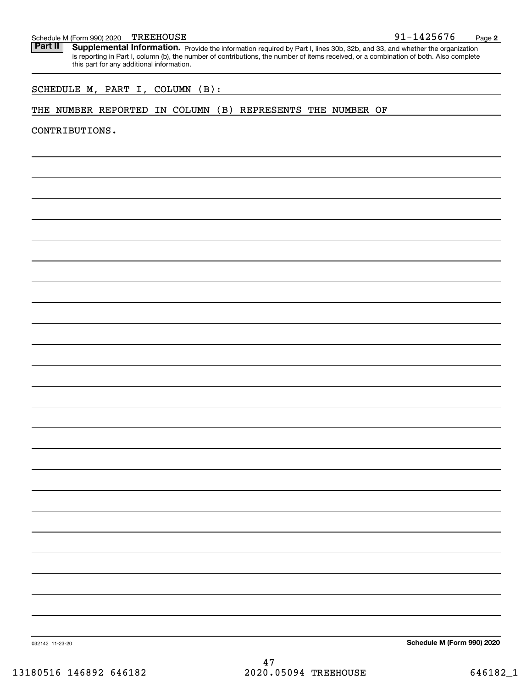# Schedule M (Form 990) 2020 TREEHOUSE<br>**Part II** Supplemental Information.

Part II | Supplemental Information. Provide the information required by Part I, lines 30b, 32b, and 33, and whether the organization is reporting in Part I, column (b), the number of contributions, the number of items received, or a combination of both. Also complete this part for any additional information.

#### SCHEDULE M, PART I, COLUMN (B):

#### THE NUMBER REPORTED IN COLUMN (B) REPRESENTS THE NUMBER OF

CONTRIBUTIONS.

**Schedule M (Form 990) 2020**

91-1425676

**2**

032142 11-23-20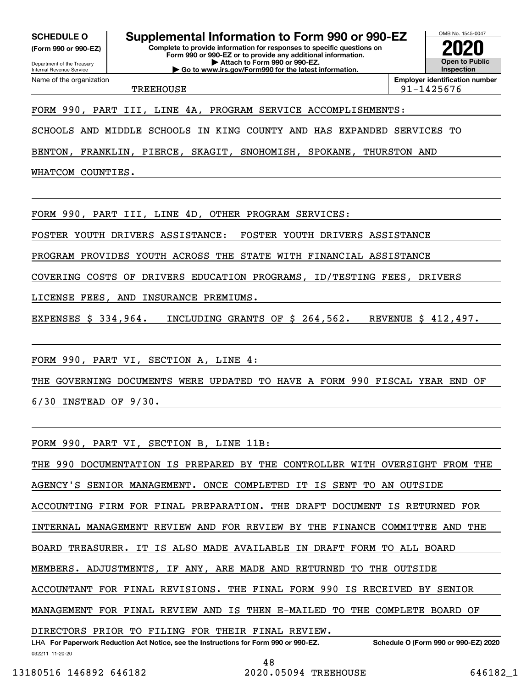**(Form 990 or 990-EZ)**

Department of the Treasury Internal Revenue Service Name of the organization

# **SCHEDULE O Supplemental Information to Form 990 or 990-EZ**

**Complete to provide information for responses to specific questions on Form 990 or 990-EZ or to provide any additional information. | Attach to Form 990 or 990-EZ. | Go to www.irs.gov/Form990 for the latest information.**



TREEHOUSE 91-1425676

#### FORM 990, PART III, LINE 4A, PROGRAM SERVICE ACCOMPLISHMENTS:

SCHOOLS AND MIDDLE SCHOOLS IN KING COUNTY AND HAS EXPANDED SERVICES TO

BENTON, FRANKLIN, PIERCE, SKAGIT, SNOHOMISH, SPOKANE, THURSTON AND

WHATCOM COUNTIES.

FORM 990, PART III, LINE 4D, OTHER PROGRAM SERVICES:

FOSTER YOUTH DRIVERS ASSISTANCE: FOSTER YOUTH DRIVERS ASSISTANCE

PROGRAM PROVIDES YOUTH ACROSS THE STATE WITH FINANCIAL ASSISTANCE

COVERING COSTS OF DRIVERS EDUCATION PROGRAMS, ID/TESTING FEES, DRIVERS

LICENSE FEES, AND INSURANCE PREMIUMS.

EXPENSES \$ 334,964. INCLUDING GRANTS OF \$ 264,562. REVENUE \$ 412,497.

FORM 990, PART VI, SECTION A, LINE 4:

THE GOVERNING DOCUMENTS WERE UPDATED TO HAVE A FORM 990 FISCAL YEAR END OF

6/30 INSTEAD OF 9/30.

FORM 990, PART VI, SECTION B, LINE 11B:

THE 990 DOCUMENTATION IS PREPARED BY THE CONTROLLER WITH OVERSIGHT FROM THE AGENCY'S SENIOR MANAGEMENT. ONCE COMPLETED IT IS SENT TO AN OUTSIDE ACCOUNTING FIRM FOR FINAL PREPARATION. THE DRAFT DOCUMENT IS RETURNED FOR INTERNAL MANAGEMENT REVIEW AND FOR REVIEW BY THE FINANCE COMMITTEE AND THE BOARD TREASURER. IT IS ALSO MADE AVAILABLE IN DRAFT FORM TO ALL BOARD MEMBERS. ADJUSTMENTS, IF ANY, ARE MADE AND RETURNED TO THE OUTSIDE ACCOUNTANT FOR FINAL REVISIONS. THE FINAL FORM 990 IS RECEIVED BY SENIOR MANAGEMENT FOR FINAL REVIEW AND IS THEN E-MAILED TO THE COMPLETE BOARD OF DIRECTORS PRIOR TO FILING FOR THEIR FINAL REVIEW.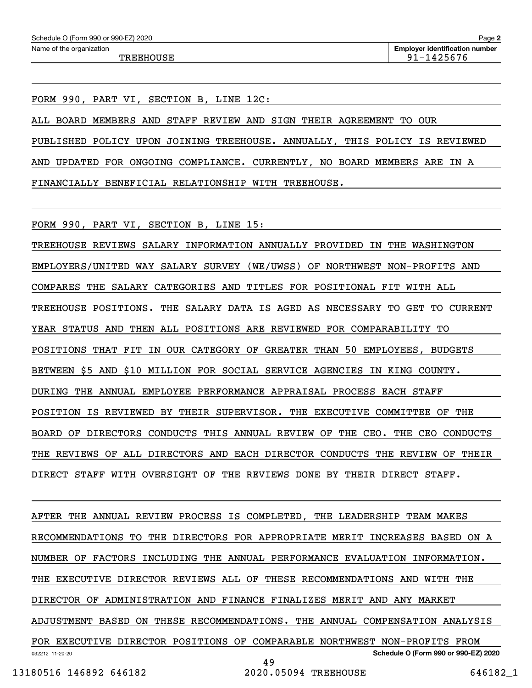FORM 990, PART VI, SECTION B, LINE 12C:

ALL BOARD MEMBERS AND STAFF REVIEW AND SIGN THEIR AGREEMENT TO OUR PUBLISHED POLICY UPON JOINING TREEHOUSE. ANNUALLY, THIS POLICY IS REVIEWED AND UPDATED FOR ONGOING COMPLIANCE. CURRENTLY, NO BOARD MEMBERS ARE IN A FINANCIALLY BENEFICIAL RELATIONSHIP WITH TREEHOUSE.

FORM 990, PART VI, SECTION B, LINE 15:

TREEHOUSE REVIEWS SALARY INFORMATION ANNUALLY PROVIDED IN THE WASHINGTON EMPLOYERS/UNITED WAY SALARY SURVEY (WE/UWSS) OF NORTHWEST NON-PROFITS AND COMPARES THE SALARY CATEGORIES AND TITLES FOR POSITIONAL FIT WITH ALL TREEHOUSE POSITIONS. THE SALARY DATA IS AGED AS NECESSARY TO GET TO CURRENT YEAR STATUS AND THEN ALL POSITIONS ARE REVIEWED FOR COMPARABILITY TO POSITIONS THAT FIT IN OUR CATEGORY OF GREATER THAN 50 EMPLOYEES, BUDGETS BETWEEN \$5 AND \$10 MILLION FOR SOCIAL SERVICE AGENCIES IN KING COUNTY. DURING THE ANNUAL EMPLOYEE PERFORMANCE APPRAISAL PROCESS EACH STAFF POSITION IS REVIEWED BY THEIR SUPERVISOR. THE EXECUTIVE COMMITTEE OF THE BOARD OF DIRECTORS CONDUCTS THIS ANNUAL REVIEW OF THE CEO. THE CEO CONDUCTS THE REVIEWS OF ALL DIRECTORS AND EACH DIRECTOR CONDUCTS THE REVIEW OF THEIR DIRECT STAFF WITH OVERSIGHT OF THE REVIEWS DONE BY THEIR DIRECT STAFF.

032212 11-20-20 **Schedule O (Form 990 or 990-EZ) 2020** AFTER THE ANNUAL REVIEW PROCESS IS COMPLETED, THE LEADERSHIP TEAM MAKES RECOMMENDATIONS TO THE DIRECTORS FOR APPROPRIATE MERIT INCREASES BASED ON A NUMBER OF FACTORS INCLUDING THE ANNUAL PERFORMANCE EVALUATION INFORMATION. THE EXECUTIVE DIRECTOR REVIEWS ALL OF THESE RECOMMENDATIONS AND WITH THE DIRECTOR OF ADMINISTRATION AND FINANCE FINALIZES MERIT AND ANY MARKET ADJUSTMENT BASED ON THESE RECOMMENDATIONS. THE ANNUAL COMPENSATION ANALYSIS FOR EXECUTIVE DIRECTOR POSITIONS OF COMPARABLE NORTHWEST NON-PROFITS FROM 49

13180516 146892 646182 2020.05094 TREEHOUSE 646182\_1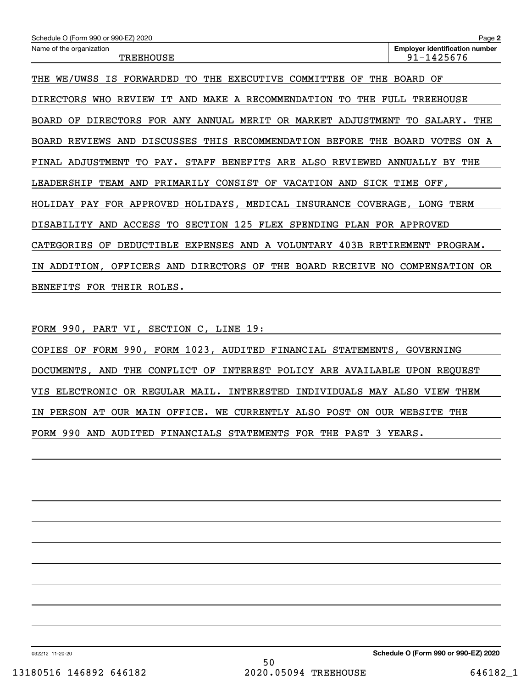| Schedule O (Form 990 or 990-EZ) 2020                                                                             | Page 2                                              |  |  |  |
|------------------------------------------------------------------------------------------------------------------|-----------------------------------------------------|--|--|--|
| Name of the organization<br><b>TREEHOUSE</b>                                                                     | <b>Employer identification number</b><br>91-1425676 |  |  |  |
| WE/UWSS IS FORWARDED<br>TO.<br>THE<br>COMMITTEE<br>THE<br><b>EXECUTIVE</b><br>ΟF<br>THE                          | BOARD<br>OF                                         |  |  |  |
| DIRECTORS<br>IT.<br>MAKE<br>RECOMMENDATION<br>TО<br>THE<br>REVIEW<br>AND<br><b>WHO</b><br>A                      | FULL<br><b>TREEHOUSE</b>                            |  |  |  |
| <b>DIRECTORS</b><br>FOR ANY<br>ANNUAL<br>MERIT<br>OR MARKET<br>ADJUSTMENT<br>THE<br>ΟF<br>SALARY.<br>BOARD<br>TО |                                                     |  |  |  |
| DISCUSSES<br>THIS RECOMMENDATION<br><b>BEFORE</b><br>REVIEWS<br>AND<br>THE<br>BOARD                              | BOARD<br>VOTES<br>ON<br>A                           |  |  |  |
| STAFF<br>BENEFITS ARE ALSO REVIEWED<br>TO PAY.<br>FINAL ADJUSTMENT                                               | ANNUALLY<br>THE<br>BY                               |  |  |  |
| PRIMARILY<br>CONSIST OF<br><b>VACATION</b><br>SICK<br>LEADERSHIP<br>TEAM AND<br>AND<br>TIME OFF.                 |                                                     |  |  |  |
| PAY FOR APPROVED<br>HOLIDAYS, MEDICAL INSURANCE<br>COVERAGE,<br>HOLIDAY                                          | LONG TERM                                           |  |  |  |
| ACCESS TO<br>SECTION 125 FLEX<br>SPENDING<br>DISABILITY<br>AND                                                   | PLAN FOR APPROVED                                   |  |  |  |

CATEGORIES OF DEDUCTIBLE EXPENSES AND A VOLUNTARY 403B RETIREMENT PROGRAM.

IN ADDITION, OFFICERS AND DIRECTORS OF THE BOARD RECEIVE NO COMPENSATION OR

BENEFITS FOR THEIR ROLES.

FORM 990, PART VI, SECTION C, LINE 19:

COPIES OF FORM 990, FORM 1023, AUDITED FINANCIAL STATEMENTS, GOVERNING DOCUMENTS, AND THE CONFLICT OF INTEREST POLICY ARE AVAILABLE UPON REQUEST VIS ELECTRONIC OR REGULAR MAIL. INTERESTED INDIVIDUALS MAY ALSO VIEW THEM IN PERSON AT OUR MAIN OFFICE. WE CURRENTLY ALSO POST ON OUR WEBSITE THE FORM 990 AND AUDITED FINANCIALS STATEMENTS FOR THE PAST 3 YEARS.

032212 11-20-20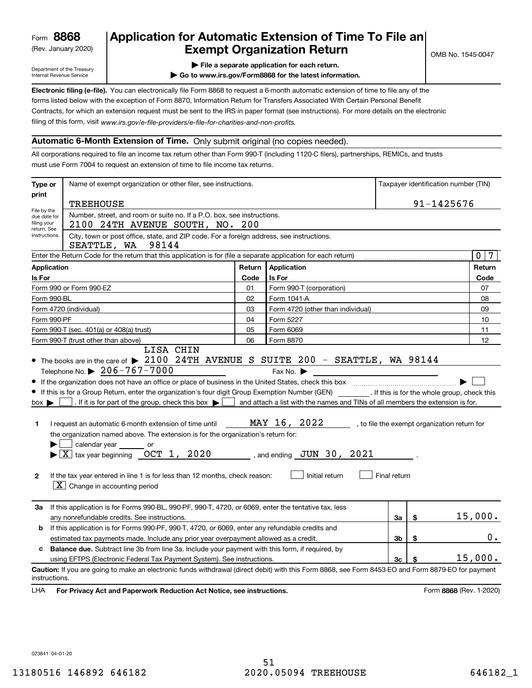(Rev. January 2020)

### **Application for Automatic Extension of Time To File an Exempt Organization Return**

Department of the Treasury Internal Revenue Service

**| File a separate application for each return.**

**| Go to www.irs.gov/Form8868 for the latest information.**

**Electronic filing (e-file).**  You can electronically file Form 8868 to request a 6-month automatic extension of time to file any of the filing of this form, visit www.irs.gov/e-file-providers/e-file-for-charities-and-non-profits. forms listed below with the exception of Form 8870, Information Return for Transfers Associated With Certain Personal Benefit Contracts, for which an extension request must be sent to the IRS in paper format (see instructions). For more details on the electronic

#### **Automatic 6-Month Extension of Time.** Only submit original (no copies needed).

All corporations required to file an income tax return other than Form 990-T (including 1120-C filers), partnerships, REMICs, and trusts must use Form 7004 to request an extension of time to file income tax returns.

| Type or                                                                                                                                                                | Name of exempt organization or other filer, see instructions.                                                                                                                                                                                                                                                                                                                                                                                                                                                                                                                                                                               | Taxpayer identification number (TIN) |                                                                                                                                                 |              |    |                                              |
|------------------------------------------------------------------------------------------------------------------------------------------------------------------------|---------------------------------------------------------------------------------------------------------------------------------------------------------------------------------------------------------------------------------------------------------------------------------------------------------------------------------------------------------------------------------------------------------------------------------------------------------------------------------------------------------------------------------------------------------------------------------------------------------------------------------------------|--------------------------------------|-------------------------------------------------------------------------------------------------------------------------------------------------|--------------|----|----------------------------------------------|
| print                                                                                                                                                                  | <b>TREEHOUSE</b>                                                                                                                                                                                                                                                                                                                                                                                                                                                                                                                                                                                                                            |                                      | 91-1425676                                                                                                                                      |              |    |                                              |
| File by the<br>Number, street, and room or suite no. If a P.O. box, see instructions.<br>due date for<br>filing your<br>2100 24TH AVENUE SOUTH, NO. 200<br>return. See |                                                                                                                                                                                                                                                                                                                                                                                                                                                                                                                                                                                                                                             |                                      |                                                                                                                                                 |              |    |                                              |
| instructions.                                                                                                                                                          | City, town or post office, state, and ZIP code. For a foreign address, see instructions.<br>SEATTLE, WA<br>98144                                                                                                                                                                                                                                                                                                                                                                                                                                                                                                                            |                                      |                                                                                                                                                 |              |    |                                              |
|                                                                                                                                                                        | Enter the Return Code for the return that this application is for (file a separate application for each return)                                                                                                                                                                                                                                                                                                                                                                                                                                                                                                                             |                                      |                                                                                                                                                 |              |    | $\mathbf{0}$<br>$7\phantom{.0}$              |
| Application                                                                                                                                                            |                                                                                                                                                                                                                                                                                                                                                                                                                                                                                                                                                                                                                                             | Return                               | <b>Application</b>                                                                                                                              |              |    | Return                                       |
| Is For                                                                                                                                                                 |                                                                                                                                                                                                                                                                                                                                                                                                                                                                                                                                                                                                                                             | Code                                 | Is For                                                                                                                                          |              |    | Code                                         |
|                                                                                                                                                                        | Form 990 or Form 990-EZ                                                                                                                                                                                                                                                                                                                                                                                                                                                                                                                                                                                                                     | 01                                   | Form 990-T (corporation)                                                                                                                        |              |    | 07                                           |
| Form 990-BL                                                                                                                                                            |                                                                                                                                                                                                                                                                                                                                                                                                                                                                                                                                                                                                                                             | 02                                   | Form 1041-A                                                                                                                                     |              |    | 08                                           |
|                                                                                                                                                                        | Form 4720 (individual)                                                                                                                                                                                                                                                                                                                                                                                                                                                                                                                                                                                                                      | 03                                   | Form 4720 (other than individual)                                                                                                               |              |    | 09                                           |
| Form 990-PF                                                                                                                                                            |                                                                                                                                                                                                                                                                                                                                                                                                                                                                                                                                                                                                                                             | 04                                   | Form 5227                                                                                                                                       |              |    | 10                                           |
|                                                                                                                                                                        | Form 990-T (sec. 401(a) or 408(a) trust)                                                                                                                                                                                                                                                                                                                                                                                                                                                                                                                                                                                                    | 05                                   | Form 6069                                                                                                                                       |              |    | 11                                           |
|                                                                                                                                                                        | Form 990-T (trust other than above)                                                                                                                                                                                                                                                                                                                                                                                                                                                                                                                                                                                                         | 06                                   | Form 8870                                                                                                                                       |              |    | 12                                           |
| $box \blacktriangleright$<br>1<br>$\mathbf{2}$                                                                                                                         | • If this is for a Group Return, enter the organization's four digit Group Exemption Number (GEN) _________. If this is for the whole group, check this<br>. If it is for part of the group, check this box $\blacktriangleright$<br>I request an automatic 6-month extension of time until<br>the organization named above. The extension is for the organization's return for:<br>calendar year _______ or<br>$\blacktriangleright$ $\boxed{\text{X}}$ tax year beginning $\boxed{\text{OCT}}$ 1, 2020<br>If the tax year entered in line 1 is for less than 12 months, check reason:<br>$\boxed{\textbf{X}}$ Change in accounting period |                                      | and attach a list with the names and TINs of all members the extension is for.<br>MAY 16, 2022<br>, and ending $JUN$ 30, 2021<br>Initial return | Final return |    | , to file the exempt organization return for |
| За                                                                                                                                                                     | If this application is for Forms 990-BL, 990-PF, 990-T, 4720, or 6069, enter the tentative tax, less<br>any nonrefundable credits. See instructions.                                                                                                                                                                                                                                                                                                                                                                                                                                                                                        |                                      |                                                                                                                                                 | За           | \$ | 15,000.                                      |
| If this application is for Forms 990-PF, 990-T, 4720, or 6069, enter any refundable credits and<br>b                                                                   |                                                                                                                                                                                                                                                                                                                                                                                                                                                                                                                                                                                                                                             |                                      |                                                                                                                                                 |              |    | 0.                                           |
| 3 <sub>b</sub><br>\$<br>estimated tax payments made. Include any prior year overpayment allowed as a credit.                                                           |                                                                                                                                                                                                                                                                                                                                                                                                                                                                                                                                                                                                                                             |                                      |                                                                                                                                                 |              |    |                                              |
| c                                                                                                                                                                      | <b>Balance due.</b> Subtract line 3b from line 3a. Include your payment with this form, if required, by<br>using EFTPS (Electronic Federal Tax Payment System). See instructions.                                                                                                                                                                                                                                                                                                                                                                                                                                                           |                                      |                                                                                                                                                 | 3c           | \$ | 15,000.                                      |
| instructions.<br>LHA                                                                                                                                                   | Caution: If you are going to make an electronic funds withdrawal (direct debit) with this Form 8868, see Form 8453-EO and Form 8879-EO for payment<br>For Privacy Act and Paperwork Reduction Act Notice, see instructions.                                                                                                                                                                                                                                                                                                                                                                                                                 |                                      |                                                                                                                                                 |              |    | Form 8868 (Rev. 1-2020)                      |

023841 04-01-20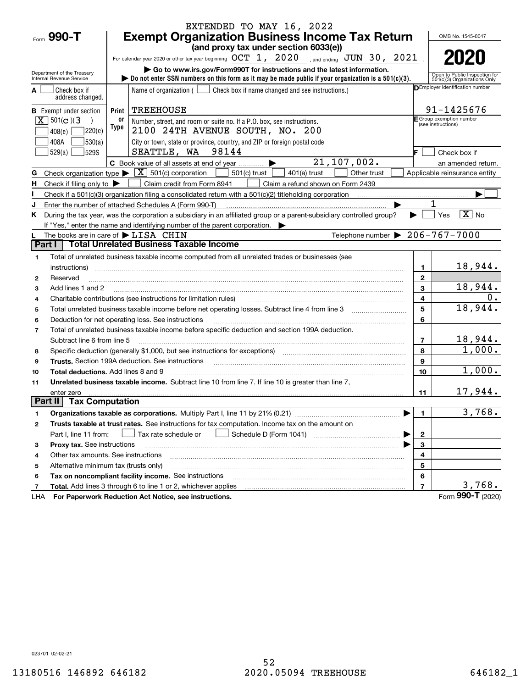|                |                                               |                                                            | EXTENDED TO MAY 16, 2022                                                                                                                                                                                                       |                |                                                |                                                               |  |  |
|----------------|-----------------------------------------------|------------------------------------------------------------|--------------------------------------------------------------------------------------------------------------------------------------------------------------------------------------------------------------------------------|----------------|------------------------------------------------|---------------------------------------------------------------|--|--|
|                | Form 990-T                                    |                                                            | <b>Exempt Organization Business Income Tax Return</b>                                                                                                                                                                          |                |                                                | OMB No. 1545-0047                                             |  |  |
|                |                                               |                                                            | (and proxy tax under section 6033(e))                                                                                                                                                                                          |                |                                                |                                                               |  |  |
|                |                                               |                                                            | For calendar year 2020 or other tax year beginning $OCT$ 1, $2020$ and ending $JUN$ 30, $2021$                                                                                                                                 |                |                                                | 2020                                                          |  |  |
|                | Department of the Treasury                    |                                                            | Go to www.irs.gov/Form990T for instructions and the latest information.                                                                                                                                                        |                |                                                |                                                               |  |  |
|                | Internal Revenue Service                      |                                                            | bo not enter SSN numbers on this form as it may be made public if your organization is a $501(c)(3)$ .                                                                                                                         |                |                                                | Open to Public Inspection for<br>501(c)(3) Organizations Only |  |  |
|                | Check box if<br>address changed.              |                                                            | Name of organization $($ $\Box$ Check box if name changed and see instructions.)                                                                                                                                               |                |                                                | <b>DEmployer identification number</b>                        |  |  |
|                | <b>B</b> Exempt under section                 | Print                                                      | <b>TREEHOUSE</b>                                                                                                                                                                                                               |                |                                                | 91-1425676                                                    |  |  |
|                | $X \ 501(c)$ (3                               | 0ľ                                                         | Number, street, and room or suite no. If a P.O. box, see instructions.                                                                                                                                                         |                | E Group exemption number<br>(see instructions) |                                                               |  |  |
|                | 7220(e)<br>408(e)                             | Type                                                       | 2100 24TH AVENUE SOUTH, NO. 200                                                                                                                                                                                                |                |                                                |                                                               |  |  |
|                | 530(a) <br>408A                               |                                                            | City or town, state or province, country, and ZIP or foreign postal code                                                                                                                                                       |                |                                                |                                                               |  |  |
|                | 529S<br>529(a)                                |                                                            | SEATTLE, WA 98144                                                                                                                                                                                                              |                |                                                | Check box if                                                  |  |  |
|                |                                               |                                                            | 21, 107, 002.<br>C Book value of all assets at end of year $\ldots$                                                                                                                                                            |                |                                                | an amended return.                                            |  |  |
| G              |                                               |                                                            | Check organization type $\blacktriangleright \boxed{\textbf{X}}$ 501(c) corporation<br>501(c) trust<br>Other trust<br>401(a) trust                                                                                             |                |                                                | Applicable reinsurance entity                                 |  |  |
| H              | Check if filing only to $\blacktriangleright$ |                                                            | Claim credit from Form 8941<br>Claim a refund shown on Form 2439                                                                                                                                                               |                |                                                |                                                               |  |  |
|                |                                               |                                                            | Check if a 501(c)(3) organization filing a consolidated return with a 501(c)(2) titleholding corporation                                                                                                                       |                |                                                |                                                               |  |  |
| J              |                                               |                                                            | Enter the number of attached Schedules A (Form 990-T)                                                                                                                                                                          |                |                                                |                                                               |  |  |
| Κ              |                                               |                                                            | During the tax year, was the corporation a subsidiary in an affiliated group or a parent-subsidiary controlled group?                                                                                                          |                | Yes                                            | $\boxed{\text{X}}$ No                                         |  |  |
|                |                                               |                                                            | If "Yes," enter the name and identifying number of the parent corporation.                                                                                                                                                     |                |                                                |                                                               |  |  |
|                |                                               |                                                            | Telephone number $\triangleright$ 206-767-7000<br>The books are in care of $\blacktriangleright$ LISA CHIN                                                                                                                     |                |                                                |                                                               |  |  |
| Part I         |                                               |                                                            | <b>Total Unrelated Business Taxable Income</b>                                                                                                                                                                                 |                |                                                |                                                               |  |  |
| 1              |                                               |                                                            | Total of unrelated business taxable income computed from all unrelated trades or businesses (see                                                                                                                               |                |                                                |                                                               |  |  |
|                | instructions)                                 |                                                            |                                                                                                                                                                                                                                | 1              |                                                | 18,944.                                                       |  |  |
| $\mathbf{2}$   | Reserved                                      |                                                            |                                                                                                                                                                                                                                | $\mathbf{2}$   |                                                |                                                               |  |  |
| 3              | Add lines 1 and 2                             |                                                            |                                                                                                                                                                                                                                | 3              |                                                | 18,944.                                                       |  |  |
| 4              |                                               |                                                            | Charitable contributions (see instructions for limitation rules)                                                                                                                                                               | 4              |                                                | $0$ .                                                         |  |  |
| 5              |                                               |                                                            | Total unrelated business taxable income before net operating losses. Subtract line 4 from line 3                                                                                                                               | 5              |                                                | 18,944.                                                       |  |  |
| 6              |                                               |                                                            | Deduction for net operating loss. See instructions                                                                                                                                                                             | 6              |                                                |                                                               |  |  |
| $\overline{7}$ |                                               |                                                            | Total of unrelated business taxable income before specific deduction and section 199A deduction.                                                                                                                               |                |                                                |                                                               |  |  |
|                | Subtract line 6 from line 5                   |                                                            |                                                                                                                                                                                                                                | $\overline{7}$ |                                                | <u> 18,944.</u><br>1,000.                                     |  |  |
| 8              |                                               |                                                            | Specific deduction (generally \$1,000, but see instructions for exceptions) manufactured controller and the set                                                                                                                | 8              |                                                |                                                               |  |  |
| 9              |                                               |                                                            | Trusts. Section 199A deduction. See instructions [11] material content in the section 199A deduction. See instructions [11] material content in the section of the section of the section of the section of the section of the | 9              |                                                | 1,000.                                                        |  |  |
| 10             | Total deductions. Add lines 8 and 9           |                                                            |                                                                                                                                                                                                                                | 10             |                                                |                                                               |  |  |
| 11             |                                               |                                                            | Unrelated business taxable income. Subtract line 10 from line 7. If line 10 is greater than line 7,                                                                                                                            |                |                                                | 17,944.                                                       |  |  |
| Part II        | enter zero<br><b>Tax Computation</b>          |                                                            |                                                                                                                                                                                                                                | 11             |                                                |                                                               |  |  |
| 1              |                                               |                                                            |                                                                                                                                                                                                                                | $\mathbf{1}$   |                                                | 3,768.                                                        |  |  |
| 2              |                                               |                                                            | Trusts taxable at trust rates. See instructions for tax computation. Income tax on the amount on                                                                                                                               |                |                                                |                                                               |  |  |
|                | Part I, line 11 from:                         |                                                            | Tax rate schedule or                                                                                                                                                                                                           | $\mathbf{2}$   |                                                |                                                               |  |  |
| з              | Proxy tax. See instructions                   |                                                            |                                                                                                                                                                                                                                | $\mathbf{3}$   |                                                |                                                               |  |  |
| 4              | Other tax amounts. See instructions           |                                                            |                                                                                                                                                                                                                                | 4              |                                                |                                                               |  |  |
| 5              | Alternative minimum tax (trusts only)         |                                                            |                                                                                                                                                                                                                                | 5              |                                                |                                                               |  |  |
| 6              |                                               | 6<br>Tax on noncompliant facility income. See instructions |                                                                                                                                                                                                                                |                |                                                |                                                               |  |  |
| 7              |                                               |                                                            | Total. Add lines 3 through 6 to line 1 or 2, whichever applies                                                                                                                                                                 | $\overline{7}$ |                                                | 3,768.                                                        |  |  |
| LHA            |                                               |                                                            | For Paperwork Reduction Act Notice, see instructions.                                                                                                                                                                          |                |                                                | Form 990-T (2020)                                             |  |  |

023701 02-02-21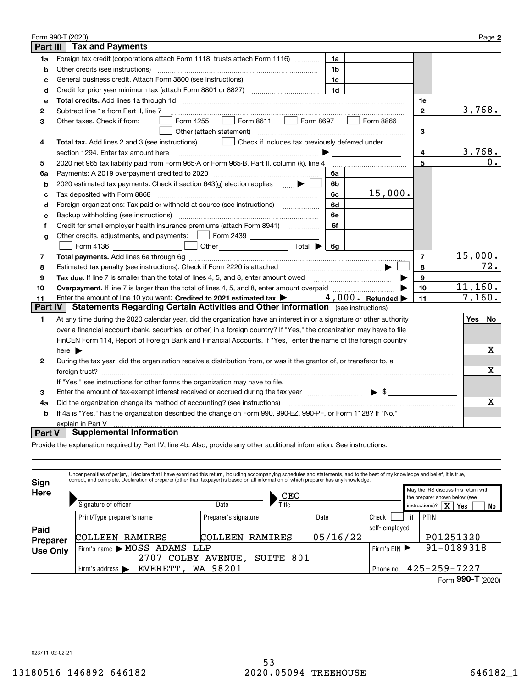|                | Form 990-T (2020)                                                                                                                 |                | Page 2    |  |  |  |
|----------------|-----------------------------------------------------------------------------------------------------------------------------------|----------------|-----------|--|--|--|
| Part III       | <b>Tax and Payments</b>                                                                                                           |                |           |  |  |  |
| 1a             | Foreign tax credit (corporations attach Form 1118; trusts attach Form 1116)<br>1a                                                 |                |           |  |  |  |
| b              | Other credits (see instructions)<br>1b                                                                                            |                |           |  |  |  |
| c              | 1 <sub>c</sub>                                                                                                                    |                |           |  |  |  |
| d              | 1 <sub>d</sub>                                                                                                                    |                |           |  |  |  |
| e              |                                                                                                                                   | 1е             |           |  |  |  |
| 2              | Subtract line 1e from Part II, line 7                                                                                             | $\mathbf{2}$   | 3,768.    |  |  |  |
| 3              | Form 4255<br>$\vert$ Form 8866<br>Other taxes. Check if from:<br>Other (attach statement)                                         | 3              |           |  |  |  |
| 4              | Check if includes tax previously deferred under<br><b>Total tax.</b> Add lines 2 and 3 (see instructions).                        |                |           |  |  |  |
|                | section 1294. Enter tax amount here                                                                                               | 4              | 3,768.    |  |  |  |
| 5              | 2020 net 965 tax liability paid from Form 965-A or Form 965-B, Part II, column (k), line 4                                        | 5              | 0.        |  |  |  |
| 6a             | 6a                                                                                                                                |                |           |  |  |  |
| b              | 2020 estimated tax payments. Check if section 643(g) election applies $\qquad \qquad \bullet$<br>6b                               |                |           |  |  |  |
| c              | 15,000.<br>Tax deposited with Form 8868<br>6с                                                                                     |                |           |  |  |  |
| d              | Foreign organizations: Tax paid or withheld at source (see instructions) [<br>6d                                                  |                |           |  |  |  |
| е              | 6e                                                                                                                                |                |           |  |  |  |
| f              | 6f                                                                                                                                |                |           |  |  |  |
| g              | Other credits, adjustments, and payments:   Form 2439 _ _ _ _ _ _ _                                                               |                |           |  |  |  |
|                | Form 4136 <b>b</b> Other Total $\rightarrow$ 6g                                                                                   |                |           |  |  |  |
| 7              |                                                                                                                                   | $\overline{7}$ | 15,000.   |  |  |  |
| 8              |                                                                                                                                   | 8              | 72.       |  |  |  |
| 9              | Tax due. If line 7 is smaller than the total of lines 4, 5, and 8, enter amount owed <i>manumenon containers</i>                  | 9              |           |  |  |  |
| 10             |                                                                                                                                   | 10             | 11,160.   |  |  |  |
| 11             | Enter the amount of line 10 you want: Credited to 2021 estimated tax $\blacktriangleright$ 4, 000. Refunded $\blacktriangleright$ | 11             | 7,160.    |  |  |  |
| <b>Part IV</b> | <b>Statements Regarding Certain Activities and Other Information</b> (see instructions)                                           |                |           |  |  |  |
| 1              | At any time during the 2020 calendar year, did the organization have an interest in or a signature or other authority             |                | No<br>Yes |  |  |  |
|                | over a financial account (bank, securities, or other) in a foreign country? If "Yes," the organization may have to file           |                |           |  |  |  |
|                | FinCEN Form 114, Report of Foreign Bank and Financial Accounts. If "Yes," enter the name of the foreign country                   |                |           |  |  |  |
|                | here $\blacktriangleright$                                                                                                        |                | x         |  |  |  |
| $\mathbf{2}$   | During the tax year, did the organization receive a distribution from, or was it the grantor of, or transferor to, a              |                |           |  |  |  |
|                |                                                                                                                                   |                | Х         |  |  |  |
|                | If "Yes," see instructions for other forms the organization may have to file.                                                     |                |           |  |  |  |
| 3              | Enter the amount of tax-exempt interest received or accrued during the tax year matures and the summary settles                   |                |           |  |  |  |
| 4a             | Did the organization change its method of accounting? (see instructions)                                                          |                | x         |  |  |  |
| b              | If 4a is "Yes," has the organization described the change on Form 990, 990-EZ, 990-PF, or Form 1128? If "No,"                     |                |           |  |  |  |
|                | explain in Part V                                                                                                                 |                |           |  |  |  |
| Part V         | <b>Supplemental Information</b>                                                                                                   |                |           |  |  |  |

Provide the explanation required by Part IV, line 4b. Also, provide any other additional information. See instructions.

| Sign            |                               | Under penalties of perjury, I declare that I have examined this return, including accompanying schedules and statements, and to the best of my knowledge and belief, it is true,<br>correct, and complete. Declaration of preparer (other than taxpayer) is based on all information of which preparer has any knowledge. |                      |         |          |               |    |                                                                       |
|-----------------|-------------------------------|---------------------------------------------------------------------------------------------------------------------------------------------------------------------------------------------------------------------------------------------------------------------------------------------------------------------------|----------------------|---------|----------|---------------|----|-----------------------------------------------------------------------|
| Here            |                               |                                                                                                                                                                                                                                                                                                                           |                      | CEO     |          |               |    | May the IRS discuss this return with<br>the preparer shown below (see |
|                 |                               | Signature of officer                                                                                                                                                                                                                                                                                                      | Date                 | Title   |          |               |    | $\overline{\mathrm{x}}$<br>instructions)?<br>Yes<br>No                |
|                 |                               | Print/Type preparer's name                                                                                                                                                                                                                                                                                                | Preparer's signature |         | Date     | Check         | if | PTIN                                                                  |
| Paid            |                               |                                                                                                                                                                                                                                                                                                                           |                      |         |          | self-employed |    |                                                                       |
| Preparer        |                               | RAMIRES<br><b>COLLEEN</b>                                                                                                                                                                                                                                                                                                 | <b>COLLEEN</b>       | RAMIRES | 05/16/22 |               |    | P01251320                                                             |
| <b>Use Only</b> |                               | LLP<br>ADAMS<br>Firm's name MOSS                                                                                                                                                                                                                                                                                          |                      |         |          |               |    | $91 - 0189318$                                                        |
|                 | SUITE 801<br>AVENUE,<br>COLBY |                                                                                                                                                                                                                                                                                                                           |                      |         |          |               |    |                                                                       |
|                 |                               | WA 98201<br>EVERETT,<br>Firm's address $\blacktriangleright$<br>Phone no.                                                                                                                                                                                                                                                 |                      |         |          |               |    | $425 - 259 - 7227$                                                    |
|                 |                               |                                                                                                                                                                                                                                                                                                                           |                      |         |          |               |    | OMT                                                                   |

023711 02-02-21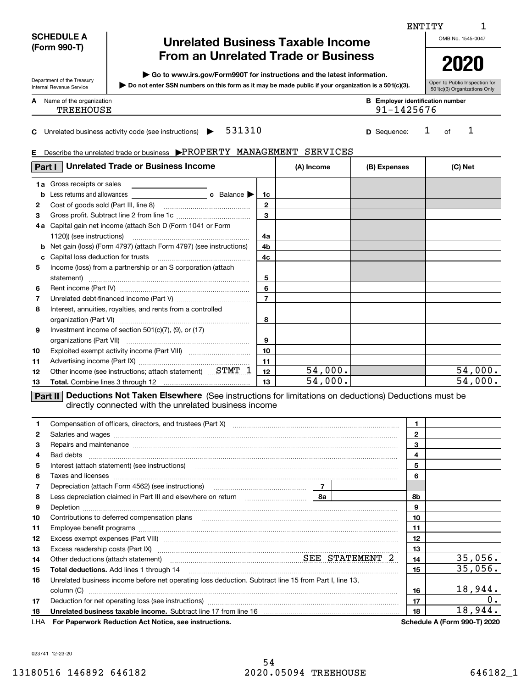#### **SCHEDULE A (Form 990-T)**

Department of the Treasury Internal Revenue Service

### **Unrelated Business Taxable Income From an Unrelated Trade or Business**

**| Go to www.irs.gov/Form990T for instructions and the latest information.**

**Do not enter SSN numbers on this form as it may be made public if your organization is a 501(c)(3). |** 

Open to Public Inspection for 501(c)(3) Organizations Only

**2020**

| n | Name of the organization | Ð<br>P | $- - - -$<br><b>Emplover identification number</b>                   |
|---|--------------------------|--------|----------------------------------------------------------------------|
|   | <b>TREEHOUSE</b>         |        | $\overline{\phantom{a}}$<br>$\overline{\phantom{0}}$<br>. סר<br>- 12 |
|   |                          |        |                                                                      |

|  | -<br>. . | , business activity<br>ructions)<br>: (see<br>. ınstr.<br>---<br>Unrelater<br>coae |  |  |  |  | uence<br>3F<br>100 |  |  |  |  |  |
|--|----------|------------------------------------------------------------------------------------|--|--|--|--|--------------------|--|--|--|--|--|
|--|----------|------------------------------------------------------------------------------------|--|--|--|--|--------------------|--|--|--|--|--|

91-1425676

#### **E**Describe the unrelated trade or business  $\blacktriangleright \text{PROPERTIES}$  MANAGEMENT SERVICES

| Part I | <b>Unrelated Trade or Business Income</b>                         | (A) Income     | (B) Expenses | (C) Net |         |
|--------|-------------------------------------------------------------------|----------------|--------------|---------|---------|
| 1a     | Gross receipts or sales                                           |                |              |         |         |
| b      |                                                                   | 1c             |              |         |         |
| 2      |                                                                   | 2              |              |         |         |
| 3      | Gross profit. Subtract line 2 from line 1c                        | 3              |              |         |         |
| 4а     | Capital gain net income (attach Sch D (Form 1041 or Form          |                |              |         |         |
|        |                                                                   | 4a             |              |         |         |
| b      | Net gain (loss) (Form 4797) (attach Form 4797) (see instructions) | 4b             |              |         |         |
| c      |                                                                   | 4 <sub>c</sub> |              |         |         |
| 5      | Income (loss) from a partnership or an S corporation (attach      |                |              |         |         |
|        | statement)                                                        | 5              |              |         |         |
| 6      |                                                                   | 6              |              |         |         |
| 7      |                                                                   |                |              |         |         |
| 8      | Interest, annuities, royalties, and rents from a controlled       |                |              |         |         |
|        |                                                                   | 8              |              |         |         |
| 9      | Investment income of section $501(c)(7)$ , $(9)$ , or $(17)$      |                |              |         |         |
|        |                                                                   | 9              |              |         |         |
| 10     |                                                                   | 10             |              |         |         |
| 11     |                                                                   | 11             |              |         |         |
| 12     | Other income (see instructions; attach statement) STMT 1          | 12             | 54,000.      |         | 54,000. |
| 13     |                                                                   | 13             | 54,000.      |         | 54,000. |

**Part II** Deductions Not Taken Elsewhere (See instructions for limitations on deductions) Deductions must be directly connected with the unrelated business income

|     | Compensation of officers, directors, and trustees (Part X) [11] [2000] [2000] [2000] [2000] [2000] [2000] [2000] [2000] [2000] [2000] [2000] [2000] [2000] [2000] [2000] [2000] [2000] [2000] [2000] [2000] [2000] [2000] [200       | $\mathbf{1}$   |                                     |
|-----|--------------------------------------------------------------------------------------------------------------------------------------------------------------------------------------------------------------------------------------|----------------|-------------------------------------|
| 2   | Salaries and wages with the continuum contract of the contract of the contract of the contract of the contract of the contract of the contract of the contract of the contract of the contract of the contract of the contract       | $\overline{2}$ |                                     |
| 3   | Repairs and maintenance material content content content and material content and maintenance material content                                                                                                                       | 3              |                                     |
| 4   |                                                                                                                                                                                                                                      | 4              |                                     |
| 5   | Interest (attach statement) (see instructions)                                                                                                                                                                                       | 5              |                                     |
| 6   | Taxes and licenses <b>with a construction of the construction of the construction of the construction</b>                                                                                                                            | 6              |                                     |
| 7   |                                                                                                                                                                                                                                      |                |                                     |
| 8   |                                                                                                                                                                                                                                      | 8b             |                                     |
| 9   | Depletion <b>construction in the construction of the construction of the construction of the construction of the construction of the construction of the construction of the construction of the construction of the constructio</b> | 9              |                                     |
| 10  | Contributions to deferred compensation plans                                                                                                                                                                                         | 10             |                                     |
| 11  |                                                                                                                                                                                                                                      | 11             |                                     |
| 12  |                                                                                                                                                                                                                                      | 12             |                                     |
| 13  | Excess readership costs (Part IX) [11] [2000] [2000] [2010] [3000] [3000] [3000] [3000] [3000] [3000] [3000] [                                                                                                                       | 13             |                                     |
| 14  | Other deductions (attach statement) material material SEE STATEMENT 2                                                                                                                                                                | 14             | 35,056.                             |
| 15  | <b>Total deductions.</b> Add lines 1 through 14                                                                                                                                                                                      | 15             | 35,056.                             |
| 16  | Unrelated business income before net operating loss deduction. Subtract line 15 from Part I, line 13,                                                                                                                                |                |                                     |
|     | column (C)                                                                                                                                                                                                                           | 16             | 18,944.                             |
| 17  |                                                                                                                                                                                                                                      | 17             | 0.                                  |
| 18  |                                                                                                                                                                                                                                      | 18             | 18,944.                             |
| LHA | For Paperwork Reduction Act Notice, see instructions.                                                                                                                                                                                |                | <b>Schedule A (Form 990-T) 2020</b> |

1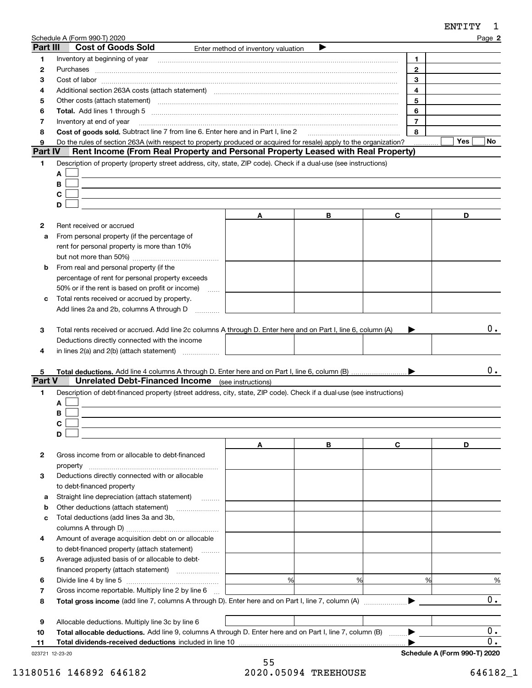|                  | Schedule A (Form 990-T) 2020                                                                                                                                                                                                   |                                     |   |                | Page 2    |
|------------------|--------------------------------------------------------------------------------------------------------------------------------------------------------------------------------------------------------------------------------|-------------------------------------|---|----------------|-----------|
| Part III         | <b>Cost of Goods Sold</b>                                                                                                                                                                                                      | Enter method of inventory valuation | ▶ |                |           |
| 1                | Inventory at beginning of year                                                                                                                                                                                                 |                                     |   | 1              |           |
| 2                | Purchases                                                                                                                                                                                                                      |                                     |   | $\mathbf{2}$   |           |
| 3                | $Cost of labor  \label{thm:main}$                                                                                                                                                                                              |                                     |   | 3              |           |
| 4                | Additional section 263A costs (attach statement) material content and according to the Additional section 263A                                                                                                                 |                                     |   | 4              |           |
| 5                | Other costs (attach statement) manufactured and contract and contract and contract and contract and contract and contract and contract and contract and contract and contract and contract and contract and contract and contr |                                     |   | 5              |           |
| 6                |                                                                                                                                                                                                                                |                                     |   | 6              |           |
| 7                | Inventory at end of year                                                                                                                                                                                                       |                                     |   | $\overline{7}$ |           |
| 8                | Cost of goods sold. Subtract line 7 from line 6. Enter here and in Part I. line 2                                                                                                                                              |                                     |   | 8              |           |
| 9                | Do the rules of section 263A (with respect to property produced or acquired for resale) apply to the organization?                                                                                                             |                                     |   |                | Yes<br>No |
| Part IV          | Rent Income (From Real Property and Personal Property Leased with Real Property)                                                                                                                                               |                                     |   |                |           |
| 1                | Description of property (property street address, city, state, ZIP code). Check if a dual-use (see instructions)                                                                                                               |                                     |   |                |           |
|                  | A                                                                                                                                                                                                                              |                                     |   |                |           |
|                  | В                                                                                                                                                                                                                              |                                     |   |                |           |
|                  | C                                                                                                                                                                                                                              |                                     |   |                |           |
|                  | D                                                                                                                                                                                                                              |                                     |   |                |           |
|                  |                                                                                                                                                                                                                                | Α                                   | В | C              | D         |
| 2                | Rent received or accrued                                                                                                                                                                                                       |                                     |   |                |           |
| a                | From personal property (if the percentage of                                                                                                                                                                                   |                                     |   |                |           |
|                  | rent for personal property is more than 10%                                                                                                                                                                                    |                                     |   |                |           |
|                  |                                                                                                                                                                                                                                |                                     |   |                |           |
| b                | From real and personal property (if the                                                                                                                                                                                        |                                     |   |                |           |
|                  | percentage of rent for personal property exceeds                                                                                                                                                                               |                                     |   |                |           |
|                  | 50% or if the rent is based on profit or income)<br>$\ldots$                                                                                                                                                                   |                                     |   |                |           |
| c                | Total rents received or accrued by property.                                                                                                                                                                                   |                                     |   |                |           |
|                  | Add lines 2a and 2b, columns A through D                                                                                                                                                                                       |                                     |   |                |           |
| 4<br>5<br>Part V | Deductions directly connected with the income<br>in lines 2(a) and 2(b) (attach statement)<br><b>Unrelated Debt-Financed Income</b>                                                                                            | (see instructions)                  |   |                | $0$ .     |
| 1                | Description of debt-financed property (street address, city, state, ZIP code). Check if a dual-use (see instructions)                                                                                                          |                                     |   |                |           |
|                  | A                                                                                                                                                                                                                              |                                     |   |                |           |
|                  | в                                                                                                                                                                                                                              |                                     |   |                |           |
|                  | C.                                                                                                                                                                                                                             |                                     |   |                |           |
|                  | D                                                                                                                                                                                                                              |                                     |   |                |           |
|                  |                                                                                                                                                                                                                                | A                                   | В | $\mathbf c$    | D         |
| 2                | Gross income from or allocable to debt-financed                                                                                                                                                                                |                                     |   |                |           |
|                  | property                                                                                                                                                                                                                       |                                     |   |                |           |
| з                | Deductions directly connected with or allocable                                                                                                                                                                                |                                     |   |                |           |
|                  | to debt-financed property                                                                                                                                                                                                      |                                     |   |                |           |
| а                | Straight line depreciation (attach statement)<br>1.1.1.1.1.1.1                                                                                                                                                                 |                                     |   |                |           |
| b                | Other deductions (attach statement)                                                                                                                                                                                            |                                     |   |                |           |
| с                | Total deductions (add lines 3a and 3b,                                                                                                                                                                                         |                                     |   |                |           |
|                  |                                                                                                                                                                                                                                |                                     |   |                |           |
| 4                | Amount of average acquisition debt on or allocable                                                                                                                                                                             |                                     |   |                |           |
|                  | to debt-financed property (attach statement)<br>.                                                                                                                                                                              |                                     |   |                |           |
| 5                | Average adjusted basis of or allocable to debt-                                                                                                                                                                                |                                     |   |                |           |
|                  |                                                                                                                                                                                                                                |                                     |   |                |           |
| 6                |                                                                                                                                                                                                                                | %                                   | % | %              | $\%$      |
| 7                | Gross income reportable. Multiply line 2 by line 6                                                                                                                                                                             |                                     |   |                |           |
| 8                |                                                                                                                                                                                                                                |                                     |   |                | 0.        |
|                  |                                                                                                                                                                                                                                |                                     |   |                |           |
| 9                | Allocable deductions. Multiply line 3c by line 6                                                                                                                                                                               |                                     |   |                |           |
|                  | Total allocable deductions. Add line 9, columns A through D. Enter here and on Part I, line 7, column (B)                                                                                                                      |                                     |   |                | 0.        |

| Total dividends-received deductions included in line 1 | 10 |  |
|--------------------------------------------------------|----|--|
|                                                        |    |  |

023721 12-23-20

0.

**Schedule A (Form 990-T) 2020**

 $\blacktriangleright$ 

**2**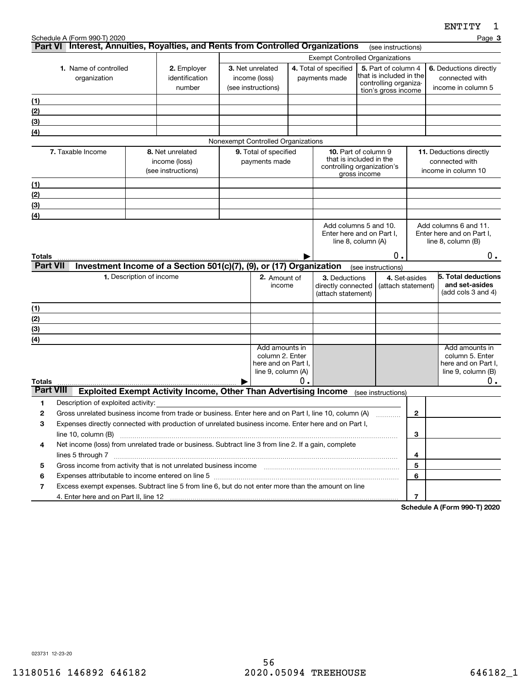|                                  | Schedule A (Form 990-T) 2020                                                                                                                                                                                                                                                                                                                                                                                                                                                           |                                                                                                       |  |                                        |    |                                     |                                                 |                                     | ≖≖ → → → →<br>Page 3                                 |  |
|----------------------------------|----------------------------------------------------------------------------------------------------------------------------------------------------------------------------------------------------------------------------------------------------------------------------------------------------------------------------------------------------------------------------------------------------------------------------------------------------------------------------------------|-------------------------------------------------------------------------------------------------------|--|----------------------------------------|----|-------------------------------------|-------------------------------------------------|-------------------------------------|------------------------------------------------------|--|
|                                  |                                                                                                                                                                                                                                                                                                                                                                                                                                                                                        | Part VI Interest, Annuities, Royalties, and Rents from Controlled Organizations                       |  |                                        |    |                                     | (see instructions)                              |                                     |                                                      |  |
|                                  |                                                                                                                                                                                                                                                                                                                                                                                                                                                                                        |                                                                                                       |  |                                        |    |                                     | <b>Exempt Controlled Organizations</b>          |                                     |                                                      |  |
|                                  | 1. Name of controlled                                                                                                                                                                                                                                                                                                                                                                                                                                                                  | 2. Employer                                                                                           |  | 3. Net unrelated                       |    | 4. Total of specified               | 5. Part of column 4<br>that is included in the  |                                     | 6. Deductions directly                               |  |
| organization                     |                                                                                                                                                                                                                                                                                                                                                                                                                                                                                        | identification<br>number                                                                              |  | income (loss)<br>(see instructions)    |    | payments made                       | controlling organiza-                           |                                     | connected with<br>income in column 5                 |  |
|                                  |                                                                                                                                                                                                                                                                                                                                                                                                                                                                                        |                                                                                                       |  |                                        |    |                                     | tion's gross income                             |                                     |                                                      |  |
| (1)                              |                                                                                                                                                                                                                                                                                                                                                                                                                                                                                        |                                                                                                       |  |                                        |    |                                     |                                                 |                                     |                                                      |  |
| (2)                              |                                                                                                                                                                                                                                                                                                                                                                                                                                                                                        |                                                                                                       |  |                                        |    |                                     |                                                 |                                     |                                                      |  |
| (3)<br>(4)                       |                                                                                                                                                                                                                                                                                                                                                                                                                                                                                        |                                                                                                       |  |                                        |    |                                     |                                                 |                                     |                                                      |  |
|                                  |                                                                                                                                                                                                                                                                                                                                                                                                                                                                                        |                                                                                                       |  | Nonexempt Controlled Organizations     |    |                                     |                                                 |                                     |                                                      |  |
|                                  | 7. Taxable Income                                                                                                                                                                                                                                                                                                                                                                                                                                                                      | 8. Net unrelated                                                                                      |  | 9. Total of specified                  |    | 10. Part of column 9                |                                                 |                                     | <b>11.</b> Deductions directly                       |  |
|                                  |                                                                                                                                                                                                                                                                                                                                                                                                                                                                                        | income (loss)                                                                                         |  | payments made                          |    |                                     | that is included in the                         |                                     | connected with                                       |  |
|                                  |                                                                                                                                                                                                                                                                                                                                                                                                                                                                                        | (see instructions)                                                                                    |  |                                        |    |                                     | controlling organization's<br>gross income      |                                     | income in column 10                                  |  |
| (1)                              |                                                                                                                                                                                                                                                                                                                                                                                                                                                                                        |                                                                                                       |  |                                        |    |                                     |                                                 |                                     |                                                      |  |
| (2)                              |                                                                                                                                                                                                                                                                                                                                                                                                                                                                                        |                                                                                                       |  |                                        |    |                                     |                                                 |                                     |                                                      |  |
| (3)                              |                                                                                                                                                                                                                                                                                                                                                                                                                                                                                        |                                                                                                       |  |                                        |    |                                     |                                                 |                                     |                                                      |  |
| (4)                              |                                                                                                                                                                                                                                                                                                                                                                                                                                                                                        |                                                                                                       |  |                                        |    |                                     |                                                 |                                     |                                                      |  |
|                                  |                                                                                                                                                                                                                                                                                                                                                                                                                                                                                        |                                                                                                       |  |                                        |    |                                     | Add columns 5 and 10.                           |                                     | Add columns 6 and 11.                                |  |
|                                  |                                                                                                                                                                                                                                                                                                                                                                                                                                                                                        |                                                                                                       |  |                                        |    |                                     | Enter here and on Part I,<br>line 8, column (A) |                                     | Enter here and on Part I.<br>line $8$ , column $(B)$ |  |
|                                  |                                                                                                                                                                                                                                                                                                                                                                                                                                                                                        |                                                                                                       |  |                                        |    |                                     |                                                 |                                     |                                                      |  |
| <b>Totals</b><br><b>Part VII</b> |                                                                                                                                                                                                                                                                                                                                                                                                                                                                                        |                                                                                                       |  |                                        |    |                                     | О.                                              |                                     | 0.                                                   |  |
|                                  |                                                                                                                                                                                                                                                                                                                                                                                                                                                                                        | Investment Income of a Section 501(c)(7), (9), or (17) Organization                                   |  |                                        |    |                                     | (see instructions)                              |                                     |                                                      |  |
|                                  |                                                                                                                                                                                                                                                                                                                                                                                                                                                                                        | 1. Description of income                                                                              |  | 2. Amount of<br>income                 |    | 3. Deductions<br>directly connected |                                                 | 4. Set-asides<br>(attach statement) | 5. Total deductions<br>and set-asides                |  |
|                                  |                                                                                                                                                                                                                                                                                                                                                                                                                                                                                        |                                                                                                       |  |                                        |    | (attach statement)                  |                                                 |                                     | (add cols 3 and 4)                                   |  |
| (1)                              |                                                                                                                                                                                                                                                                                                                                                                                                                                                                                        |                                                                                                       |  |                                        |    |                                     |                                                 |                                     |                                                      |  |
| (2)                              |                                                                                                                                                                                                                                                                                                                                                                                                                                                                                        |                                                                                                       |  |                                        |    |                                     |                                                 |                                     |                                                      |  |
| (3)                              |                                                                                                                                                                                                                                                                                                                                                                                                                                                                                        |                                                                                                       |  |                                        |    |                                     |                                                 |                                     |                                                      |  |
| (4)                              |                                                                                                                                                                                                                                                                                                                                                                                                                                                                                        |                                                                                                       |  |                                        |    |                                     |                                                 |                                     |                                                      |  |
|                                  |                                                                                                                                                                                                                                                                                                                                                                                                                                                                                        |                                                                                                       |  | Add amounts in                         |    |                                     |                                                 |                                     | Add amounts in                                       |  |
|                                  |                                                                                                                                                                                                                                                                                                                                                                                                                                                                                        |                                                                                                       |  | column 2. Enter<br>here and on Part I. |    |                                     |                                                 |                                     | column 5. Enter<br>here and on Part I,               |  |
|                                  |                                                                                                                                                                                                                                                                                                                                                                                                                                                                                        |                                                                                                       |  | line 9, column (A)                     |    |                                     |                                                 |                                     | line 9, column (B)                                   |  |
| <b>Totals</b>                    |                                                                                                                                                                                                                                                                                                                                                                                                                                                                                        |                                                                                                       |  |                                        | 0. |                                     |                                                 |                                     | 0.                                                   |  |
| <b>Part VIII</b>                 |                                                                                                                                                                                                                                                                                                                                                                                                                                                                                        | <b>Exploited Exempt Activity Income, Other Than Advertising Income</b>                                |  |                                        |    |                                     | (see instructions)                              |                                     |                                                      |  |
| 1                                | Description of exploited activity:                                                                                                                                                                                                                                                                                                                                                                                                                                                     |                                                                                                       |  |                                        |    |                                     |                                                 |                                     |                                                      |  |
| 2                                |                                                                                                                                                                                                                                                                                                                                                                                                                                                                                        | Gross unrelated business income from trade or business. Enter here and on Part I, line 10, column (A) |  |                                        |    |                                     |                                                 | 2                                   |                                                      |  |
| 3                                |                                                                                                                                                                                                                                                                                                                                                                                                                                                                                        | Expenses directly connected with production of unrelated business income. Enter here and on Part I,   |  |                                        |    |                                     |                                                 |                                     |                                                      |  |
|                                  | line 10, column (B)<br>3                                                                                                                                                                                                                                                                                                                                                                                                                                                               |                                                                                                       |  |                                        |    |                                     |                                                 |                                     |                                                      |  |
| 4                                | Net income (loss) from unrelated trade or business. Subtract line 3 from line 2. If a gain, complete                                                                                                                                                                                                                                                                                                                                                                                   |                                                                                                       |  |                                        |    |                                     |                                                 |                                     |                                                      |  |
|                                  |                                                                                                                                                                                                                                                                                                                                                                                                                                                                                        |                                                                                                       |  |                                        |    |                                     |                                                 | 4                                   |                                                      |  |
| 5                                | Gross income from activity that is not unrelated business income [11] [11] content material content from activity that is not unrelated business income [11] [11] $\alpha$ [12] $\alpha$ [12] $\alpha$ [12] $\alpha$ [12] $\alpha$ [12] $\alpha$ [12]<br>Expenses attributable to income entered on line 5 [[11] manufacture manufacture attributable to income entered on line 5 [[11] manufacture manufacture attributable to income entered on line 5 [[11] manufacture manufacture |                                                                                                       |  |                                        |    | 5                                   |                                                 |                                     |                                                      |  |
| 6                                |                                                                                                                                                                                                                                                                                                                                                                                                                                                                                        |                                                                                                       |  |                                        |    |                                     |                                                 | 6                                   |                                                      |  |
| 7                                |                                                                                                                                                                                                                                                                                                                                                                                                                                                                                        | Excess exempt expenses. Subtract line 5 from line 6, but do not enter more than the amount on line    |  |                                        |    |                                     |                                                 |                                     |                                                      |  |
|                                  |                                                                                                                                                                                                                                                                                                                                                                                                                                                                                        |                                                                                                       |  |                                        |    |                                     |                                                 | 7                                   |                                                      |  |

**Schedule A (Form 990-T) 2020**

023731 12-23-20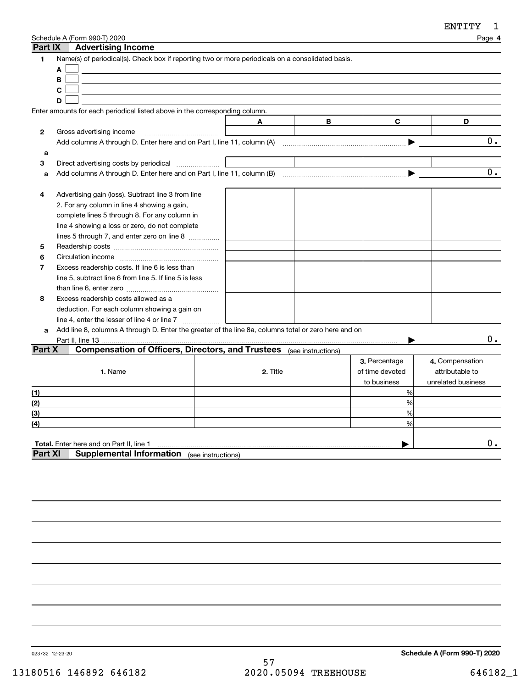| Part IX        | Schedule A (Form 990-T) 2020<br><b>Advertising Income</b>                                                        |                    |   |                 |                    | Page 4          |  |
|----------------|------------------------------------------------------------------------------------------------------------------|--------------------|---|-----------------|--------------------|-----------------|--|
| 1              | Name(s) of periodical(s). Check box if reporting two or more periodicals on a consolidated basis.<br>A<br>B<br>C |                    |   |                 |                    |                 |  |
|                | D                                                                                                                |                    |   |                 |                    |                 |  |
|                | Enter amounts for each periodical listed above in the corresponding column.                                      |                    |   |                 |                    |                 |  |
|                |                                                                                                                  |                    | A | В               | C                  | D               |  |
| 2              | Gross advertising income                                                                                         |                    |   |                 |                    |                 |  |
|                |                                                                                                                  |                    |   |                 | ▶                  | $0$ .           |  |
| a              |                                                                                                                  |                    |   |                 |                    |                 |  |
| 3              | Direct advertising costs by periodical                                                                           |                    |   |                 |                    |                 |  |
| a              |                                                                                                                  |                    |   |                 |                    | 0.              |  |
|                |                                                                                                                  |                    |   |                 |                    |                 |  |
| 4              | Advertising gain (loss). Subtract line 3 from line                                                               |                    |   |                 |                    |                 |  |
|                | 2. For any column in line 4 showing a gain,                                                                      |                    |   |                 |                    |                 |  |
|                | complete lines 5 through 8. For any column in                                                                    |                    |   |                 |                    |                 |  |
|                | line 4 showing a loss or zero, do not complete                                                                   |                    |   |                 |                    |                 |  |
|                |                                                                                                                  |                    |   |                 |                    |                 |  |
| 5              | lines 5 through 7, and enter zero on line 8                                                                      |                    |   |                 |                    |                 |  |
| 6              |                                                                                                                  |                    |   |                 |                    |                 |  |
| $\overline{7}$ | Excess readership costs. If line 6 is less than                                                                  |                    |   |                 |                    |                 |  |
|                | line 5, subtract line 6 from line 5. If line 5 is less                                                           |                    |   |                 |                    |                 |  |
|                |                                                                                                                  |                    |   |                 |                    |                 |  |
| 8              | Excess readership costs allowed as a                                                                             |                    |   |                 |                    |                 |  |
|                | deduction. For each column showing a gain on                                                                     |                    |   |                 |                    |                 |  |
|                |                                                                                                                  |                    |   |                 |                    |                 |  |
| a              | Add line 8, columns A through D. Enter the greater of the line 8a, columns total or zero here and on             |                    |   |                 |                    |                 |  |
|                | Part II, line 13.                                                                                                |                    |   |                 |                    | $0$ .           |  |
| Part X         | <b>Compensation of Officers, Directors, and Trustees</b> (see instructions)                                      |                    |   |                 |                    |                 |  |
|                |                                                                                                                  |                    |   |                 | 3. Percentage      | 4. Compensation |  |
|                | 1. Name                                                                                                          | 2. Title           |   | of time devoted | attributable to    |                 |  |
|                |                                                                                                                  |                    |   | to business     | unrelated business |                 |  |
|                |                                                                                                                  |                    |   |                 | %                  |                 |  |
| (1)<br>(2)     |                                                                                                                  |                    |   |                 | %                  |                 |  |
| (3)            |                                                                                                                  |                    |   |                 | %                  |                 |  |
| (4)            |                                                                                                                  |                    |   |                 | %                  |                 |  |
|                |                                                                                                                  |                    |   |                 |                    |                 |  |
|                | Total. Enter here and on Part II, line 1                                                                         |                    |   |                 |                    | $0$ .           |  |
| Part XI        | <b>Supplemental Information</b>                                                                                  | (see instructions) |   |                 |                    |                 |  |
|                |                                                                                                                  |                    |   |                 |                    |                 |  |
|                |                                                                                                                  |                    |   |                 |                    |                 |  |
|                |                                                                                                                  |                    |   |                 |                    |                 |  |

023732 12-23-20

**Schedule A (Form 990-T) 2020**